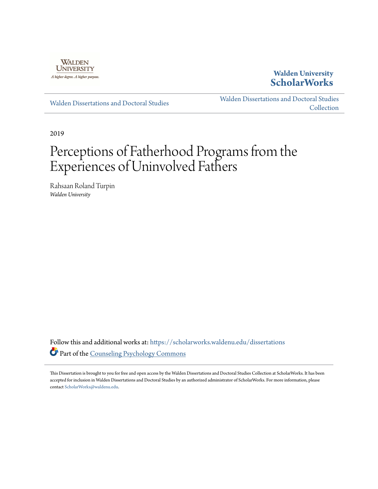

## **Walden University [ScholarWorks](https://scholarworks.waldenu.edu?utm_source=scholarworks.waldenu.edu%2Fdissertations%2F7206&utm_medium=PDF&utm_campaign=PDFCoverPages)**

[Walden Dissertations and Doctoral Studies](https://scholarworks.waldenu.edu/dissertations?utm_source=scholarworks.waldenu.edu%2Fdissertations%2F7206&utm_medium=PDF&utm_campaign=PDFCoverPages)

[Walden Dissertations and Doctoral Studies](https://scholarworks.waldenu.edu/dissanddoc?utm_source=scholarworks.waldenu.edu%2Fdissertations%2F7206&utm_medium=PDF&utm_campaign=PDFCoverPages) [Collection](https://scholarworks.waldenu.edu/dissanddoc?utm_source=scholarworks.waldenu.edu%2Fdissertations%2F7206&utm_medium=PDF&utm_campaign=PDFCoverPages)

2019

# Perceptions of Fatherhood Programs from the Experiences of Uninvolved Fathers

Rahsaan Roland Turpin *Walden University*

Follow this and additional works at: [https://scholarworks.waldenu.edu/dissertations](https://scholarworks.waldenu.edu/dissertations?utm_source=scholarworks.waldenu.edu%2Fdissertations%2F7206&utm_medium=PDF&utm_campaign=PDFCoverPages) Part of the [Counseling Psychology Commons](http://network.bepress.com/hgg/discipline/1044?utm_source=scholarworks.waldenu.edu%2Fdissertations%2F7206&utm_medium=PDF&utm_campaign=PDFCoverPages)

This Dissertation is brought to you for free and open access by the Walden Dissertations and Doctoral Studies Collection at ScholarWorks. It has been accepted for inclusion in Walden Dissertations and Doctoral Studies by an authorized administrator of ScholarWorks. For more information, please contact [ScholarWorks@waldenu.edu](mailto:ScholarWorks@waldenu.edu).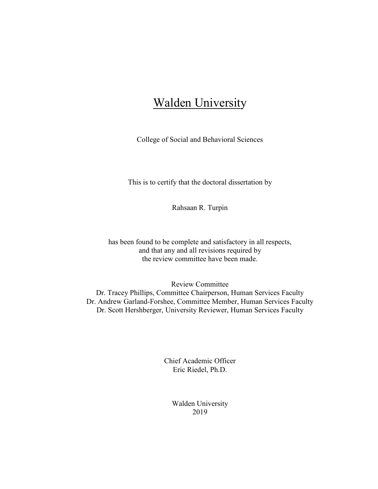## **Walden University**

College of Social and Behavioral Sciences

This is to certify that the doctoral dissertation by

Rahsaan R. Turpin

has been found to be complete and satisfactory in all respects, and that any and all revisions required by the review committee have been made.

Review Committee

Dr. Tracey Phillips, Committee Chairperson, Human Services Faculty Dr. Andrew Garland-Forshee, Committee Member, Human Services Faculty Dr. Scott Hershberger, University Reviewer, Human Services Faculty

> Chief Academic Officer Eric Riedel, Ph.D.

> > Walden University 2019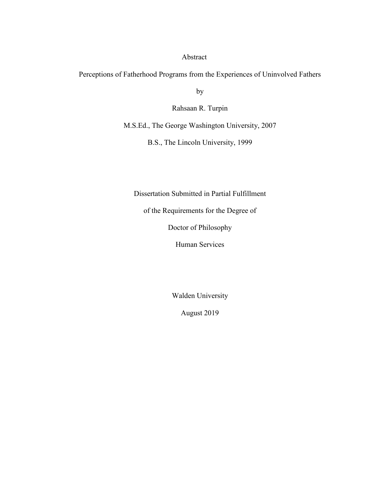#### Abstract

Perceptions of Fatherhood Programs from the Experiences of Uninvolved Fathers

by

Rahsaan R. Turpin

M.S.Ed., The George Washington University, 2007

B.S., The Lincoln University, 1999

Dissertation Submitted in Partial Fulfillment

of the Requirements for the Degree of

Doctor of Philosophy

Human Services

Walden University

August 2019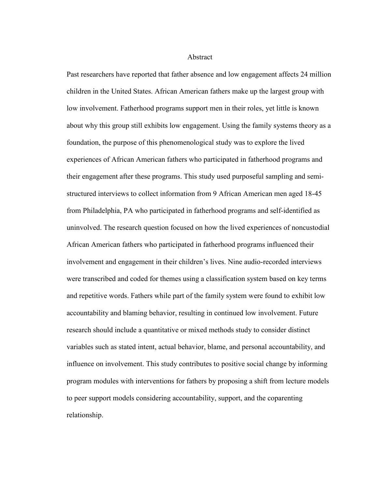Abstract

Past researchers have reported that father absence and low engagement affects 24 million children in the United States. African American fathers make up the largest group with low involvement. Fatherhood programs support men in their roles, yet little is known about why this group still exhibits low engagement. Using the family systems theory as a foundation, the purpose of this phenomenological study was to explore the lived experiences of African American fathers who participated in fatherhood programs and their engagement after these programs. This study used purposeful sampling and semistructured interviews to collect information from 9 African American men aged 18-45 from Philadelphia, PA who participated in fatherhood programs and self-identified as uninvolved. The research question focused on how the lived experiences of noncustodial African American fathers who participated in fatherhood programs influenced their involvement and engagement in their children's lives. Nine audio-recorded interviews were transcribed and coded for themes using a classification system based on key terms and repetitive words. Fathers while part of the family system were found to exhibit low accountability and blaming behavior, resulting in continued low involvement. Future research should include a quantitative or mixed methods study to consider distinct variables such as stated intent, actual behavior, blame, and personal accountability, and influence on involvement. This study contributes to positive social change by informing program modules with interventions for fathers by proposing a shift from lecture models to peer support models considering accountability, support, and the coparenting relationship.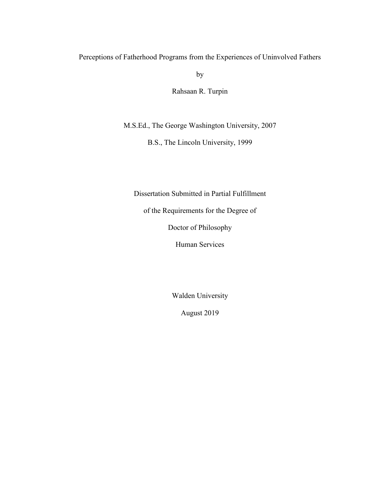## Perceptions of Fatherhood Programs from the Experiences of Uninvolved Fathers

by

Rahsaan R. Turpin

M.S.Ed., The George Washington University, 2007

B.S., The Lincoln University, 1999

Dissertation Submitted in Partial Fulfillment

of the Requirements for the Degree of

Doctor of Philosophy

Human Services

Walden University

August 2019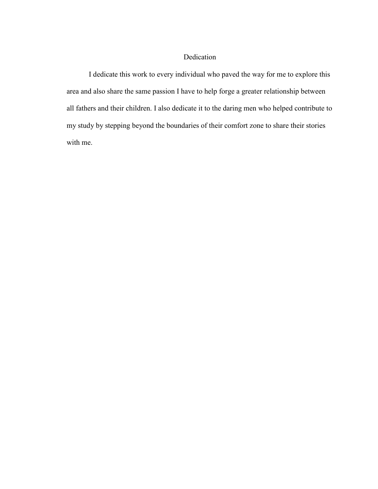### Dedication

 I dedicate this work to every individual who paved the way for me to explore this area and also share the same passion I have to help forge a greater relationship between all fathers and their children. I also dedicate it to the daring men who helped contribute to my study by stepping beyond the boundaries of their comfort zone to share their stories with me.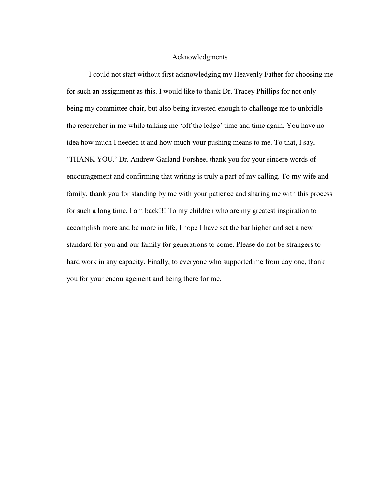#### Acknowledgments

 I could not start without first acknowledging my Heavenly Father for choosing me for such an assignment as this. I would like to thank Dr. Tracey Phillips for not only being my committee chair, but also being invested enough to challenge me to unbridle the researcher in me while talking me 'off the ledge' time and time again. You have no idea how much I needed it and how much your pushing means to me. To that, I say, 'THANK YOU.' Dr. Andrew Garland-Forshee, thank you for your sincere words of encouragement and confirming that writing is truly a part of my calling. To my wife and family, thank you for standing by me with your patience and sharing me with this process for such a long time. I am back!!! To my children who are my greatest inspiration to accomplish more and be more in life, I hope I have set the bar higher and set a new standard for you and our family for generations to come. Please do not be strangers to hard work in any capacity. Finally, to everyone who supported me from day one, thank you for your encouragement and being there for me.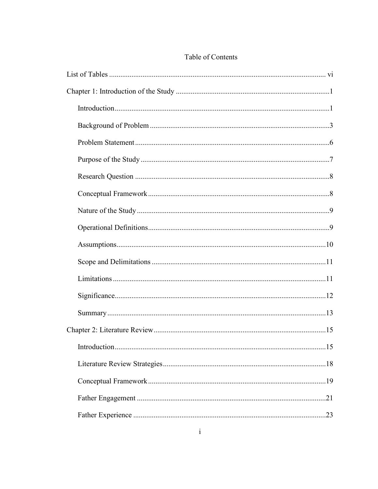## Table of Contents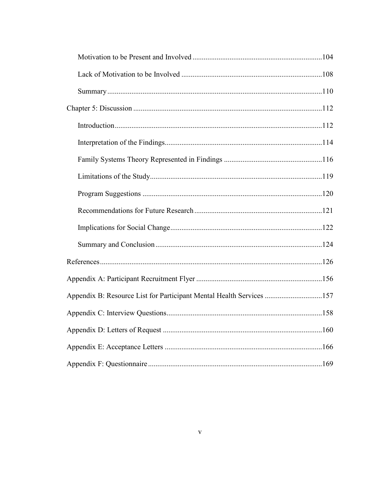| Appendix B: Resource List for Participant Mental Health Services 157 |  |
|----------------------------------------------------------------------|--|
|                                                                      |  |
|                                                                      |  |
|                                                                      |  |
|                                                                      |  |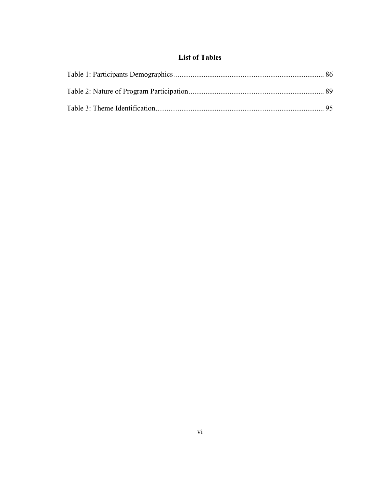## **List of Tables**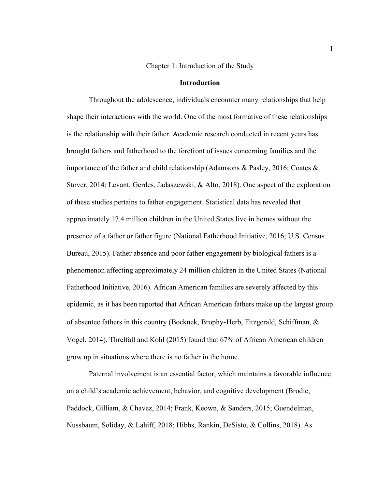#### Chapter 1: Introduction of the Study

#### **Introduction**

 Throughout the adolescence, individuals encounter many relationships that help shape their interactions with the world. One of the most formative of these relationships is the relationship with their father. Academic research conducted in recent years has brought fathers and fatherhood to the forefront of issues concerning families and the importance of the father and child relationship (Adamsons & Pasley, 2016; Coates & Stover, 2014; Levant, Gerdes, Jadaszewski, & Alto, 2018). One aspect of the exploration of these studies pertains to father engagement. Statistical data has revealed that approximately 17.4 million children in the United States live in homes without the presence of a father or father figure (National Fatherhood Initiative, 2016; U.S. Census Bureau, 2015). Father absence and poor father engagement by biological fathers is a phenomenon affecting approximately 24 million children in the United States (National Fatherhood Initiative, 2016). African American families are severely affected by this epidemic, as it has been reported that African American fathers make up the largest group of absentee fathers in this country (Bocknek, Brophy‐Herb, Fitzgerald, Schiffman, & Vogel, 2014). Threlfall and Kohl (2015) found that 67% of African American children grow up in situations where there is no father in the home.

Paternal involvement is an essential factor, which maintains a favorable influence on a child's academic achievement, behavior, and cognitive development (Brodie, Paddock, Gilliam, & Chavez, 2014; Frank, Keown, & Sanders, 2015; Guendelman, Nussbaum, Soliday, & Lahiff, 2018; Hibbs, Rankin, DeSisto, & Collins, 2018). As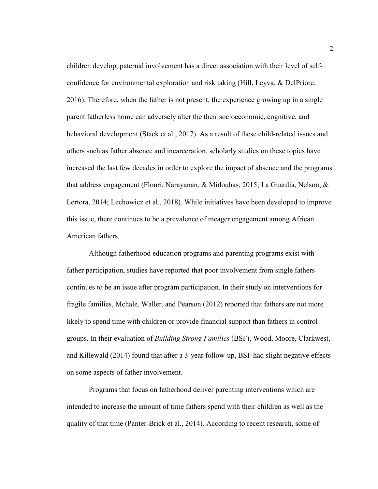children develop, paternal involvement has a direct association with their level of selfconfidence for environmental exploration and risk taking (Hill, Leyva, & DelPriore, 2016). Therefore, when the father is not present, the experience growing up in a single parent fatherless home can adversely alter the their socioeconomic, cognitive, and behavioral development (Stack et al., 2017). As a result of these child-related issues and others such as father absence and incarceration, scholarly studies on these topics have increased the last few decades in order to explore the impact of absence and the programs that address engagement (Flouri, Narayanan, & Midouhas, 2015; La Guardia, Nelson, & Lertora, 2014; Lechowicz et al., 2018). While initiatives have been developed to improve this issue, there continues to be a prevalence of meager engagement among African American fathers.

Although fatherhood education programs and parenting programs exist with father participation, studies have reported that poor involvement from single fathers continues to be an issue after program participation. In their study on interventions for fragile families, Mchale, Waller, and Pearson (2012) reported that fathers are not more likely to spend time with children or provide financial support than fathers in control groups. In their evaluation of *Building Strong Families* (BSF), Wood, Moore, Clarkwest, and Killewald (2014) found that after a 3-year follow-up, BSF had slight negative effects on some aspects of father involvement.

 Programs that focus on fatherhood deliver parenting interventions which are intended to increase the amount of time fathers spend with their children as well as the quality of that time (Panter-Brick et al., 2014). According to recent research, some of

2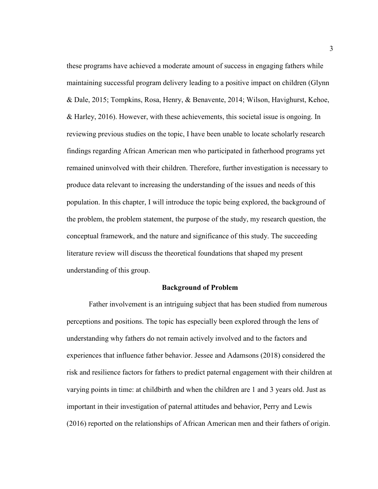these programs have achieved a moderate amount of success in engaging fathers while maintaining successful program delivery leading to a positive impact on children (Glynn & Dale, 2015; Tompkins, Rosa, Henry, & Benavente, 2014; Wilson, Havighurst, Kehoe, & Harley, 2016). However, with these achievements, this societal issue is ongoing. In reviewing previous studies on the topic, I have been unable to locate scholarly research findings regarding African American men who participated in fatherhood programs yet remained uninvolved with their children. Therefore, further investigation is necessary to produce data relevant to increasing the understanding of the issues and needs of this population. In this chapter, I will introduce the topic being explored, the background of the problem, the problem statement, the purpose of the study, my research question, the conceptual framework, and the nature and significance of this study. The succeeding literature review will discuss the theoretical foundations that shaped my present understanding of this group.

#### **Background of Problem**

 Father involvement is an intriguing subject that has been studied from numerous perceptions and positions. The topic has especially been explored through the lens of understanding why fathers do not remain actively involved and to the factors and experiences that influence father behavior. Jessee and Adamsons (2018) considered the risk and resilience factors for fathers to predict paternal engagement with their children at varying points in time: at childbirth and when the children are 1 and 3 years old. Just as important in their investigation of paternal attitudes and behavior, Perry and Lewis (2016) reported on the relationships of African American men and their fathers of origin.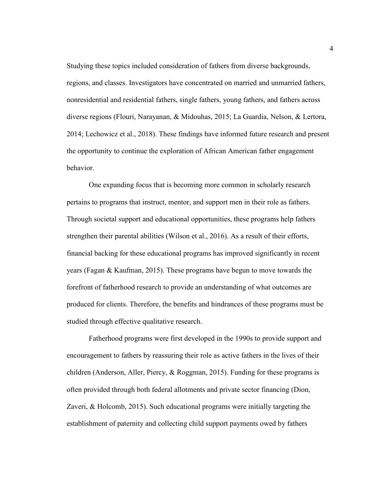Studying these topics included consideration of fathers from diverse backgrounds, regions, and classes. Investigators have concentrated on married and unmarried fathers, nonresidential and residential fathers, single fathers, young fathers, and fathers across diverse regions (Flouri, Narayanan, & Midouhas, 2015; La Guardia, Nelson, & Lertora, 2014; Lechowicz et al., 2018). These findings have informed future research and present the opportunity to continue the exploration of African American father engagement behavior.

One expanding focus that is becoming more common in scholarly research pertains to programs that instruct, mentor, and support men in their role as fathers. Through societal support and educational opportunities, these programs help fathers strengthen their parental abilities (Wilson et al., 2016). As a result of their efforts, financial backing for these educational programs has improved significantly in recent years (Fagan & Kaufman, 2015). These programs have begun to move towards the forefront of fatherhood research to provide an understanding of what outcomes are produced for clients. Therefore, the benefits and hindrances of these programs must be studied through effective qualitative research.

Fatherhood programs were first developed in the 1990s to provide support and encouragement to fathers by reassuring their role as active fathers in the lives of their children (Anderson, Aller, Piercy, & Roggman, 2015). Funding for these programs is often provided through both federal allotments and private sector financing (Dion, Zaveri, & Holcomb, 2015). Such educational programs were initially targeting the establishment of paternity and collecting child support payments owed by fathers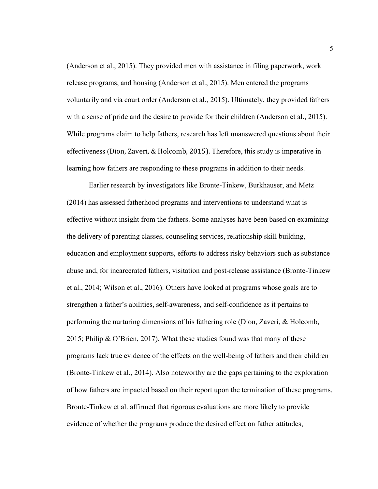(Anderson et al., 2015). They provided men with assistance in filing paperwork, work release programs, and housing (Anderson et al., 2015). Men entered the programs voluntarily and via court order (Anderson et al., 2015). Ultimately, they provided fathers with a sense of pride and the desire to provide for their children (Anderson et al., 2015). While programs claim to help fathers, research has left unanswered questions about their effectiveness (Dion, Zaveri, & Holcomb, 2015). Therefore, this study is imperative in learning how fathers are responding to these programs in addition to their needs.

Earlier research by investigators like Bronte-Tinkew, Burkhauser, and Metz (2014) has assessed fatherhood programs and interventions to understand what is effective without insight from the fathers. Some analyses have been based on examining the delivery of parenting classes, counseling services, relationship skill building, education and employment supports, efforts to address risky behaviors such as substance abuse and, for incarcerated fathers, visitation and post-release assistance (Bronte-Tinkew et al., 2014; Wilson et al., 2016). Others have looked at programs whose goals are to strengthen a father's abilities, self-awareness, and self-confidence as it pertains to performing the nurturing dimensions of his fathering role (Dion, Zaveri, & Holcomb, 2015; Philip & O'Brien, 2017). What these studies found was that many of these programs lack true evidence of the effects on the well-being of fathers and their children (Bronte-Tinkew et al., 2014). Also noteworthy are the gaps pertaining to the exploration of how fathers are impacted based on their report upon the termination of these programs. Bronte-Tinkew et al. affirmed that rigorous evaluations are more likely to provide evidence of whether the programs produce the desired effect on father attitudes,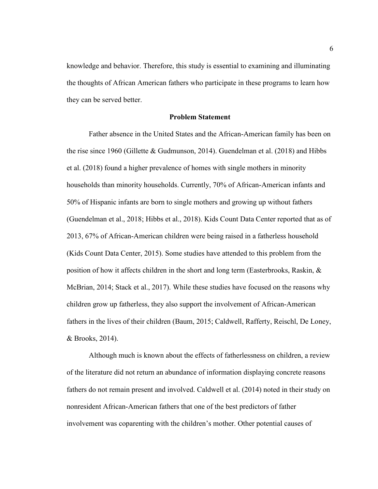knowledge and behavior. Therefore, this study is essential to examining and illuminating the thoughts of African American fathers who participate in these programs to learn how they can be served better.

#### **Problem Statement**

Father absence in the United States and the African-American family has been on the rise since 1960 (Gillette & Gudmunson, 2014). Guendelman et al. (2018) and Hibbs et al. (2018) found a higher prevalence of homes with single mothers in minority households than minority households. Currently, 70% of African-American infants and 50% of Hispanic infants are born to single mothers and growing up without fathers (Guendelman et al., 2018; Hibbs et al., 2018). Kids Count Data Center reported that as of 2013, 67% of African-American children were being raised in a fatherless household (Kids Count Data Center, 2015). Some studies have attended to this problem from the position of how it affects children in the short and long term (Easterbrooks, Raskin,  $\&$ McBrian, 2014; Stack et al., 2017). While these studies have focused on the reasons why children grow up fatherless, they also support the involvement of African-American fathers in the lives of their children (Baum, 2015; Caldwell, Rafferty, Reischl, De Loney, & Brooks, 2014).

Although much is known about the effects of fatherlessness on children, a review of the literature did not return an abundance of information displaying concrete reasons fathers do not remain present and involved. Caldwell et al. (2014) noted in their study on nonresident African-American fathers that one of the best predictors of father involvement was coparenting with the children's mother. Other potential causes of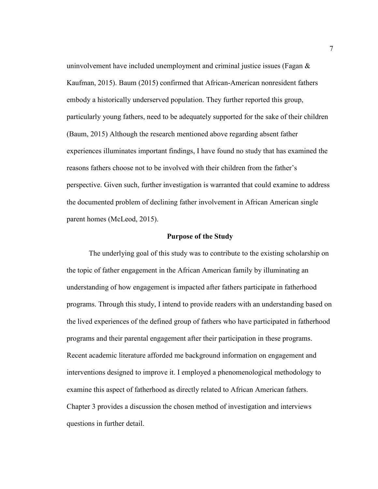uninvolvement have included unemployment and criminal justice issues (Fagan & Kaufman, 2015). Baum (2015) confirmed that African-American nonresident fathers embody a historically underserved population. They further reported this group, particularly young fathers, need to be adequately supported for the sake of their children (Baum, 2015) Although the research mentioned above regarding absent father experiences illuminates important findings, I have found no study that has examined the reasons fathers choose not to be involved with their children from the father's perspective. Given such, further investigation is warranted that could examine to address the documented problem of declining father involvement in African American single parent homes (McLeod, 2015).

#### **Purpose of the Study**

The underlying goal of this study was to contribute to the existing scholarship on the topic of father engagement in the African American family by illuminating an understanding of how engagement is impacted after fathers participate in fatherhood programs. Through this study, I intend to provide readers with an understanding based on the lived experiences of the defined group of fathers who have participated in fatherhood programs and their parental engagement after their participation in these programs. Recent academic literature afforded me background information on engagement and interventions designed to improve it. I employed a phenomenological methodology to examine this aspect of fatherhood as directly related to African American fathers. Chapter 3 provides a discussion the chosen method of investigation and interviews questions in further detail.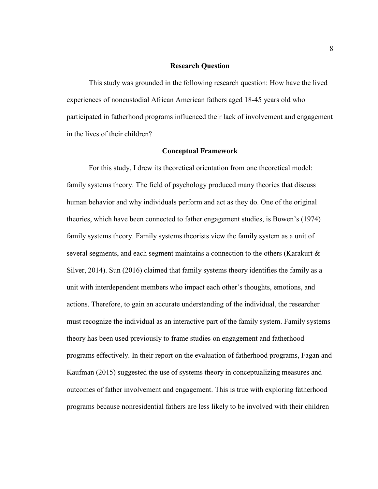#### **Research Question**

This study was grounded in the following research question: How have the lived experiences of noncustodial African American fathers aged 18-45 years old who participated in fatherhood programs influenced their lack of involvement and engagement in the lives of their children?

#### **Conceptual Framework**

For this study, I drew its theoretical orientation from one theoretical model: family systems theory. The field of psychology produced many theories that discuss human behavior and why individuals perform and act as they do. One of the original theories, which have been connected to father engagement studies, is Bowen's (1974) family systems theory. Family systems theorists view the family system as a unit of several segments, and each segment maintains a connection to the others (Karakurt & Silver, 2014). Sun (2016) claimed that family systems theory identifies the family as a unit with interdependent members who impact each other's thoughts, emotions, and actions. Therefore, to gain an accurate understanding of the individual, the researcher must recognize the individual as an interactive part of the family system. Family systems theory has been used previously to frame studies on engagement and fatherhood programs effectively. In their report on the evaluation of fatherhood programs, Fagan and Kaufman (2015) suggested the use of systems theory in conceptualizing measures and outcomes of father involvement and engagement. This is true with exploring fatherhood programs because nonresidential fathers are less likely to be involved with their children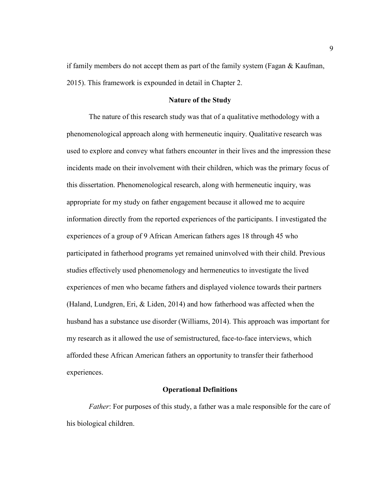if family members do not accept them as part of the family system (Fagan & Kaufman, 2015). This framework is expounded in detail in Chapter 2.

#### **Nature of the Study**

The nature of this research study was that of a qualitative methodology with a phenomenological approach along with hermeneutic inquiry. Qualitative research was used to explore and convey what fathers encounter in their lives and the impression these incidents made on their involvement with their children, which was the primary focus of this dissertation. Phenomenological research, along with hermeneutic inquiry, was appropriate for my study on father engagement because it allowed me to acquire information directly from the reported experiences of the participants. I investigated the experiences of a group of 9 African American fathers ages 18 through 45 who participated in fatherhood programs yet remained uninvolved with their child. Previous studies effectively used phenomenology and hermeneutics to investigate the lived experiences of men who became fathers and displayed violence towards their partners (Haland, Lundgren, Eri, & Liden, 2014) and how fatherhood was affected when the husband has a substance use disorder (Williams, 2014). This approach was important for my research as it allowed the use of semistructured, face-to-face interviews, which afforded these African American fathers an opportunity to transfer their fatherhood experiences.

#### **Operational Definitions**

*Father*: For purposes of this study, a father was a male responsible for the care of his biological children.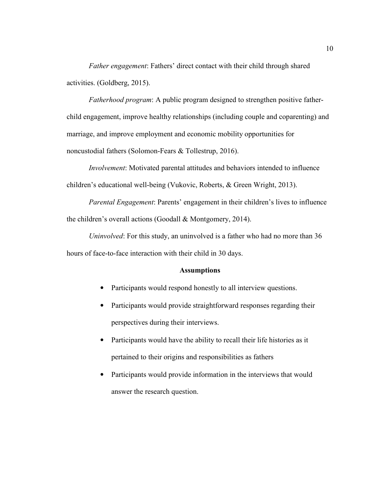*Father engagement*: Fathers' direct contact with their child through shared activities. (Goldberg, 2015).

*Fatherhood program*: A public program designed to strengthen positive fatherchild engagement, improve healthy relationships (including couple and coparenting) and marriage, and improve employment and economic mobility opportunities for noncustodial fathers (Solomon-Fears & Tollestrup, 2016).

*Involvement*: Motivated parental attitudes and behaviors intended to influence children's educational well-being (Vukovic, Roberts, & Green Wright, 2013).

*Parental Engagement*: Parents' engagement in their children's lives to influence the children's overall actions (Goodall & Montgomery, 2014).

*Uninvolved*: For this study, an uninvolved is a father who had no more than 36 hours of face-to-face interaction with their child in 30 days.

#### **Assumptions**

- Participants would respond honestly to all interview questions.
- Participants would provide straightforward responses regarding their perspectives during their interviews.
- Participants would have the ability to recall their life histories as it pertained to their origins and responsibilities as fathers
- Participants would provide information in the interviews that would answer the research question.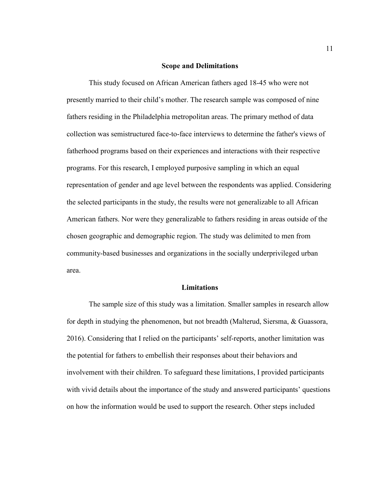#### **Scope and Delimitations**

This study focused on African American fathers aged 18-45 who were not presently married to their child's mother. The research sample was composed of nine fathers residing in the Philadelphia metropolitan areas. The primary method of data collection was semistructured face-to-face interviews to determine the father's views of fatherhood programs based on their experiences and interactions with their respective programs. For this research, I employed purposive sampling in which an equal representation of gender and age level between the respondents was applied. Considering the selected participants in the study, the results were not generalizable to all African American fathers. Nor were they generalizable to fathers residing in areas outside of the chosen geographic and demographic region. The study was delimited to men from community-based businesses and organizations in the socially underprivileged urban area.

#### **Limitations**

 The sample size of this study was a limitation. Smaller samples in research allow for depth in studying the phenomenon, but not breadth (Malterud, Siersma, & Guassora, 2016). Considering that I relied on the participants' self-reports, another limitation was the potential for fathers to embellish their responses about their behaviors and involvement with their children. To safeguard these limitations, I provided participants with vivid details about the importance of the study and answered participants' questions on how the information would be used to support the research. Other steps included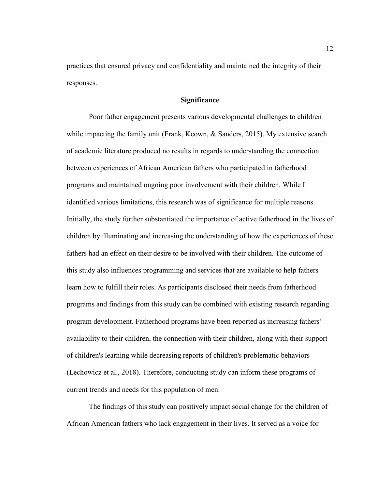practices that ensured privacy and confidentiality and maintained the integrity of their responses.

#### **Significance**

Poor father engagement presents various developmental challenges to children while impacting the family unit (Frank, Keown, & Sanders, 2015). My extensive search of academic literature produced no results in regards to understanding the connection between experiences of African American fathers who participated in fatherhood programs and maintained ongoing poor involvement with their children. While I identified various limitations, this research was of significance for multiple reasons. Initially, the study further substantiated the importance of active fatherhood in the lives of children by illuminating and increasing the understanding of how the experiences of these fathers had an effect on their desire to be involved with their children. The outcome of this study also influences programming and services that are available to help fathers learn how to fulfill their roles. As participants disclosed their needs from fatherhood programs and findings from this study can be combined with existing research regarding program development. Fatherhood programs have been reported as increasing fathers' availability to their children, the connection with their children, along with their support of children's learning while decreasing reports of children's problematic behaviors (Lechowicz et al., 2018). Therefore, conducting study can inform these programs of current trends and needs for this population of men.

The findings of this study can positively impact social change for the children of African American fathers who lack engagement in their lives. It served as a voice for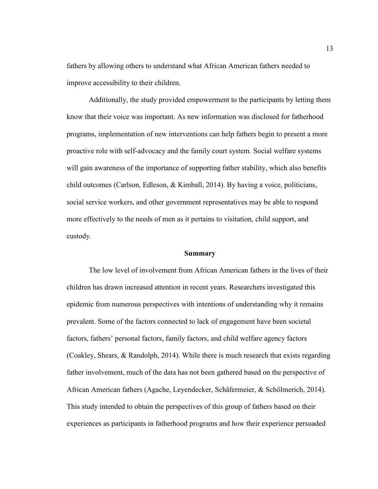fathers by allowing others to understand what African American fathers needed to improve accessibility to their children.

Additionally, the study provided empowerment to the participants by letting them know that their voice was important. As new information was disclosed for fatherhood programs, implementation of new interventions can help fathers begin to present a more proactive role with self-advocacy and the family court system. Social welfare systems will gain awareness of the importance of supporting father stability, which also benefits child outcomes (Carlson, Edleson, & Kimball, 2014). By having a voice, politicians, social service workers, and other government representatives may be able to respond more effectively to the needs of men as it pertains to visitation, child support, and custody.

#### **Summary**

 The low level of involvement from African American fathers in the lives of their children has drawn increased attention in recent years. Researchers investigated this epidemic from numerous perspectives with intentions of understanding why it remains prevalent. Some of the factors connected to lack of engagement have been societal factors, fathers' personal factors, family factors, and child welfare agency factors (Coakley, Shears, & Randolph, 2014). While there is much research that exists regarding father involvement, much of the data has not been gathered based on the perspective of African American fathers (Agache, Leyendecker, Schäfermeier, & Schölmerich, 2014). This study intended to obtain the perspectives of this group of fathers based on their experiences as participants in fatherhood programs and how their experience persuaded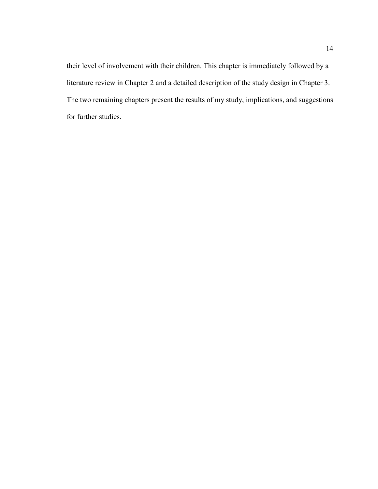their level of involvement with their children. This chapter is immediately followed by a literature review in Chapter 2 and a detailed description of the study design in Chapter 3. The two remaining chapters present the results of my study, implications, and suggestions for further studies.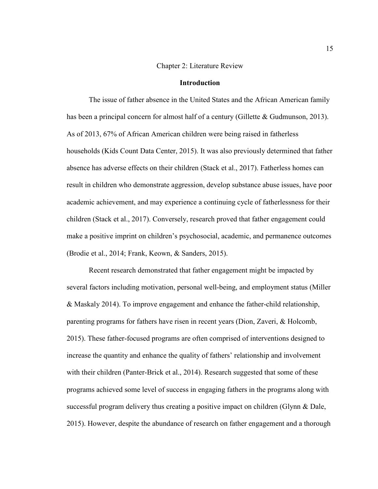#### Chapter 2: Literature Review

#### **Introduction**

The issue of father absence in the United States and the African American family has been a principal concern for almost half of a century (Gillette & Gudmunson, 2013). As of 2013, 67% of African American children were being raised in fatherless households (Kids Count Data Center, 2015). It was also previously determined that father absence has adverse effects on their children (Stack et al., 2017). Fatherless homes can result in children who demonstrate aggression, develop substance abuse issues, have poor academic achievement, and may experience a continuing cycle of fatherlessness for their children (Stack et al., 2017). Conversely, research proved that father engagement could make a positive imprint on children's psychosocial, academic, and permanence outcomes (Brodie et al., 2014; Frank, Keown, & Sanders, 2015).

Recent research demonstrated that father engagement might be impacted by several factors including motivation, personal well-being, and employment status (Miller & Maskaly 2014). To improve engagement and enhance the father-child relationship, parenting programs for fathers have risen in recent years (Dion, Zaveri, & Holcomb, 2015). These father-focused programs are often comprised of interventions designed to increase the quantity and enhance the quality of fathers' relationship and involvement with their children (Panter-Brick et al., 2014). Research suggested that some of these programs achieved some level of success in engaging fathers in the programs along with successful program delivery thus creating a positive impact on children (Glynn & Dale, 2015). However, despite the abundance of research on father engagement and a thorough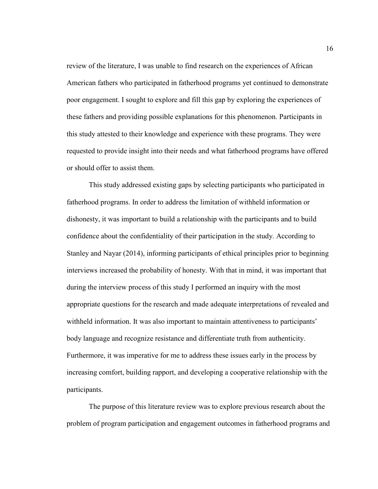review of the literature, I was unable to find research on the experiences of African American fathers who participated in fatherhood programs yet continued to demonstrate poor engagement. I sought to explore and fill this gap by exploring the experiences of these fathers and providing possible explanations for this phenomenon. Participants in this study attested to their knowledge and experience with these programs. They were requested to provide insight into their needs and what fatherhood programs have offered or should offer to assist them.

This study addressed existing gaps by selecting participants who participated in fatherhood programs. In order to address the limitation of withheld information or dishonesty, it was important to build a relationship with the participants and to build confidence about the confidentiality of their participation in the study. According to Stanley and Nayar (2014), informing participants of ethical principles prior to beginning interviews increased the probability of honesty. With that in mind, it was important that during the interview process of this study I performed an inquiry with the most appropriate questions for the research and made adequate interpretations of revealed and withheld information. It was also important to maintain attentiveness to participants' body language and recognize resistance and differentiate truth from authenticity. Furthermore, it was imperative for me to address these issues early in the process by increasing comfort, building rapport, and developing a cooperative relationship with the participants.

The purpose of this literature review was to explore previous research about the problem of program participation and engagement outcomes in fatherhood programs and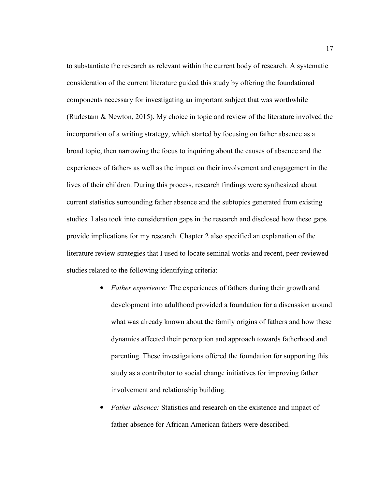to substantiate the research as relevant within the current body of research. A systematic consideration of the current literature guided this study by offering the foundational components necessary for investigating an important subject that was worthwhile (Rudestam & Newton, 2015). My choice in topic and review of the literature involved the incorporation of a writing strategy, which started by focusing on father absence as a broad topic, then narrowing the focus to inquiring about the causes of absence and the experiences of fathers as well as the impact on their involvement and engagement in the lives of their children. During this process, research findings were synthesized about current statistics surrounding father absence and the subtopics generated from existing studies. I also took into consideration gaps in the research and disclosed how these gaps provide implications for my research. Chapter 2 also specified an explanation of the literature review strategies that I used to locate seminal works and recent, peer-reviewed studies related to the following identifying criteria:

- *Father experience:* The experiences of fathers during their growth and development into adulthood provided a foundation for a discussion around what was already known about the family origins of fathers and how these dynamics affected their perception and approach towards fatherhood and parenting. These investigations offered the foundation for supporting this study as a contributor to social change initiatives for improving father involvement and relationship building.
- *Father absence:* Statistics and research on the existence and impact of father absence for African American fathers were described.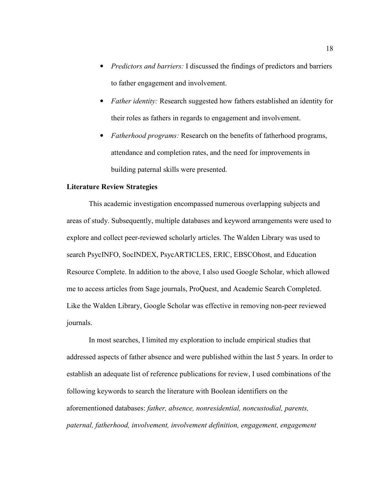- *Predictors and barriers:* I discussed the findings of predictors and barriers to father engagement and involvement.
- *Father identity:* Research suggested how fathers established an identity for their roles as fathers in regards to engagement and involvement.
- *Fatherhood programs:* Research on the benefits of fatherhood programs, attendance and completion rates, and the need for improvements in building paternal skills were presented.

#### **Literature Review Strategies**

This academic investigation encompassed numerous overlapping subjects and areas of study. Subsequently, multiple databases and keyword arrangements were used to explore and collect peer-reviewed scholarly articles. The Walden Library was used to search PsycINFO, SocINDEX, PsycARTICLES, ERIC, EBSCOhost, and Education Resource Complete. In addition to the above, I also used Google Scholar, which allowed me to access articles from Sage journals, ProQuest, and Academic Search Completed. Like the Walden Library, Google Scholar was effective in removing non-peer reviewed journals.

In most searches, I limited my exploration to include empirical studies that addressed aspects of father absence and were published within the last 5 years. In order to establish an adequate list of reference publications for review, I used combinations of the following keywords to search the literature with Boolean identifiers on the aforementioned databases: *father, absence, nonresidential, noncustodial, parents, paternal, fatherhood, involvement, involvement definition, engagement, engagement*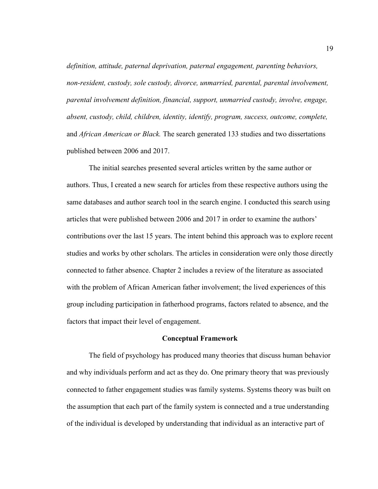*definition, attitude, paternal deprivation, paternal engagement, parenting behaviors, non-resident, custody, sole custody, divorce, unmarried, parental, parental involvement, parental involvement definition, financial, support, unmarried custody, involve, engage, absent, custody, child, children, identity, identify, program, success, outcome, complete,*  and *African American or Black.* The search generated 133 studies and two dissertations published between 2006 and 2017.

 The initial searches presented several articles written by the same author or authors. Thus, I created a new search for articles from these respective authors using the same databases and author search tool in the search engine. I conducted this search using articles that were published between 2006 and 2017 in order to examine the authors' contributions over the last 15 years. The intent behind this approach was to explore recent studies and works by other scholars. The articles in consideration were only those directly connected to father absence. Chapter 2 includes a review of the literature as associated with the problem of African American father involvement; the lived experiences of this group including participation in fatherhood programs, factors related to absence, and the factors that impact their level of engagement.

#### **Conceptual Framework**

The field of psychology has produced many theories that discuss human behavior and why individuals perform and act as they do. One primary theory that was previously connected to father engagement studies was family systems. Systems theory was built on the assumption that each part of the family system is connected and a true understanding of the individual is developed by understanding that individual as an interactive part of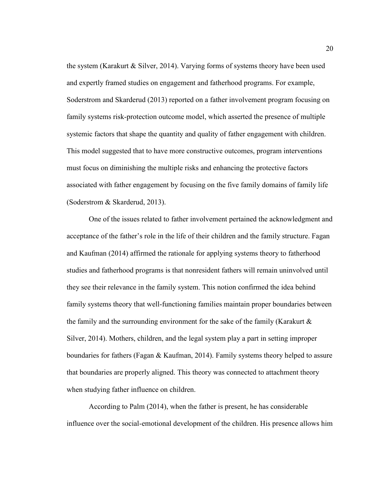the system (Karakurt & Silver, 2014). Varying forms of systems theory have been used and expertly framed studies on engagement and fatherhood programs. For example, Soderstrom and Skarderud (2013) reported on a father involvement program focusing on family systems risk-protection outcome model, which asserted the presence of multiple systemic factors that shape the quantity and quality of father engagement with children. This model suggested that to have more constructive outcomes, program interventions must focus on diminishing the multiple risks and enhancing the protective factors associated with father engagement by focusing on the five family domains of family life (Soderstrom & Skarderud, 2013).

 One of the issues related to father involvement pertained the acknowledgment and acceptance of the father's role in the life of their children and the family structure. Fagan and Kaufman (2014) affirmed the rationale for applying systems theory to fatherhood studies and fatherhood programs is that nonresident fathers will remain uninvolved until they see their relevance in the family system. This notion confirmed the idea behind family systems theory that well-functioning families maintain proper boundaries between the family and the surrounding environment for the sake of the family (Karakurt  $\&$ Silver, 2014). Mothers, children, and the legal system play a part in setting improper boundaries for fathers (Fagan & Kaufman, 2014). Family systems theory helped to assure that boundaries are properly aligned. This theory was connected to attachment theory when studying father influence on children.

 According to Palm (2014), when the father is present, he has considerable influence over the social-emotional development of the children. His presence allows him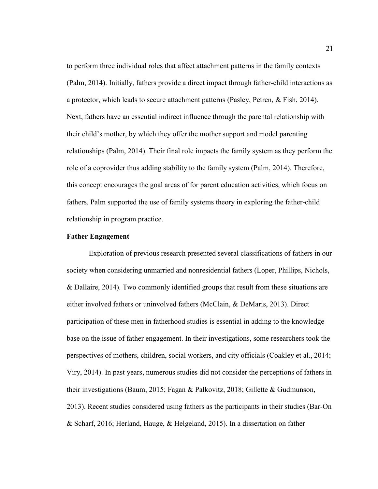to perform three individual roles that affect attachment patterns in the family contexts (Palm, 2014). Initially, fathers provide a direct impact through father-child interactions as a protector, which leads to secure attachment patterns (Pasley, Petren, & Fish, 2014). Next, fathers have an essential indirect influence through the parental relationship with their child's mother, by which they offer the mother support and model parenting relationships (Palm, 2014). Their final role impacts the family system as they perform the role of a coprovider thus adding stability to the family system (Palm, 2014). Therefore, this concept encourages the goal areas of for parent education activities, which focus on fathers. Palm supported the use of family systems theory in exploring the father-child relationship in program practice.

#### **Father Engagement**

Exploration of previous research presented several classifications of fathers in our society when considering unmarried and nonresidential fathers (Loper, Phillips, Nichols, & Dallaire, 2014). Two commonly identified groups that result from these situations are either involved fathers or uninvolved fathers (McClain, & DeMaris, 2013). Direct participation of these men in fatherhood studies is essential in adding to the knowledge base on the issue of father engagement. In their investigations, some researchers took the perspectives of mothers, children, social workers, and city officials (Coakley et al., 2014; Viry, 2014). In past years, numerous studies did not consider the perceptions of fathers in their investigations (Baum, 2015; Fagan & Palkovitz, 2018; Gillette & Gudmunson, 2013). Recent studies considered using fathers as the participants in their studies (Bar-On & Scharf, 2016; Herland, Hauge, & Helgeland, 2015). In a dissertation on father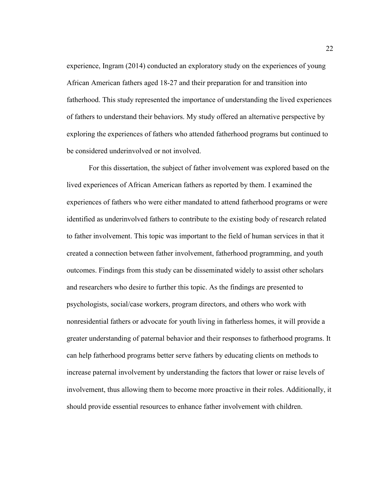experience, Ingram (2014) conducted an exploratory study on the experiences of young African American fathers aged 18-27 and their preparation for and transition into fatherhood. This study represented the importance of understanding the lived experiences of fathers to understand their behaviors. My study offered an alternative perspective by exploring the experiences of fathers who attended fatherhood programs but continued to be considered underinvolved or not involved.

For this dissertation, the subject of father involvement was explored based on the lived experiences of African American fathers as reported by them. I examined the experiences of fathers who were either mandated to attend fatherhood programs or were identified as underinvolved fathers to contribute to the existing body of research related to father involvement. This topic was important to the field of human services in that it created a connection between father involvement, fatherhood programming, and youth outcomes. Findings from this study can be disseminated widely to assist other scholars and researchers who desire to further this topic. As the findings are presented to psychologists, social/case workers, program directors, and others who work with nonresidential fathers or advocate for youth living in fatherless homes, it will provide a greater understanding of paternal behavior and their responses to fatherhood programs. It can help fatherhood programs better serve fathers by educating clients on methods to increase paternal involvement by understanding the factors that lower or raise levels of involvement, thus allowing them to become more proactive in their roles. Additionally, it should provide essential resources to enhance father involvement with children.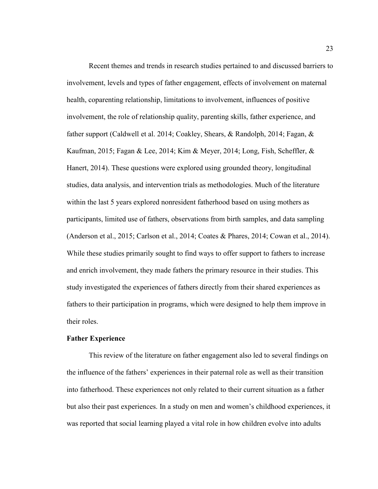Recent themes and trends in research studies pertained to and discussed barriers to involvement, levels and types of father engagement, effects of involvement on maternal health, coparenting relationship, limitations to involvement, influences of positive involvement, the role of relationship quality, parenting skills, father experience, and father support (Caldwell et al. 2014; Coakley, Shears, & Randolph, 2014; Fagan, & Kaufman, 2015; Fagan & Lee, 2014; Kim & Meyer, 2014; Long, Fish, Scheffler, & Hanert, 2014). These questions were explored using grounded theory, longitudinal studies, data analysis, and intervention trials as methodologies. Much of the literature within the last 5 years explored nonresident fatherhood based on using mothers as participants, limited use of fathers, observations from birth samples, and data sampling (Anderson et al., 2015; Carlson et al., 2014; Coates & Phares, 2014; Cowan et al., 2014). While these studies primarily sought to find ways to offer support to fathers to increase and enrich involvement, they made fathers the primary resource in their studies. This study investigated the experiences of fathers directly from their shared experiences as fathers to their participation in programs, which were designed to help them improve in their roles.

#### **Father Experience**

This review of the literature on father engagement also led to several findings on the influence of the fathers' experiences in their paternal role as well as their transition into fatherhood. These experiences not only related to their current situation as a father but also their past experiences. In a study on men and women's childhood experiences, it was reported that social learning played a vital role in how children evolve into adults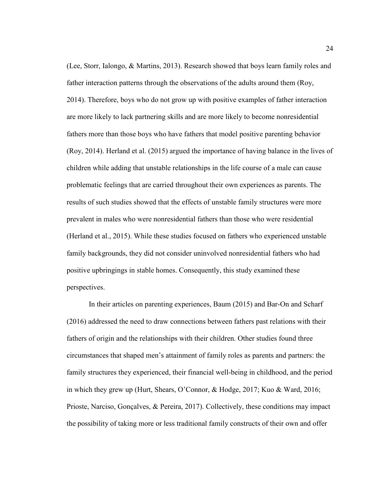(Lee, Storr, Ialongo, & Martins, 2013). Research showed that boys learn family roles and father interaction patterns through the observations of the adults around them (Roy, 2014). Therefore, boys who do not grow up with positive examples of father interaction are more likely to lack partnering skills and are more likely to become nonresidential fathers more than those boys who have fathers that model positive parenting behavior (Roy, 2014). Herland et al. (2015) argued the importance of having balance in the lives of children while adding that unstable relationships in the life course of a male can cause problematic feelings that are carried throughout their own experiences as parents. The results of such studies showed that the effects of unstable family structures were more prevalent in males who were nonresidential fathers than those who were residential (Herland et al., 2015). While these studies focused on fathers who experienced unstable family backgrounds, they did not consider uninvolved nonresidential fathers who had positive upbringings in stable homes. Consequently, this study examined these perspectives.

In their articles on parenting experiences, Baum (2015) and Bar-On and Scharf (2016) addressed the need to draw connections between fathers past relations with their fathers of origin and the relationships with their children. Other studies found three circumstances that shaped men's attainment of family roles as parents and partners: the family structures they experienced, their financial well-being in childhood, and the period in which they grew up (Hurt, Shears, O'Connor, & Hodge, 2017; Kuo & Ward, 2016; Prioste, Narciso, Gonçalves, & Pereira, 2017). Collectively, these conditions may impact the possibility of taking more or less traditional family constructs of their own and offer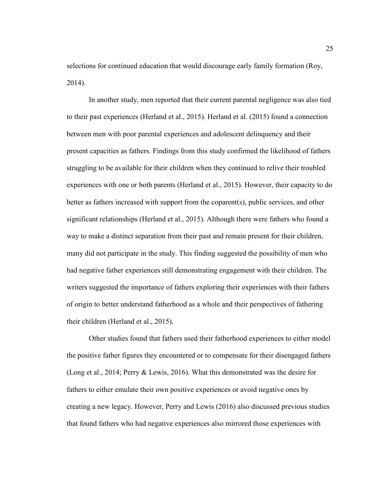selections for continued education that would discourage early family formation (Roy, 2014).

In another study, men reported that their current parental negligence was also tied to their past experiences (Herland et al., 2015). Herland et al. (2015) found a connection between men with poor parental experiences and adolescent delinquency and their present capacities as fathers. Findings from this study confirmed the likelihood of fathers struggling to be available for their children when they continued to relive their troubled experiences with one or both parents (Herland et al., 2015). However, their capacity to do better as fathers increased with support from the coparent(s), public services, and other significant relationships (Herland et al., 2015). Although there were fathers who found a way to make a distinct separation from their past and remain present for their children, many did not participate in the study. This finding suggested the possibility of men who had negative father experiences still demonstrating engagement with their children. The writers suggested the importance of fathers exploring their experiences with their fathers of origin to better understand fatherhood as a whole and their perspectives of fathering their children (Herland et al., 2015).

Other studies found that fathers used their fatherhood experiences to either model the positive father figures they encountered or to compensate for their disengaged fathers (Long et al., 2014; Perry & Lewis, 2016). What this demonstrated was the desire for fathers to either emulate their own positive experiences or avoid negative ones by creating a new legacy. However, Perry and Lewis (2016) also discussed previous studies that found fathers who had negative experiences also mirrored those experiences with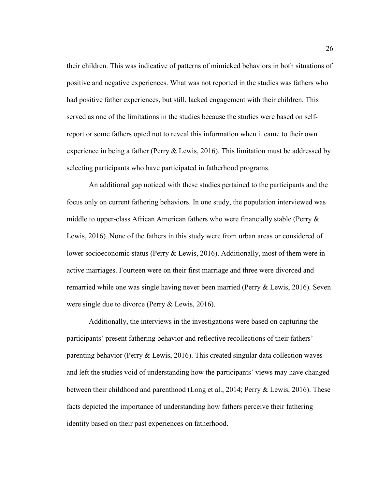their children. This was indicative of patterns of mimicked behaviors in both situations of positive and negative experiences. What was not reported in the studies was fathers who had positive father experiences, but still, lacked engagement with their children. This served as one of the limitations in the studies because the studies were based on selfreport or some fathers opted not to reveal this information when it came to their own experience in being a father (Perry  $&$  Lewis, 2016). This limitation must be addressed by selecting participants who have participated in fatherhood programs.

An additional gap noticed with these studies pertained to the participants and the focus only on current fathering behaviors. In one study, the population interviewed was middle to upper-class African American fathers who were financially stable (Perry  $\&$ Lewis, 2016). None of the fathers in this study were from urban areas or considered of lower socioeconomic status (Perry & Lewis, 2016). Additionally, most of them were in active marriages. Fourteen were on their first marriage and three were divorced and remarried while one was single having never been married (Perry & Lewis, 2016). Seven were single due to divorce (Perry & Lewis, 2016).

Additionally, the interviews in the investigations were based on capturing the participants' present fathering behavior and reflective recollections of their fathers' parenting behavior (Perry & Lewis, 2016). This created singular data collection waves and left the studies void of understanding how the participants' views may have changed between their childhood and parenthood (Long et al., 2014; Perry & Lewis, 2016). These facts depicted the importance of understanding how fathers perceive their fathering identity based on their past experiences on fatherhood.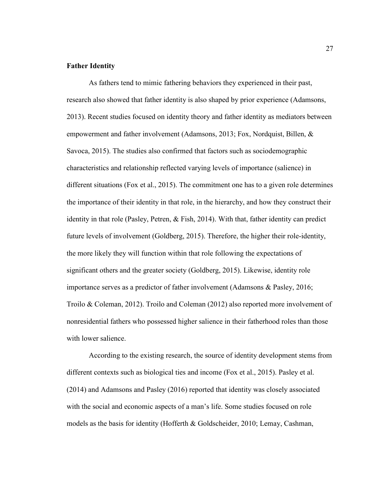# **Father Identity**

 As fathers tend to mimic fathering behaviors they experienced in their past, research also showed that father identity is also shaped by prior experience (Adamsons, 2013). Recent studies focused on identity theory and father identity as mediators between empowerment and father involvement (Adamsons, 2013; Fox, Nordquist, Billen, & Savoca, 2015). The studies also confirmed that factors such as sociodemographic characteristics and relationship reflected varying levels of importance (salience) in different situations (Fox et al., 2015). The commitment one has to a given role determines the importance of their identity in that role, in the hierarchy, and how they construct their identity in that role (Pasley, Petren, & Fish, 2014). With that, father identity can predict future levels of involvement (Goldberg, 2015). Therefore, the higher their role-identity, the more likely they will function within that role following the expectations of significant others and the greater society (Goldberg, 2015). Likewise, identity role importance serves as a predictor of father involvement (Adamsons & Pasley, 2016; Troilo & Coleman, 2012). Troilo and Coleman (2012) also reported more involvement of nonresidential fathers who possessed higher salience in their fatherhood roles than those with lower salience.

 According to the existing research, the source of identity development stems from different contexts such as biological ties and income (Fox et al., 2015). Pasley et al. (2014) and Adamsons and Pasley (2016) reported that identity was closely associated with the social and economic aspects of a man's life. Some studies focused on role models as the basis for identity (Hofferth & Goldscheider, 2010; Lemay, Cashman,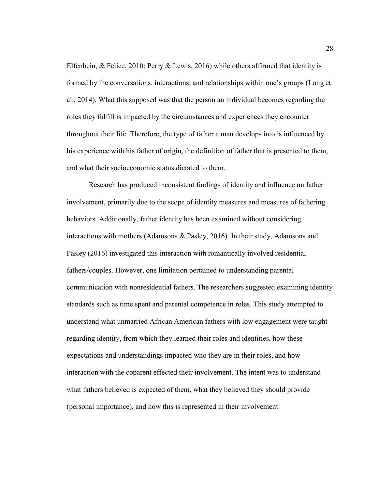Elfenbein, & Felice, 2010; Perry & Lewis, 2016) while others affirmed that identity is formed by the conversations, interactions, and relationships within one's groups (Long et al., 2014). What this supposed was that the person an individual becomes regarding the roles they fulfill is impacted by the circumstances and experiences they encounter throughout their life. Therefore, the type of father a man develops into is influenced by his experience with his father of origin, the definition of father that is presented to them, and what their socioeconomic status dictated to them.

Research has produced inconsistent findings of identity and influence on father involvement, primarily due to the scope of identity measures and measures of fathering behaviors. Additionally, father identity has been examined without considering interactions with mothers (Adamsons & Pasley, 2016). In their study, Adamsons and Pasley (2016) investigated this interaction with romantically involved residential fathers/couples. However, one limitation pertained to understanding parental communication with nonresidential fathers. The researchers suggested examining identity standards such as time spent and parental competence in roles. This study attempted to understand what unmarried African American fathers with low engagement were taught regarding identity, from which they learned their roles and identities, how these expectations and understandings impacted who they are in their roles, and how interaction with the coparent effected their involvement. The intent was to understand what fathers believed is expected of them, what they believed they should provide (personal importance), and how this is represented in their involvement.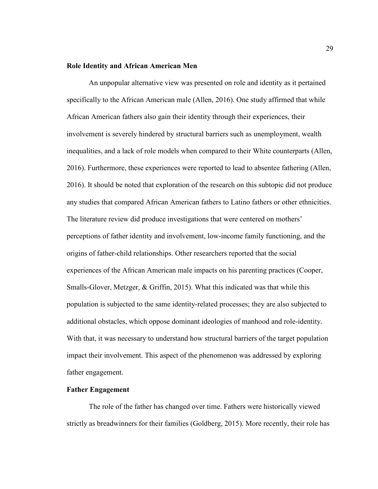## **Role Identity and African American Men**

An unpopular alternative view was presented on role and identity as it pertained specifically to the African American male (Allen, 2016). One study affirmed that while African American fathers also gain their identity through their experiences, their involvement is severely hindered by structural barriers such as unemployment, wealth inequalities, and a lack of role models when compared to their White counterparts (Allen, 2016). Furthermore, these experiences were reported to lead to absentee fathering (Allen, 2016). It should be noted that exploration of the research on this subtopic did not produce any studies that compared African American fathers to Latino fathers or other ethnicities. The literature review did produce investigations that were centered on mothers' perceptions of father identity and involvement, low-income family functioning, and the origins of father-child relationships. Other researchers reported that the social experiences of the African American male impacts on his parenting practices (Cooper, Smalls-Glover, Metzger, & Griffin, 2015). What this indicated was that while this population is subjected to the same identity-related processes; they are also subjected to additional obstacles, which oppose dominant ideologies of manhood and role-identity. With that, it was necessary to understand how structural barriers of the target population impact their involvement. This aspect of the phenomenon was addressed by exploring father engagement.

#### **Father Engagement**

 The role of the father has changed over time. Fathers were historically viewed strictly as breadwinners for their families (Goldberg, 2015). More recently, their role has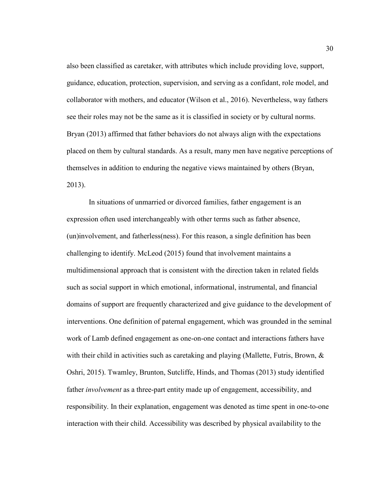also been classified as caretaker, with attributes which include providing love, support, guidance, education, protection, supervision, and serving as a confidant, role model, and collaborator with mothers, and educator (Wilson et al., 2016). Nevertheless, way fathers see their roles may not be the same as it is classified in society or by cultural norms. Bryan (2013) affirmed that father behaviors do not always align with the expectations placed on them by cultural standards. As a result, many men have negative perceptions of themselves in addition to enduring the negative views maintained by others (Bryan, 2013).

In situations of unmarried or divorced families, father engagement is an expression often used interchangeably with other terms such as father absence, (un)involvement, and fatherless(ness). For this reason, a single definition has been challenging to identify. McLeod (2015) found that involvement maintains a multidimensional approach that is consistent with the direction taken in related fields such as social support in which emotional, informational, instrumental, and financial domains of support are frequently characterized and give guidance to the development of interventions. One definition of paternal engagement, which was grounded in the seminal work of Lamb defined engagement as one-on-one contact and interactions fathers have with their child in activities such as caretaking and playing (Mallette, Futris, Brown,  $\&$ Oshri, 2015). Twamley, Brunton, Sutcliffe, Hinds, and Thomas (2013) study identified father *involvement* as a three-part entity made up of engagement, accessibility, and responsibility. In their explanation, engagement was denoted as time spent in one-to-one interaction with their child. Accessibility was described by physical availability to the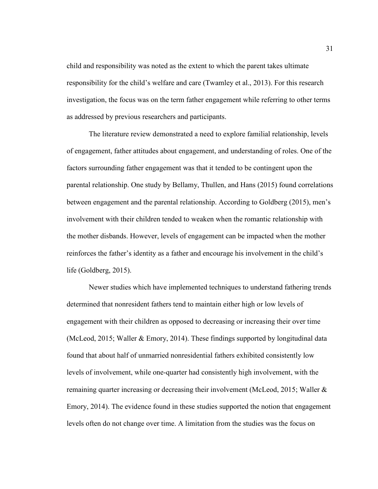child and responsibility was noted as the extent to which the parent takes ultimate responsibility for the child's welfare and care (Twamley et al., 2013). For this research investigation, the focus was on the term father engagement while referring to other terms as addressed by previous researchers and participants.

 The literature review demonstrated a need to explore familial relationship, levels of engagement, father attitudes about engagement, and understanding of roles. One of the factors surrounding father engagement was that it tended to be contingent upon the parental relationship. One study by Bellamy, Thullen, and Hans (2015) found correlations between engagement and the parental relationship. According to Goldberg (2015), men's involvement with their children tended to weaken when the romantic relationship with the mother disbands. However, levels of engagement can be impacted when the mother reinforces the father's identity as a father and encourage his involvement in the child's life (Goldberg, 2015).

 Newer studies which have implemented techniques to understand fathering trends determined that nonresident fathers tend to maintain either high or low levels of engagement with their children as opposed to decreasing or increasing their over time (McLeod, 2015; Waller & Emory, 2014). These findings supported by longitudinal data found that about half of unmarried nonresidential fathers exhibited consistently low levels of involvement, while one-quarter had consistently high involvement, with the remaining quarter increasing or decreasing their involvement (McLeod, 2015; Waller & Emory, 2014). The evidence found in these studies supported the notion that engagement levels often do not change over time. A limitation from the studies was the focus on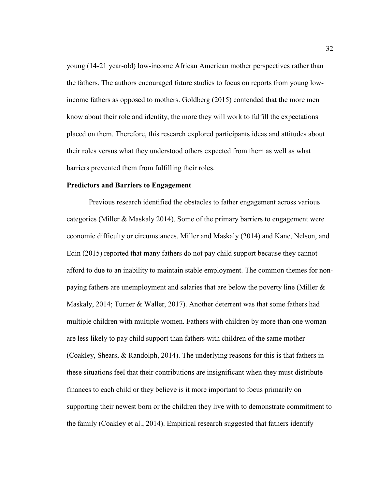young (14-21 year-old) low-income African American mother perspectives rather than the fathers. The authors encouraged future studies to focus on reports from young lowincome fathers as opposed to mothers. Goldberg (2015) contended that the more men know about their role and identity, the more they will work to fulfill the expectations placed on them. Therefore, this research explored participants ideas and attitudes about their roles versus what they understood others expected from them as well as what barriers prevented them from fulfilling their roles.

## **Predictors and Barriers to Engagement**

 Previous research identified the obstacles to father engagement across various categories (Miller & Maskaly 2014). Some of the primary barriers to engagement were economic difficulty or circumstances. Miller and Maskaly (2014) and Kane, Nelson, and Edin (2015) reported that many fathers do not pay child support because they cannot afford to due to an inability to maintain stable employment. The common themes for nonpaying fathers are unemployment and salaries that are below the poverty line (Miller & Maskaly, 2014; Turner & Waller, 2017). Another deterrent was that some fathers had multiple children with multiple women. Fathers with children by more than one woman are less likely to pay child support than fathers with children of the same mother (Coakley, Shears, & Randolph, 2014). The underlying reasons for this is that fathers in these situations feel that their contributions are insignificant when they must distribute finances to each child or they believe is it more important to focus primarily on supporting their newest born or the children they live with to demonstrate commitment to the family (Coakley et al., 2014). Empirical research suggested that fathers identify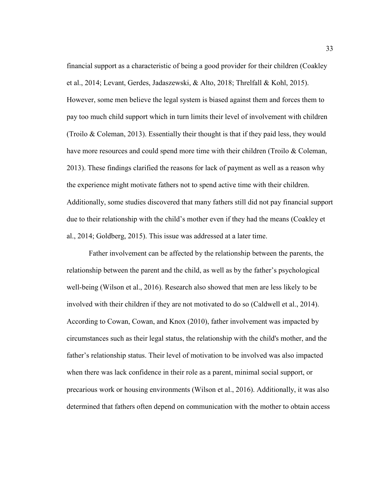financial support as a characteristic of being a good provider for their children (Coakley et al., 2014; Levant, Gerdes, Jadaszewski, & Alto, 2018; Threlfall & Kohl, 2015). However, some men believe the legal system is biased against them and forces them to pay too much child support which in turn limits their level of involvement with children (Troilo & Coleman, 2013). Essentially their thought is that if they paid less, they would have more resources and could spend more time with their children (Troilo & Coleman, 2013). These findings clarified the reasons for lack of payment as well as a reason why the experience might motivate fathers not to spend active time with their children. Additionally, some studies discovered that many fathers still did not pay financial support due to their relationship with the child's mother even if they had the means (Coakley et al., 2014; Goldberg, 2015). This issue was addressed at a later time.

Father involvement can be affected by the relationship between the parents, the relationship between the parent and the child, as well as by the father's psychological well-being (Wilson et al., 2016). Research also showed that men are less likely to be involved with their children if they are not motivated to do so (Caldwell et al., 2014). According to Cowan, Cowan, and Knox (2010), father involvement was impacted by circumstances such as their legal status, the relationship with the child's mother, and the father's relationship status. Their level of motivation to be involved was also impacted when there was lack confidence in their role as a parent, minimal social support, or precarious work or housing environments (Wilson et al., 2016). Additionally, it was also determined that fathers often depend on communication with the mother to obtain access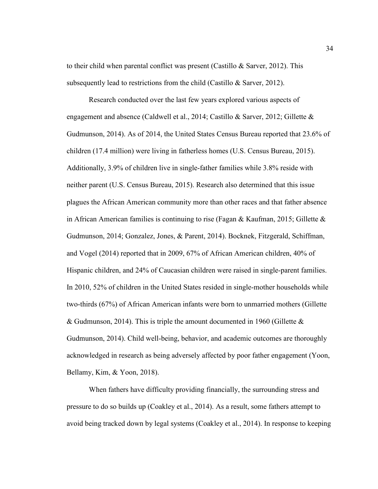to their child when parental conflict was present (Castillo  $&$  Sarver, 2012). This subsequently lead to restrictions from the child (Castillo & Sarver, 2012).

Research conducted over the last few years explored various aspects of engagement and absence (Caldwell et al., 2014; Castillo & Sarver, 2012; Gillette & Gudmunson, 2014). As of 2014, the United States Census Bureau reported that 23.6% of children (17.4 million) were living in fatherless homes (U.S. Census Bureau, 2015). Additionally, 3.9% of children live in single-father families while 3.8% reside with neither parent (U.S. Census Bureau, 2015). Research also determined that this issue plagues the African American community more than other races and that father absence in African American families is continuing to rise (Fagan & Kaufman, 2015; Gillette & Gudmunson, 2014; Gonzalez, Jones, & Parent, 2014). Bocknek, Fitzgerald, Schiffman, and Vogel (2014) reported that in 2009, 67% of African American children, 40% of Hispanic children, and 24% of Caucasian children were raised in single-parent families. In 2010, 52% of children in the United States resided in single-mother households while two-thirds (67%) of African American infants were born to unmarried mothers (Gillette & Gudmunson, 2014). This is triple the amount documented in 1960 (Gillette  $\&$ Gudmunson, 2014). Child well-being, behavior, and academic outcomes are thoroughly acknowledged in research as being adversely affected by poor father engagement (Yoon, Bellamy, Kim, & Yoon, 2018).

When fathers have difficulty providing financially, the surrounding stress and pressure to do so builds up (Coakley et al., 2014). As a result, some fathers attempt to avoid being tracked down by legal systems (Coakley et al., 2014). In response to keeping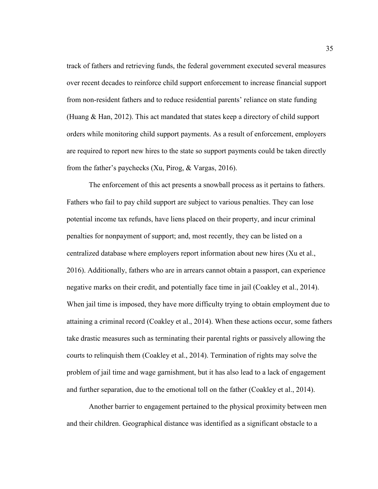track of fathers and retrieving funds, the federal government executed several measures over recent decades to reinforce child support enforcement to increase financial support from non-resident fathers and to reduce residential parents' reliance on state funding (Huang & Han, 2012). This act mandated that states keep a directory of child support orders while monitoring child support payments. As a result of enforcement, employers are required to report new hires to the state so support payments could be taken directly from the father's paychecks (Xu, Pirog, & Vargas, 2016).

The enforcement of this act presents a snowball process as it pertains to fathers. Fathers who fail to pay child support are subject to various penalties. They can lose potential income tax refunds, have liens placed on their property, and incur criminal penalties for nonpayment of support; and, most recently, they can be listed on a centralized database where employers report information about new hires (Xu et al., 2016). Additionally, fathers who are in arrears cannot obtain a passport, can experience negative marks on their credit, and potentially face time in jail (Coakley et al., 2014). When jail time is imposed, they have more difficulty trying to obtain employment due to attaining a criminal record (Coakley et al., 2014). When these actions occur, some fathers take drastic measures such as terminating their parental rights or passively allowing the courts to relinquish them (Coakley et al., 2014). Termination of rights may solve the problem of jail time and wage garnishment, but it has also lead to a lack of engagement and further separation, due to the emotional toll on the father (Coakley et al., 2014).

 Another barrier to engagement pertained to the physical proximity between men and their children. Geographical distance was identified as a significant obstacle to a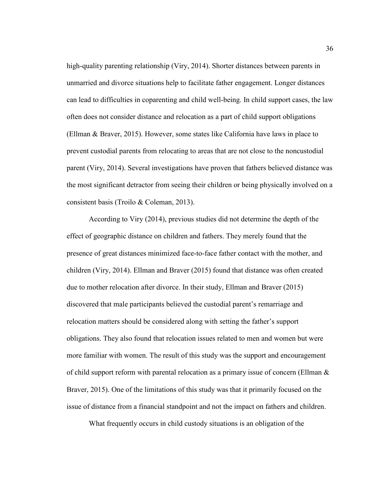high-quality parenting relationship (Viry, 2014). Shorter distances between parents in unmarried and divorce situations help to facilitate father engagement. Longer distances can lead to difficulties in coparenting and child well-being. In child support cases, the law often does not consider distance and relocation as a part of child support obligations (Ellman & Braver, 2015). However, some states like California have laws in place to prevent custodial parents from relocating to areas that are not close to the noncustodial parent (Viry, 2014). Several investigations have proven that fathers believed distance was the most significant detractor from seeing their children or being physically involved on a consistent basis (Troilo & Coleman, 2013).

According to Viry (2014), previous studies did not determine the depth of the effect of geographic distance on children and fathers. They merely found that the presence of great distances minimized face-to-face father contact with the mother, and children (Viry, 2014). Ellman and Braver (2015) found that distance was often created due to mother relocation after divorce. In their study, Ellman and Braver (2015) discovered that male participants believed the custodial parent's remarriage and relocation matters should be considered along with setting the father's support obligations. They also found that relocation issues related to men and women but were more familiar with women. The result of this study was the support and encouragement of child support reform with parental relocation as a primary issue of concern (Ellman  $\&$ Braver, 2015). One of the limitations of this study was that it primarily focused on the issue of distance from a financial standpoint and not the impact on fathers and children.

What frequently occurs in child custody situations is an obligation of the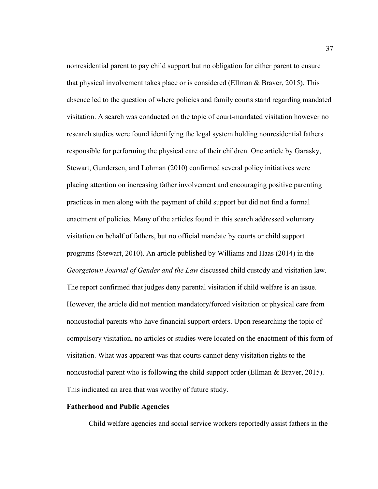nonresidential parent to pay child support but no obligation for either parent to ensure that physical involvement takes place or is considered (Ellman & Braver, 2015). This absence led to the question of where policies and family courts stand regarding mandated visitation. A search was conducted on the topic of court-mandated visitation however no research studies were found identifying the legal system holding nonresidential fathers responsible for performing the physical care of their children. One article by Garasky, Stewart, Gundersen, and Lohman (2010) confirmed several policy initiatives were placing attention on increasing father involvement and encouraging positive parenting practices in men along with the payment of child support but did not find a formal enactment of policies. Many of the articles found in this search addressed voluntary visitation on behalf of fathers, but no official mandate by courts or child support programs (Stewart, 2010). An article published by Williams and Haas (2014) in the *Georgetown Journal of Gender and the Law* discussed child custody and visitation law. The report confirmed that judges deny parental visitation if child welfare is an issue. However, the article did not mention mandatory/forced visitation or physical care from noncustodial parents who have financial support orders. Upon researching the topic of compulsory visitation, no articles or studies were located on the enactment of this form of visitation. What was apparent was that courts cannot deny visitation rights to the noncustodial parent who is following the child support order (Ellman & Braver, 2015). This indicated an area that was worthy of future study.

# **Fatherhood and Public Agencies**

Child welfare agencies and social service workers reportedly assist fathers in the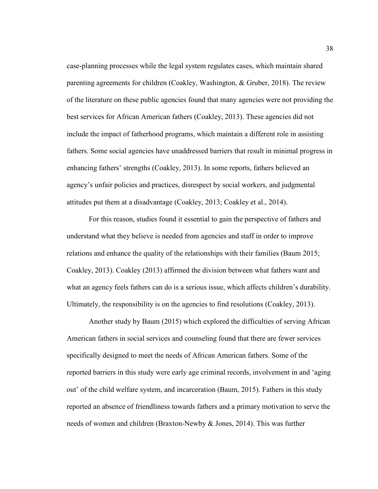case-planning processes while the legal system regulates cases, which maintain shared parenting agreements for children (Coakley, Washington, & Gruber, 2018). The review of the literature on these public agencies found that many agencies were not providing the best services for African American fathers (Coakley, 2013). These agencies did not include the impact of fatherhood programs, which maintain a different role in assisting fathers. Some social agencies have unaddressed barriers that result in minimal progress in enhancing fathers' strengths (Coakley, 2013). In some reports, fathers believed an agency's unfair policies and practices, disrespect by social workers, and judgmental attitudes put them at a disadvantage (Coakley, 2013; Coakley et al., 2014).

For this reason, studies found it essential to gain the perspective of fathers and understand what they believe is needed from agencies and staff in order to improve relations and enhance the quality of the relationships with their families (Baum 2015; Coakley, 2013). Coakley (2013) affirmed the division between what fathers want and what an agency feels fathers can do is a serious issue, which affects children's durability. Ultimately, the responsibility is on the agencies to find resolutions (Coakley, 2013).

 Another study by Baum (2015) which explored the difficulties of serving African American fathers in social services and counseling found that there are fewer services specifically designed to meet the needs of African American fathers. Some of the reported barriers in this study were early age criminal records, involvement in and 'aging out' of the child welfare system, and incarceration (Baum, 2015). Fathers in this study reported an absence of friendliness towards fathers and a primary motivation to serve the needs of women and children (Braxton-Newby  $&$  Jones, 2014). This was further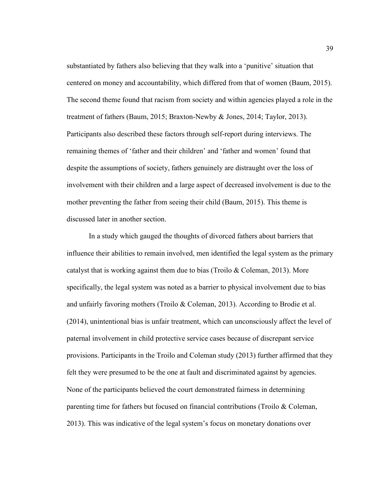substantiated by fathers also believing that they walk into a 'punitive' situation that centered on money and accountability, which differed from that of women (Baum, 2015). The second theme found that racism from society and within agencies played a role in the treatment of fathers (Baum, 2015; Braxton-Newby & Jones, 2014; Taylor, 2013). Participants also described these factors through self-report during interviews. The remaining themes of 'father and their children' and 'father and women' found that despite the assumptions of society, fathers genuinely are distraught over the loss of involvement with their children and a large aspect of decreased involvement is due to the mother preventing the father from seeing their child (Baum, 2015). This theme is discussed later in another section.

In a study which gauged the thoughts of divorced fathers about barriers that influence their abilities to remain involved, men identified the legal system as the primary catalyst that is working against them due to bias (Troilo & Coleman, 2013). More specifically, the legal system was noted as a barrier to physical involvement due to bias and unfairly favoring mothers (Troilo & Coleman, 2013). According to Brodie et al. (2014), unintentional bias is unfair treatment, which can unconsciously affect the level of paternal involvement in child protective service cases because of discrepant service provisions. Participants in the Troilo and Coleman study (2013) further affirmed that they felt they were presumed to be the one at fault and discriminated against by agencies. None of the participants believed the court demonstrated fairness in determining parenting time for fathers but focused on financial contributions (Troilo & Coleman, 2013). This was indicative of the legal system's focus on monetary donations over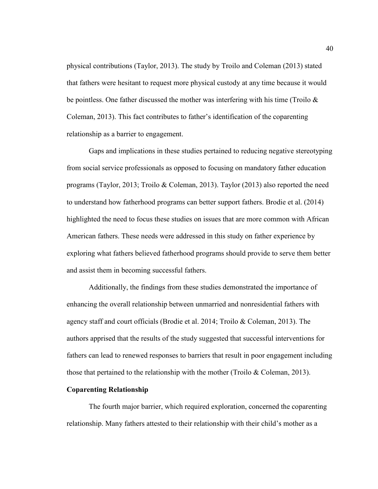physical contributions (Taylor, 2013). The study by Troilo and Coleman (2013) stated that fathers were hesitant to request more physical custody at any time because it would be pointless. One father discussed the mother was interfering with his time (Troilo  $\&$ Coleman, 2013). This fact contributes to father's identification of the coparenting relationship as a barrier to engagement.

 Gaps and implications in these studies pertained to reducing negative stereotyping from social service professionals as opposed to focusing on mandatory father education programs (Taylor, 2013; Troilo & Coleman, 2013). Taylor (2013) also reported the need to understand how fatherhood programs can better support fathers. Brodie et al. (2014) highlighted the need to focus these studies on issues that are more common with African American fathers. These needs were addressed in this study on father experience by exploring what fathers believed fatherhood programs should provide to serve them better and assist them in becoming successful fathers.

Additionally, the findings from these studies demonstrated the importance of enhancing the overall relationship between unmarried and nonresidential fathers with agency staff and court officials (Brodie et al. 2014; Troilo & Coleman, 2013). The authors apprised that the results of the study suggested that successful interventions for fathers can lead to renewed responses to barriers that result in poor engagement including those that pertained to the relationship with the mother (Troilo & Coleman, 2013).

### **Coparenting Relationship**

 The fourth major barrier, which required exploration, concerned the coparenting relationship. Many fathers attested to their relationship with their child's mother as a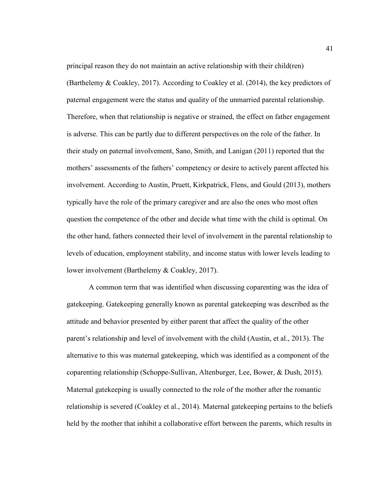principal reason they do not maintain an active relationship with their child(ren) (Barthelemy & Coakley, 2017). According to Coakley et al. (2014), the key predictors of paternal engagement were the status and quality of the unmarried parental relationship. Therefore, when that relationship is negative or strained, the effect on father engagement is adverse. This can be partly due to different perspectives on the role of the father. In their study on paternal involvement, Sano, Smith, and Lanigan (2011) reported that the mothers' assessments of the fathers' competency or desire to actively parent affected his involvement. According to Austin, Pruett, Kirkpatrick, Flens, and Gould (2013), mothers typically have the role of the primary caregiver and are also the ones who most often question the competence of the other and decide what time with the child is optimal. On the other hand, fathers connected their level of involvement in the parental relationship to levels of education, employment stability, and income status with lower levels leading to lower involvement (Barthelemy & Coakley, 2017).

 A common term that was identified when discussing coparenting was the idea of gatekeeping. Gatekeeping generally known as parental gatekeeping was described as the attitude and behavior presented by either parent that affect the quality of the other parent's relationship and level of involvement with the child (Austin, et al., 2013). The alternative to this was maternal gatekeeping, which was identified as a component of the coparenting relationship (Schoppe-Sullivan, Altenburger, Lee, Bower, & Dush, 2015). Maternal gatekeeping is usually connected to the role of the mother after the romantic relationship is severed (Coakley et al., 2014). Maternal gatekeeping pertains to the beliefs held by the mother that inhibit a collaborative effort between the parents, which results in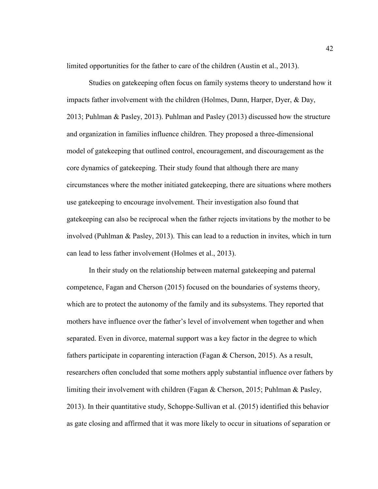limited opportunities for the father to care of the children (Austin et al., 2013).

 Studies on gatekeeping often focus on family systems theory to understand how it impacts father involvement with the children (Holmes, Dunn, Harper, Dyer, & Day, 2013; Puhlman & Pasley, 2013). Puhlman and Pasley (2013) discussed how the structure and organization in families influence children. They proposed a three-dimensional model of gatekeeping that outlined control, encouragement, and discouragement as the core dynamics of gatekeeping. Their study found that although there are many circumstances where the mother initiated gatekeeping, there are situations where mothers use gatekeeping to encourage involvement. Their investigation also found that gatekeeping can also be reciprocal when the father rejects invitations by the mother to be involved (Puhlman & Pasley, 2013). This can lead to a reduction in invites, which in turn can lead to less father involvement (Holmes et al., 2013).

In their study on the relationship between maternal gatekeeping and paternal competence, Fagan and Cherson (2015) focused on the boundaries of systems theory, which are to protect the autonomy of the family and its subsystems. They reported that mothers have influence over the father's level of involvement when together and when separated. Even in divorce, maternal support was a key factor in the degree to which fathers participate in coparenting interaction (Fagan & Cherson, 2015). As a result, researchers often concluded that some mothers apply substantial influence over fathers by limiting their involvement with children (Fagan & Cherson, 2015; Puhlman & Pasley, 2013). In their quantitative study, Schoppe-Sullivan et al. (2015) identified this behavior as gate closing and affirmed that it was more likely to occur in situations of separation or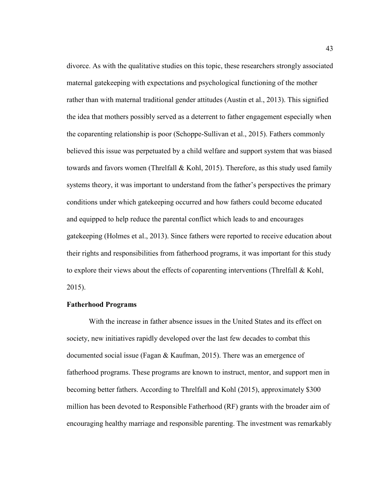divorce. As with the qualitative studies on this topic, these researchers strongly associated maternal gatekeeping with expectations and psychological functioning of the mother rather than with maternal traditional gender attitudes (Austin et al., 2013). This signified the idea that mothers possibly served as a deterrent to father engagement especially when the coparenting relationship is poor (Schoppe-Sullivan et al., 2015). Fathers commonly believed this issue was perpetuated by a child welfare and support system that was biased towards and favors women (Threlfall  $&$  Kohl, 2015). Therefore, as this study used family systems theory, it was important to understand from the father's perspectives the primary conditions under which gatekeeping occurred and how fathers could become educated and equipped to help reduce the parental conflict which leads to and encourages gatekeeping (Holmes et al., 2013). Since fathers were reported to receive education about their rights and responsibilities from fatherhood programs, it was important for this study to explore their views about the effects of coparenting interventions (Threlfall  $\&$  Kohl, 2015).

## **Fatherhood Programs**

 With the increase in father absence issues in the United States and its effect on society, new initiatives rapidly developed over the last few decades to combat this documented social issue (Fagan & Kaufman, 2015). There was an emergence of fatherhood programs. These programs are known to instruct, mentor, and support men in becoming better fathers. According to Threlfall and Kohl (2015), approximately \$300 million has been devoted to Responsible Fatherhood (RF) grants with the broader aim of encouraging healthy marriage and responsible parenting. The investment was remarkably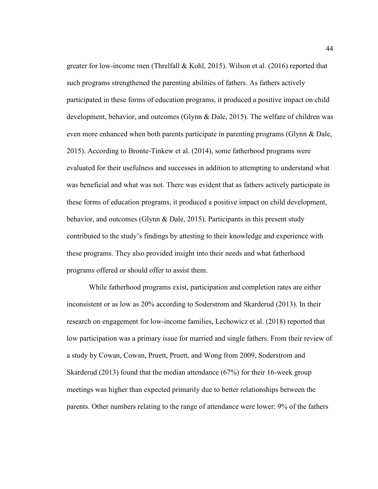greater for low-income men (Threlfall & Kohl, 2015). Wilson et al. (2016) reported that such programs strengthened the parenting abilities of fathers. As fathers actively participated in these forms of education programs, it produced a positive impact on child development, behavior, and outcomes (Glynn & Dale, 2015). The welfare of children was even more enhanced when both parents participate in parenting programs (Glynn & Dale, 2015). According to Bronte-Tinkew et al. (2014), some fatherhood programs were evaluated for their usefulness and successes in addition to attempting to understand what was beneficial and what was not. There was evident that as fathers actively participate in these forms of education programs, it produced a positive impact on child development, behavior, and outcomes (Glynn & Dale, 2015). Participants in this present study contributed to the study's findings by attesting to their knowledge and experience with these programs. They also provided insight into their needs and what fatherhood programs offered or should offer to assist them.

While fatherhood programs exist, participation and completion rates are either inconsistent or as low as 20% according to Soderstrom and Skarderud (2013). In their research on engagement for low-income families, Lechowicz et al. (2018) reported that low participation was a primary issue for married and single fathers. From their review of a study by Cowan, Cowan, Pruett, Pruett, and Wong from 2009, Soderstrom and Skarderud (2013) found that the median attendance (67%) for their 16-week group meetings was higher than expected primarily due to better relationships between the parents. Other numbers relating to the range of attendance were lower: 9% of the fathers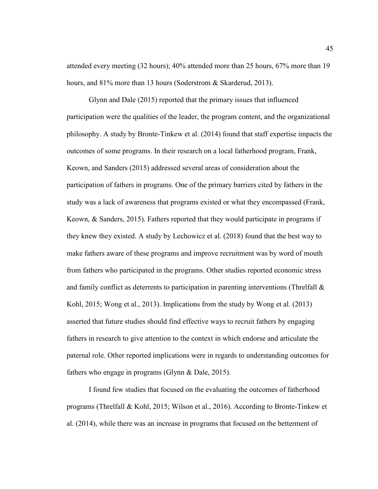attended every meeting (32 hours); 40% attended more than 25 hours, 67% more than 19 hours, and 81% more than 13 hours (Soderstrom & Skarderud, 2013).

Glynn and Dale (2015) reported that the primary issues that influenced participation were the qualities of the leader, the program content, and the organizational philosophy. A study by Bronte-Tinkew et al. (2014) found that staff expertise impacts the outcomes of some programs. In their research on a local fatherhood program, Frank, Keown, and Sanders (2015) addressed several areas of consideration about the participation of fathers in programs. One of the primary barriers cited by fathers in the study was a lack of awareness that programs existed or what they encompassed (Frank, Keown, & Sanders, 2015). Fathers reported that they would participate in programs if they knew they existed. A study by Lechowicz et al. (2018) found that the best way to make fathers aware of these programs and improve recruitment was by word of mouth from fathers who participated in the programs. Other studies reported economic stress and family conflict as deterrents to participation in parenting interventions (Threlfall  $\&$ Kohl, 2015; Wong et al., 2013). Implications from the study by Wong et al. (2013) asserted that future studies should find effective ways to recruit fathers by engaging fathers in research to give attention to the context in which endorse and articulate the paternal role. Other reported implications were in regards to understanding outcomes for fathers who engage in programs (Glynn & Dale, 2015).

 I found few studies that focused on the evaluating the outcomes of fatherhood programs (Threlfall & Kohl, 2015; Wilson et al., 2016). According to Bronte-Tinkew et al. (2014), while there was an increase in programs that focused on the betterment of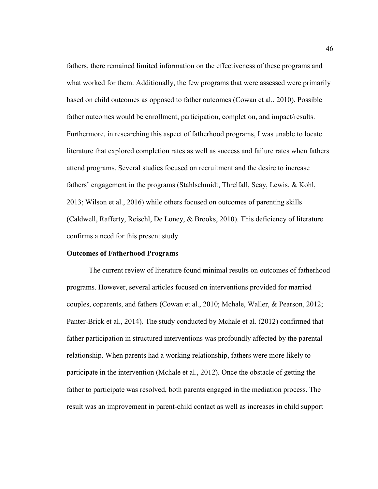fathers, there remained limited information on the effectiveness of these programs and what worked for them. Additionally, the few programs that were assessed were primarily based on child outcomes as opposed to father outcomes (Cowan et al., 2010). Possible father outcomes would be enrollment, participation, completion, and impact/results. Furthermore, in researching this aspect of fatherhood programs, I was unable to locate literature that explored completion rates as well as success and failure rates when fathers attend programs. Several studies focused on recruitment and the desire to increase fathers' engagement in the programs (Stahlschmidt, Threlfall, Seay, Lewis, & Kohl, 2013; Wilson et al., 2016) while others focused on outcomes of parenting skills (Caldwell, Rafferty, Reischl, De Loney, & Brooks, 2010). This deficiency of literature confirms a need for this present study.

### **Outcomes of Fatherhood Programs**

 The current review of literature found minimal results on outcomes of fatherhood programs. However, several articles focused on interventions provided for married couples, coparents, and fathers (Cowan et al., 2010; Mchale, Waller, & Pearson, 2012; Panter-Brick et al., 2014). The study conducted by Mchale et al. (2012) confirmed that father participation in structured interventions was profoundly affected by the parental relationship. When parents had a working relationship, fathers were more likely to participate in the intervention (Mchale et al., 2012). Once the obstacle of getting the father to participate was resolved, both parents engaged in the mediation process. The result was an improvement in parent-child contact as well as increases in child support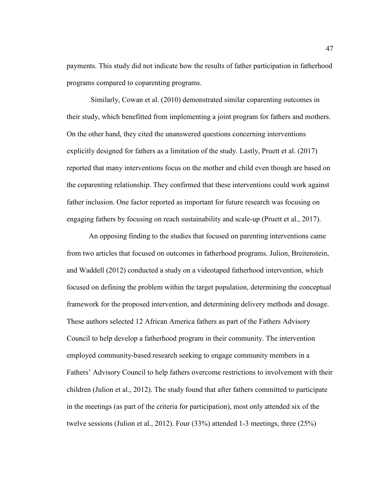payments. This study did not indicate how the results of father participation in fatherhood programs compared to coparenting programs.

 Similarly, Cowan et al. (2010) demonstrated similar coparenting outcomes in their study, which benefitted from implementing a joint program for fathers and mothers. On the other hand, they cited the unanswered questions concerning interventions explicitly designed for fathers as a limitation of the study. Lastly, Pruett et al. (2017) reported that many interventions focus on the mother and child even though are based on the coparenting relationship. They confirmed that these interventions could work against father inclusion. One factor reported as important for future research was focusing on engaging fathers by focusing on reach sustainability and scale-up (Pruett et al., 2017).

 An opposing finding to the studies that focused on parenting interventions came from two articles that focused on outcomes in fatherhood programs. Julion, Breitenstein, and Waddell (2012) conducted a study on a videotaped fatherhood intervention, which focused on defining the problem within the target population, determining the conceptual framework for the proposed intervention, and determining delivery methods and dosage. These authors selected 12 African America fathers as part of the Fathers Advisory Council to help develop a fatherhood program in their community. The intervention employed community-based research seeking to engage community members in a Fathers' Advisory Council to help fathers overcome restrictions to involvement with their children (Julion et al., 2012). The study found that after fathers committed to participate in the meetings (as part of the criteria for participation), most only attended six of the twelve sessions (Julion et al., 2012). Four (33%) attended 1-3 meetings, three (25%)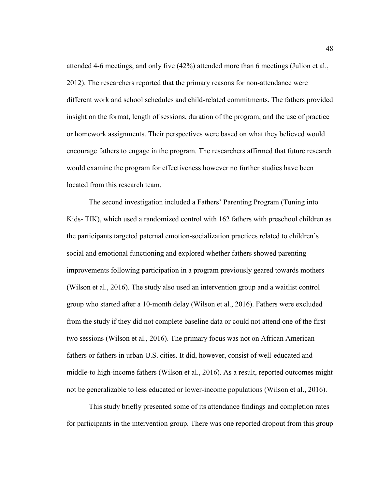attended 4-6 meetings, and only five (42%) attended more than 6 meetings (Julion et al., 2012). The researchers reported that the primary reasons for non-attendance were different work and school schedules and child-related commitments. The fathers provided insight on the format, length of sessions, duration of the program, and the use of practice or homework assignments. Their perspectives were based on what they believed would encourage fathers to engage in the program. The researchers affirmed that future research would examine the program for effectiveness however no further studies have been located from this research team.

 The second investigation included a Fathers' Parenting Program (Tuning into Kids- TIK), which used a randomized control with 162 fathers with preschool children as the participants targeted paternal emotion-socialization practices related to children's social and emotional functioning and explored whether fathers showed parenting improvements following participation in a program previously geared towards mothers (Wilson et al., 2016). The study also used an intervention group and a waitlist control group who started after a 10-month delay (Wilson et al., 2016). Fathers were excluded from the study if they did not complete baseline data or could not attend one of the first two sessions (Wilson et al., 2016). The primary focus was not on African American fathers or fathers in urban U.S. cities. It did, however, consist of well-educated and middle-to high-income fathers (Wilson et al., 2016). As a result, reported outcomes might not be generalizable to less educated or lower-income populations (Wilson et al., 2016).

 This study briefly presented some of its attendance findings and completion rates for participants in the intervention group. There was one reported dropout from this group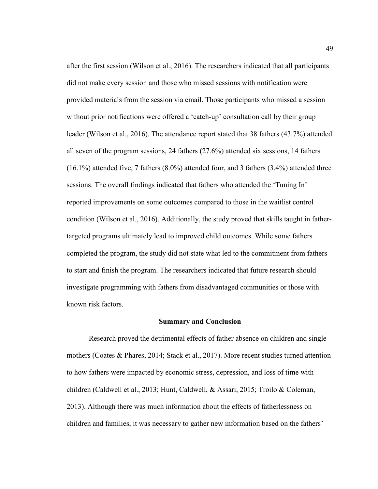after the first session (Wilson et al., 2016). The researchers indicated that all participants did not make every session and those who missed sessions with notification were provided materials from the session via email. Those participants who missed a session without prior notifications were offered a 'catch-up' consultation call by their group leader (Wilson et al., 2016). The attendance report stated that 38 fathers (43.7%) attended all seven of the program sessions, 24 fathers (27.6%) attended six sessions, 14 fathers (16.1%) attended five, 7 fathers (8.0%) attended four, and 3 fathers (3.4%) attended three sessions. The overall findings indicated that fathers who attended the 'Tuning In' reported improvements on some outcomes compared to those in the waitlist control condition (Wilson et al., 2016). Additionally, the study proved that skills taught in fathertargeted programs ultimately lead to improved child outcomes. While some fathers completed the program, the study did not state what led to the commitment from fathers to start and finish the program. The researchers indicated that future research should investigate programming with fathers from disadvantaged communities or those with known risk factors.

#### **Summary and Conclusion**

Research proved the detrimental effects of father absence on children and single mothers (Coates & Phares, 2014; Stack et al., 2017). More recent studies turned attention to how fathers were impacted by economic stress, depression, and loss of time with children (Caldwell et al., 2013; Hunt, Caldwell, & Assari, 2015; Troilo & Coleman, 2013). Although there was much information about the effects of fatherlessness on children and families, it was necessary to gather new information based on the fathers'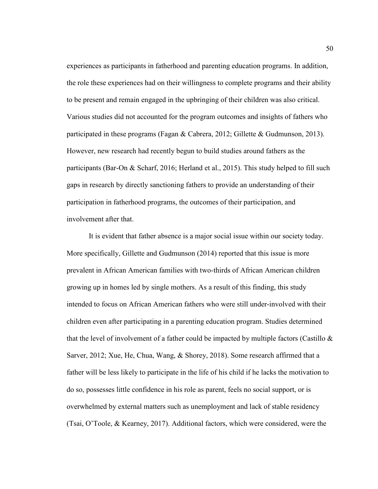experiences as participants in fatherhood and parenting education programs. In addition, the role these experiences had on their willingness to complete programs and their ability to be present and remain engaged in the upbringing of their children was also critical. Various studies did not accounted for the program outcomes and insights of fathers who participated in these programs (Fagan & Cabrera, 2012; Gillette & Gudmunson, 2013). However, new research had recently begun to build studies around fathers as the participants (Bar-On & Scharf, 2016; Herland et al., 2015). This study helped to fill such gaps in research by directly sanctioning fathers to provide an understanding of their participation in fatherhood programs, the outcomes of their participation, and involvement after that.

 It is evident that father absence is a major social issue within our society today. More specifically, Gillette and Gudmunson (2014) reported that this issue is more prevalent in African American families with two-thirds of African American children growing up in homes led by single mothers. As a result of this finding, this study intended to focus on African American fathers who were still under-involved with their children even after participating in a parenting education program. Studies determined that the level of involvement of a father could be impacted by multiple factors (Castillo  $\&$ Sarver, 2012; Xue, He, Chua, Wang, & Shorey, 2018). Some research affirmed that a father will be less likely to participate in the life of his child if he lacks the motivation to do so, possesses little confidence in his role as parent, feels no social support, or is overwhelmed by external matters such as unemployment and lack of stable residency (Tsai, O'Toole, & Kearney, 2017). Additional factors, which were considered, were the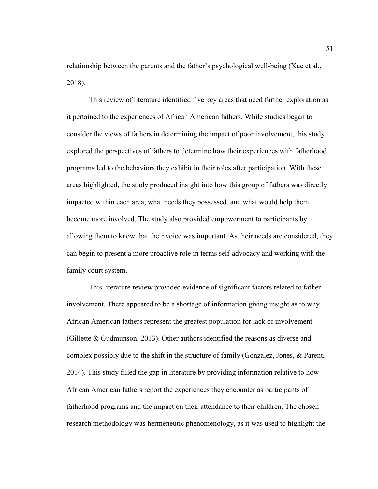relationship between the parents and the father's psychological well-being (Xue et al., 2018).

 This review of literature identified five key areas that need further exploration as it pertained to the experiences of African American fathers. While studies began to consider the views of fathers in determining the impact of poor involvement, this study explored the perspectives of fathers to determine how their experiences with fatherhood programs led to the behaviors they exhibit in their roles after participation. With these areas highlighted, the study produced insight into how this group of fathers was directly impacted within each area, what needs they possessed, and what would help them become more involved. The study also provided empowerment to participants by allowing them to know that their voice was important. As their needs are considered, they can begin to present a more proactive role in terms self-advocacy and working with the family court system.

 This literature review provided evidence of significant factors related to father involvement. There appeared to be a shortage of information giving insight as to why African American fathers represent the greatest population for lack of involvement (Gillette & Gudmunson, 2013). Other authors identified the reasons as diverse and complex possibly due to the shift in the structure of family (Gonzalez, Jones, & Parent, 2014). This study filled the gap in literature by providing information relative to how African American fathers report the experiences they encounter as participants of fatherhood programs and the impact on their attendance to their children. The chosen research methodology was hermeneutic phenomenology, as it was used to highlight the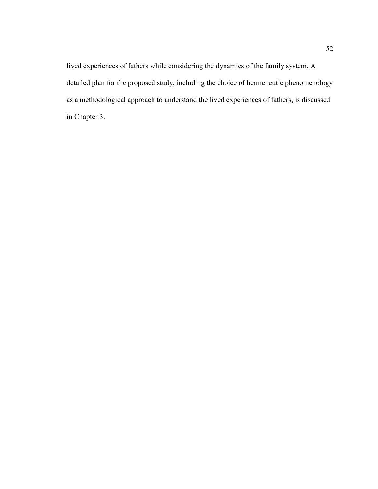lived experiences of fathers while considering the dynamics of the family system. A detailed plan for the proposed study, including the choice of hermeneutic phenomenology as a methodological approach to understand the lived experiences of fathers, is discussed in Chapter 3.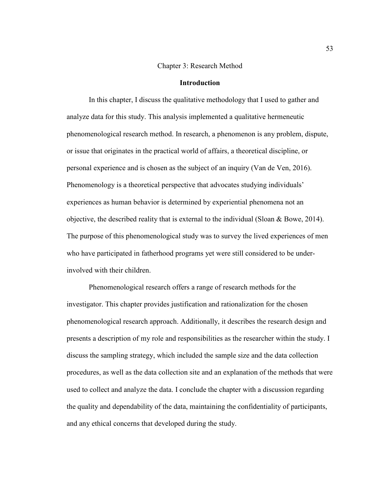## Chapter 3: Research Method

### **Introduction**

 In this chapter, I discuss the qualitative methodology that I used to gather and analyze data for this study. This analysis implemented a qualitative hermeneutic phenomenological research method. In research, a phenomenon is any problem, dispute, or issue that originates in the practical world of affairs, a theoretical discipline, or personal experience and is chosen as the subject of an inquiry (Van de Ven, 2016). Phenomenology is a theoretical perspective that advocates studying individuals' experiences as human behavior is determined by experiential phenomena not an objective, the described reality that is external to the individual (Sloan & Bowe, 2014). The purpose of this phenomenological study was to survey the lived experiences of men who have participated in fatherhood programs yet were still considered to be underinvolved with their children.

Phenomenological research offers a range of research methods for the investigator. This chapter provides justification and rationalization for the chosen phenomenological research approach. Additionally, it describes the research design and presents a description of my role and responsibilities as the researcher within the study. I discuss the sampling strategy, which included the sample size and the data collection procedures, as well as the data collection site and an explanation of the methods that were used to collect and analyze the data. I conclude the chapter with a discussion regarding the quality and dependability of the data, maintaining the confidentiality of participants, and any ethical concerns that developed during the study.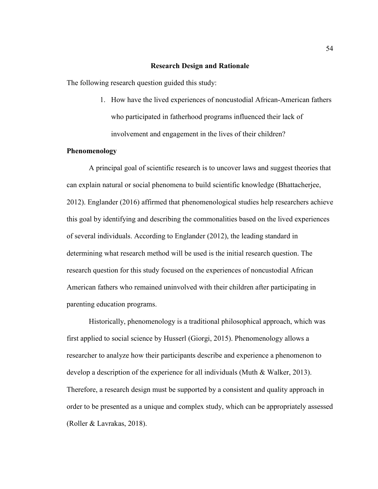## **Research Design and Rationale**

The following research question guided this study:

1. How have the lived experiences of noncustodial African-American fathers who participated in fatherhood programs influenced their lack of involvement and engagement in the lives of their children?

### **Phenomenology**

A principal goal of scientific research is to uncover laws and suggest theories that can explain natural or social phenomena to build scientific knowledge (Bhattacherjee, 2012). Englander (2016) affirmed that phenomenological studies help researchers achieve this goal by identifying and describing the commonalities based on the lived experiences of several individuals. According to Englander (2012), the leading standard in determining what research method will be used is the initial research question. The research question for this study focused on the experiences of noncustodial African American fathers who remained uninvolved with their children after participating in parenting education programs.

Historically, phenomenology is a traditional philosophical approach, which was first applied to social science by Husserl (Giorgi, 2015). Phenomenology allows a researcher to analyze how their participants describe and experience a phenomenon to develop a description of the experience for all individuals (Muth & Walker, 2013). Therefore, a research design must be supported by a consistent and quality approach in order to be presented as a unique and complex study, which can be appropriately assessed (Roller & Lavrakas, 2018).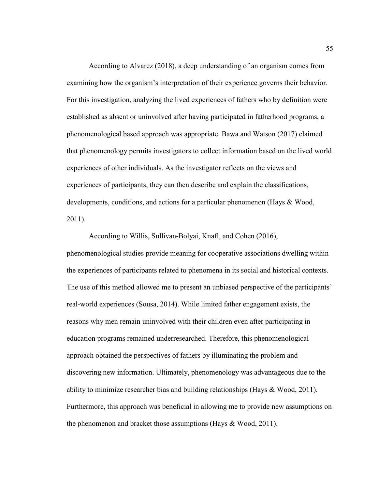According to Alvarez (2018), a deep understanding of an organism comes from examining how the organism's interpretation of their experience governs their behavior. For this investigation, analyzing the lived experiences of fathers who by definition were established as absent or uninvolved after having participated in fatherhood programs, a phenomenological based approach was appropriate. Bawa and Watson (2017) claimed that phenomenology permits investigators to collect information based on the lived world experiences of other individuals. As the investigator reflects on the views and experiences of participants, they can then describe and explain the classifications, developments, conditions, and actions for a particular phenomenon (Hays & Wood, 2011).

According to Willis, Sullivan-Bolyai, Knafl, and Cohen (2016), phenomenological studies provide meaning for cooperative associations dwelling within the experiences of participants related to phenomena in its social and historical contexts. The use of this method allowed me to present an unbiased perspective of the participants' real-world experiences (Sousa, 2014). While limited father engagement exists, the reasons why men remain uninvolved with their children even after participating in education programs remained underresearched. Therefore, this phenomenological approach obtained the perspectives of fathers by illuminating the problem and discovering new information. Ultimately, phenomenology was advantageous due to the ability to minimize researcher bias and building relationships (Hays  $\&$  Wood, 2011). Furthermore, this approach was beneficial in allowing me to provide new assumptions on the phenomenon and bracket those assumptions (Hays & Wood, 2011).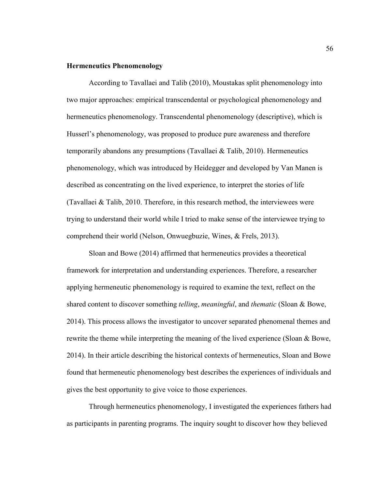# **Hermeneutics Phenomenology**

According to Tavallaei and Talib (2010), Moustakas split phenomenology into two major approaches: empirical transcendental or psychological phenomenology and hermeneutics phenomenology. Transcendental phenomenology (descriptive), which is Husserl's phenomenology, was proposed to produce pure awareness and therefore temporarily abandons any presumptions (Tavallaei & Talib, 2010). Hermeneutics phenomenology, which was introduced by Heidegger and developed by Van Manen is described as concentrating on the lived experience, to interpret the stories of life (Tavallaei & Talib, 2010. Therefore, in this research method, the interviewees were trying to understand their world while I tried to make sense of the interviewee trying to comprehend their world (Nelson, Onwuegbuzie, Wines, & Frels, 2013).

Sloan and Bowe (2014) affirmed that hermeneutics provides a theoretical framework for interpretation and understanding experiences. Therefore, a researcher applying hermeneutic phenomenology is required to examine the text, reflect on the shared content to discover something *telling*, *meaningful*, and *thematic* (Sloan & Bowe, 2014). This process allows the investigator to uncover separated phenomenal themes and rewrite the theme while interpreting the meaning of the lived experience (Sloan & Bowe, 2014). In their article describing the historical contexts of hermeneutics, Sloan and Bowe found that hermeneutic phenomenology best describes the experiences of individuals and gives the best opportunity to give voice to those experiences.

Through hermeneutics phenomenology, I investigated the experiences fathers had as participants in parenting programs. The inquiry sought to discover how they believed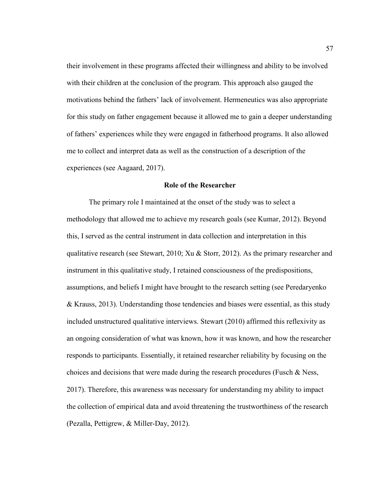their involvement in these programs affected their willingness and ability to be involved with their children at the conclusion of the program. This approach also gauged the motivations behind the fathers' lack of involvement. Hermeneutics was also appropriate for this study on father engagement because it allowed me to gain a deeper understanding of fathers' experiences while they were engaged in fatherhood programs. It also allowed me to collect and interpret data as well as the construction of a description of the experiences (see Aagaard, 2017).

# **Role of the Researcher**

The primary role I maintained at the onset of the study was to select a methodology that allowed me to achieve my research goals (see Kumar, 2012). Beyond this, I served as the central instrument in data collection and interpretation in this qualitative research (see Stewart, 2010; Xu & Storr, 2012). As the primary researcher and instrument in this qualitative study, I retained consciousness of the predispositions, assumptions, and beliefs I might have brought to the research setting (see Peredaryenko & Krauss, 2013). Understanding those tendencies and biases were essential, as this study included unstructured qualitative interviews. Stewart (2010) affirmed this reflexivity as an ongoing consideration of what was known, how it was known, and how the researcher responds to participants. Essentially, it retained researcher reliability by focusing on the choices and decisions that were made during the research procedures (Fusch  $\&$  Ness, 2017). Therefore, this awareness was necessary for understanding my ability to impact the collection of empirical data and avoid threatening the trustworthiness of the research (Pezalla, Pettigrew, & Miller-Day, 2012).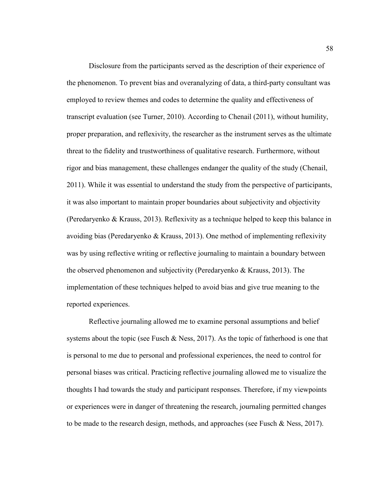Disclosure from the participants served as the description of their experience of the phenomenon. To prevent bias and overanalyzing of data, a third-party consultant was employed to review themes and codes to determine the quality and effectiveness of transcript evaluation (see Turner, 2010). According to Chenail (2011), without humility, proper preparation, and reflexivity, the researcher as the instrument serves as the ultimate threat to the fidelity and trustworthiness of qualitative research. Furthermore, without rigor and bias management, these challenges endanger the quality of the study (Chenail, 2011). While it was essential to understand the study from the perspective of participants, it was also important to maintain proper boundaries about subjectivity and objectivity (Peredaryenko & Krauss, 2013). Reflexivity as a technique helped to keep this balance in avoiding bias (Peredaryenko & Krauss, 2013). One method of implementing reflexivity was by using reflective writing or reflective journaling to maintain a boundary between the observed phenomenon and subjectivity (Peredaryenko & Krauss, 2013). The implementation of these techniques helped to avoid bias and give true meaning to the reported experiences.

Reflective journaling allowed me to examine personal assumptions and belief systems about the topic (see Fusch & Ness, 2017). As the topic of fatherhood is one that is personal to me due to personal and professional experiences, the need to control for personal biases was critical. Practicing reflective journaling allowed me to visualize the thoughts I had towards the study and participant responses. Therefore, if my viewpoints or experiences were in danger of threatening the research, journaling permitted changes to be made to the research design, methods, and approaches (see Fusch & Ness, 2017).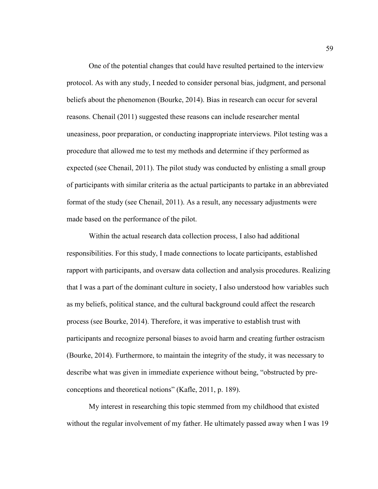One of the potential changes that could have resulted pertained to the interview protocol. As with any study, I needed to consider personal bias, judgment, and personal beliefs about the phenomenon (Bourke, 2014). Bias in research can occur for several reasons. Chenail (2011) suggested these reasons can include researcher mental uneasiness, poor preparation, or conducting inappropriate interviews. Pilot testing was a procedure that allowed me to test my methods and determine if they performed as expected (see Chenail, 2011). The pilot study was conducted by enlisting a small group of participants with similar criteria as the actual participants to partake in an abbreviated format of the study (see Chenail, 2011). As a result, any necessary adjustments were made based on the performance of the pilot.

Within the actual research data collection process, I also had additional responsibilities. For this study, I made connections to locate participants, established rapport with participants, and oversaw data collection and analysis procedures. Realizing that I was a part of the dominant culture in society, I also understood how variables such as my beliefs, political stance, and the cultural background could affect the research process (see Bourke, 2014). Therefore, it was imperative to establish trust with participants and recognize personal biases to avoid harm and creating further ostracism (Bourke, 2014). Furthermore, to maintain the integrity of the study, it was necessary to describe what was given in immediate experience without being, "obstructed by preconceptions and theoretical notions" (Kafle, 2011, p. 189).

My interest in researching this topic stemmed from my childhood that existed without the regular involvement of my father. He ultimately passed away when I was 19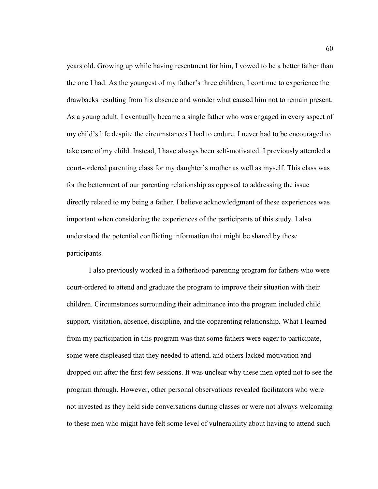years old. Growing up while having resentment for him, I vowed to be a better father than the one I had. As the youngest of my father's three children, I continue to experience the drawbacks resulting from his absence and wonder what caused him not to remain present. As a young adult, I eventually became a single father who was engaged in every aspect of my child's life despite the circumstances I had to endure. I never had to be encouraged to take care of my child. Instead, I have always been self-motivated. I previously attended a court-ordered parenting class for my daughter's mother as well as myself. This class was for the betterment of our parenting relationship as opposed to addressing the issue directly related to my being a father. I believe acknowledgment of these experiences was important when considering the experiences of the participants of this study. I also understood the potential conflicting information that might be shared by these participants.

I also previously worked in a fatherhood-parenting program for fathers who were court-ordered to attend and graduate the program to improve their situation with their children. Circumstances surrounding their admittance into the program included child support, visitation, absence, discipline, and the coparenting relationship. What I learned from my participation in this program was that some fathers were eager to participate, some were displeased that they needed to attend, and others lacked motivation and dropped out after the first few sessions. It was unclear why these men opted not to see the program through. However, other personal observations revealed facilitators who were not invested as they held side conversations during classes or were not always welcoming to these men who might have felt some level of vulnerability about having to attend such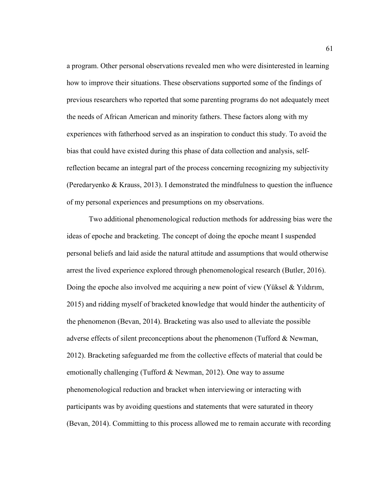a program. Other personal observations revealed men who were disinterested in learning how to improve their situations. These observations supported some of the findings of previous researchers who reported that some parenting programs do not adequately meet the needs of African American and minority fathers. These factors along with my experiences with fatherhood served as an inspiration to conduct this study. To avoid the bias that could have existed during this phase of data collection and analysis, selfreflection became an integral part of the process concerning recognizing my subjectivity (Peredaryenko & Krauss, 2013). I demonstrated the mindfulness to question the influence of my personal experiences and presumptions on my observations.

Two additional phenomenological reduction methods for addressing bias were the ideas of epoche and bracketing. The concept of doing the epoche meant I suspended personal beliefs and laid aside the natural attitude and assumptions that would otherwise arrest the lived experience explored through phenomenological research (Butler, 2016). Doing the epoche also involved me acquiring a new point of view (Yüksel  $&$  Yıldırım, 2015) and ridding myself of bracketed knowledge that would hinder the authenticity of the phenomenon (Bevan, 2014). Bracketing was also used to alleviate the possible adverse effects of silent preconceptions about the phenomenon (Tufford & Newman, 2012). Bracketing safeguarded me from the collective effects of material that could be emotionally challenging (Tufford & Newman, 2012). One way to assume phenomenological reduction and bracket when interviewing or interacting with participants was by avoiding questions and statements that were saturated in theory (Bevan, 2014). Committing to this process allowed me to remain accurate with recording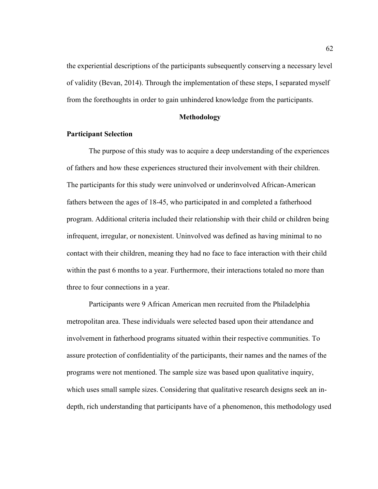the experiential descriptions of the participants subsequently conserving a necessary level of validity (Bevan, 2014). Through the implementation of these steps, I separated myself from the forethoughts in order to gain unhindered knowledge from the participants.

### **Methodology**

# **Participant Selection**

The purpose of this study was to acquire a deep understanding of the experiences of fathers and how these experiences structured their involvement with their children. The participants for this study were uninvolved or underinvolved African-American fathers between the ages of 18-45, who participated in and completed a fatherhood program. Additional criteria included their relationship with their child or children being infrequent, irregular, or nonexistent. Uninvolved was defined as having minimal to no contact with their children, meaning they had no face to face interaction with their child within the past 6 months to a year. Furthermore, their interactions totaled no more than three to four connections in a year.

Participants were 9 African American men recruited from the Philadelphia metropolitan area. These individuals were selected based upon their attendance and involvement in fatherhood programs situated within their respective communities. To assure protection of confidentiality of the participants, their names and the names of the programs were not mentioned. The sample size was based upon qualitative inquiry, which uses small sample sizes. Considering that qualitative research designs seek an indepth, rich understanding that participants have of a phenomenon, this methodology used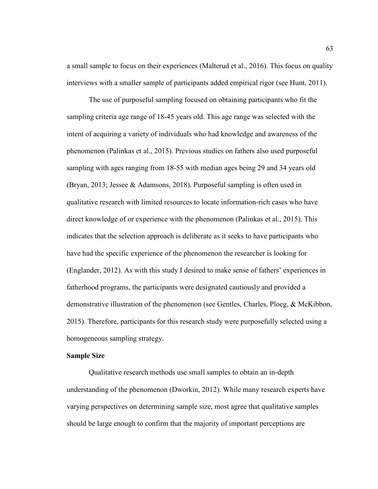a small sample to focus on their experiences (Malterud et al., 2016). This focus on quality interviews with a smaller sample of participants added empirical rigor (see Hunt, 2011).

The use of purposeful sampling focused on obtaining participants who fit the sampling criteria age range of 18-45 years old. This age range was selected with the intent of acquiring a variety of individuals who had knowledge and awareness of the phenomenon (Palinkas et al., 2015). Previous studies on fathers also used purposeful sampling with ages ranging from 18-55 with median ages being 29 and 34 years old (Bryan, 2013; Jessee & Adamsons, 2018). Purposeful sampling is often used in qualitative research with limited resources to locate information-rich cases who have direct knowledge of or experience with the phenomenon (Palinkas et al., 2015). This indicates that the selection approach is deliberate as it seeks to have participants who have had the specific experience of the phenomenon the researcher is looking for (Englander, 2012). As with this study I desired to make sense of fathers' experiences in fatherhood programs, the participants were designated cautiously and provided a demonstrative illustration of the phenomenon (see Gentles, Charles, Ploeg, & McKibbon, 2015). Therefore, participants for this research study were purposefully selected using a homogeneous sampling strategy.

## **Sample Size**

Qualitative research methods use small samples to obtain an in-depth understanding of the phenomenon (Dworkin, 2012). While many research experts have varying perspectives on determining sample size, most agree that qualitative samples should be large enough to confirm that the majority of important perceptions are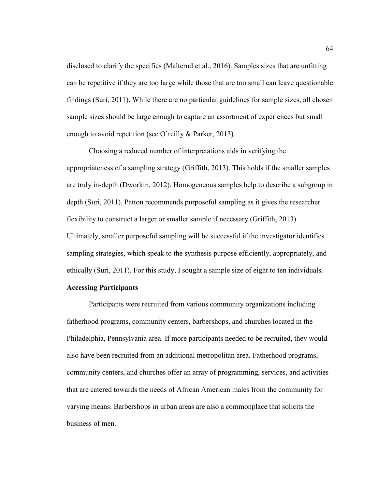disclosed to clarify the specifics (Malterud et al., 2016). Samples sizes that are unfitting can be repetitive if they are too large while those that are too small can leave questionable findings (Suri, 2011). While there are no particular guidelines for sample sizes, all chosen sample sizes should be large enough to capture an assortment of experiences but small enough to avoid repetition (see O'reilly & Parker, 2013).

 Choosing a reduced number of interpretations aids in verifying the appropriateness of a sampling strategy (Griffith, 2013). This holds if the smaller samples are truly in-depth (Dworkin, 2012). Homogeneous samples help to describe a subgroup in depth (Suri, 2011). Patton recommends purposeful sampling as it gives the researcher flexibility to construct a larger or smaller sample if necessary (Griffith, 2013). Ultimately, smaller purposeful sampling will be successful if the investigator identifies sampling strategies, which speak to the synthesis purpose efficiently, appropriately, and ethically (Suri, 2011). For this study, I sought a sample size of eight to ten individuals.

## **Accessing Participants**

Participants were recruited from various community organizations including fatherhood programs, community centers, barbershops, and churches located in the Philadelphia, Pennsylvania area. If more participants needed to be recruited, they would also have been recruited from an additional metropolitan area. Fatherhood programs, community centers, and churches offer an array of programming, services, and activities that are catered towards the needs of African American males from the community for varying means. Barbershops in urban areas are also a commonplace that solicits the business of men.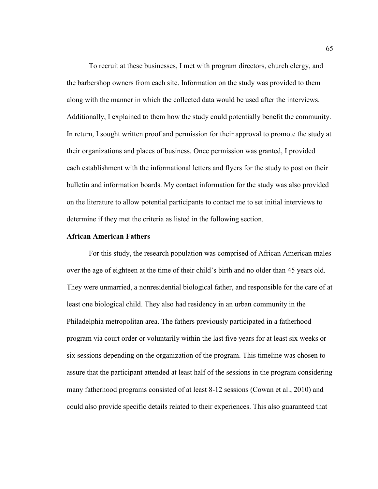To recruit at these businesses, I met with program directors, church clergy, and the barbershop owners from each site. Information on the study was provided to them along with the manner in which the collected data would be used after the interviews. Additionally, I explained to them how the study could potentially benefit the community. In return, I sought written proof and permission for their approval to promote the study at their organizations and places of business. Once permission was granted, I provided each establishment with the informational letters and flyers for the study to post on their bulletin and information boards. My contact information for the study was also provided on the literature to allow potential participants to contact me to set initial interviews to determine if they met the criteria as listed in the following section.

## **African American Fathers**

 For this study, the research population was comprised of African American males over the age of eighteen at the time of their child's birth and no older than 45 years old. They were unmarried, a nonresidential biological father, and responsible for the care of at least one biological child. They also had residency in an urban community in the Philadelphia metropolitan area. The fathers previously participated in a fatherhood program via court order or voluntarily within the last five years for at least six weeks or six sessions depending on the organization of the program. This timeline was chosen to assure that the participant attended at least half of the sessions in the program considering many fatherhood programs consisted of at least 8-12 sessions (Cowan et al., 2010) and could also provide specific details related to their experiences. This also guaranteed that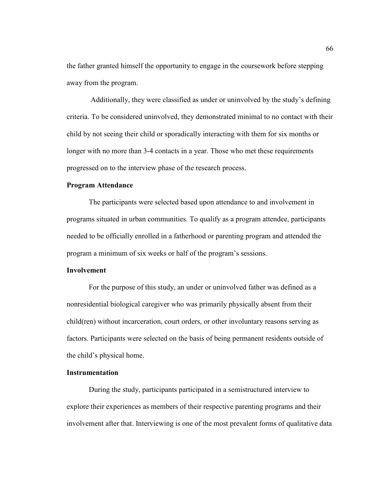the father granted himself the opportunity to engage in the coursework before stepping away from the program.

 Additionally, they were classified as under or uninvolved by the study's defining criteria. To be considered uninvolved, they demonstrated minimal to no contact with their child by not seeing their child or sporadically interacting with them for six months or longer with no more than 3-4 contacts in a year. Those who met these requirements progressed on to the interview phase of the research process.

## **Program Attendance**

 The participants were selected based upon attendance to and involvement in programs situated in urban communities. To qualify as a program attendee, participants needed to be officially enrolled in a fatherhood or parenting program and attended the program a minimum of six weeks or half of the program's sessions.

#### **Involvement**

 For the purpose of this study, an under or uninvolved father was defined as a nonresidential biological caregiver who was primarily physically absent from their child(ren) without incarceration, court orders, or other involuntary reasons serving as factors. Participants were selected on the basis of being permanent residents outside of the child's physical home.

### **Instrumentation**

 During the study, participants participated in a semistructured interview to explore their experiences as members of their respective parenting programs and their involvement after that. Interviewing is one of the most prevalent forms of qualitative data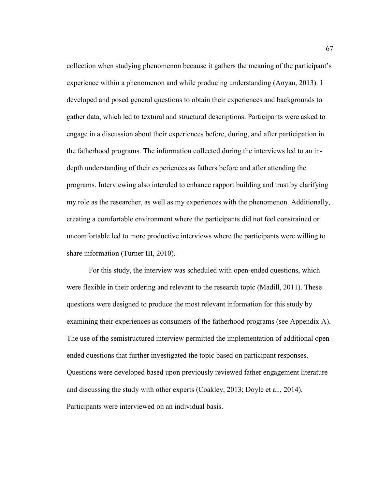collection when studying phenomenon because it gathers the meaning of the participant's experience within a phenomenon and while producing understanding (Anyan, 2013). I developed and posed general questions to obtain their experiences and backgrounds to gather data, which led to textural and structural descriptions. Participants were asked to engage in a discussion about their experiences before, during, and after participation in the fatherhood programs. The information collected during the interviews led to an indepth understanding of their experiences as fathers before and after attending the programs. Interviewing also intended to enhance rapport building and trust by clarifying my role as the researcher, as well as my experiences with the phenomenon. Additionally, creating a comfortable environment where the participants did not feel constrained or uncomfortable led to more productive interviews where the participants were willing to share information (Turner III, 2010).

For this study, the interview was scheduled with open-ended questions, which were flexible in their ordering and relevant to the research topic (Madill, 2011). These questions were designed to produce the most relevant information for this study by examining their experiences as consumers of the fatherhood programs (see Appendix A). The use of the semistructured interview permitted the implementation of additional openended questions that further investigated the topic based on participant responses. Questions were developed based upon previously reviewed father engagement literature and discussing the study with other experts (Coakley, 2013; Doyle et al., 2014). Participants were interviewed on an individual basis.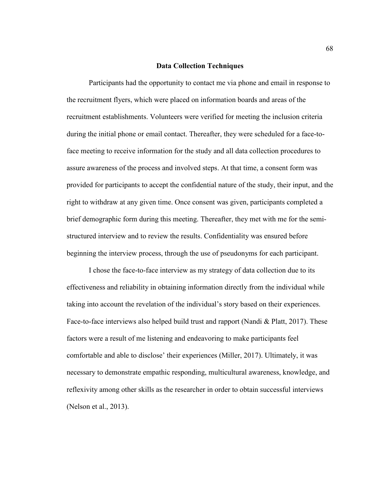#### **Data Collection Techniques**

 Participants had the opportunity to contact me via phone and email in response to the recruitment flyers, which were placed on information boards and areas of the recruitment establishments. Volunteers were verified for meeting the inclusion criteria during the initial phone or email contact. Thereafter, they were scheduled for a face-toface meeting to receive information for the study and all data collection procedures to assure awareness of the process and involved steps. At that time, a consent form was provided for participants to accept the confidential nature of the study, their input, and the right to withdraw at any given time. Once consent was given, participants completed a brief demographic form during this meeting. Thereafter, they met with me for the semistructured interview and to review the results. Confidentiality was ensured before beginning the interview process, through the use of pseudonyms for each participant.

I chose the face-to-face interview as my strategy of data collection due to its effectiveness and reliability in obtaining information directly from the individual while taking into account the revelation of the individual's story based on their experiences. Face-to-face interviews also helped build trust and rapport (Nandi & Platt, 2017). These factors were a result of me listening and endeavoring to make participants feel comfortable and able to disclose' their experiences (Miller, 2017). Ultimately, it was necessary to demonstrate empathic responding, multicultural awareness, knowledge, and reflexivity among other skills as the researcher in order to obtain successful interviews (Nelson et al., 2013).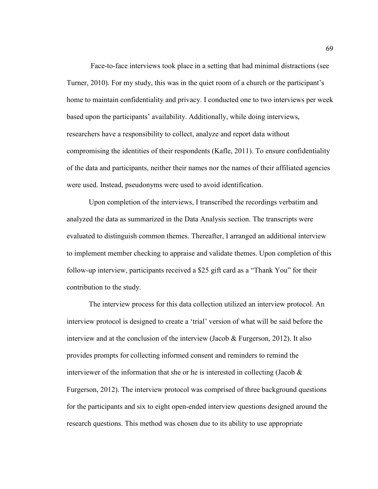Face-to-face interviews took place in a setting that had minimal distractions (see Turner, 2010). For my study, this was in the quiet room of a church or the participant's home to maintain confidentiality and privacy. I conducted one to two interviews per week based upon the participants' availability. Additionally, while doing interviews, researchers have a responsibility to collect, analyze and report data without compromising the identities of their respondents (Kafle, 2011). To ensure confidentiality of the data and participants, neither their names nor the names of their affiliated agencies were used. Instead, pseudonyms were used to avoid identification.

 Upon completion of the interviews, I transcribed the recordings verbatim and analyzed the data as summarized in the Data Analysis section. The transcripts were evaluated to distinguish common themes. Thereafter, I arranged an additional interview to implement member checking to appraise and validate themes. Upon completion of this follow-up interview, participants received a \$25 gift card as a "Thank You" for their contribution to the study.

The interview process for this data collection utilized an interview protocol. An interview protocol is designed to create a 'trial' version of what will be said before the interview and at the conclusion of the interview (Jacob & Furgerson, 2012). It also provides prompts for collecting informed consent and reminders to remind the interviewer of the information that she or he is interested in collecting (Jacob  $\&$ Furgerson, 2012). The interview protocol was comprised of three background questions for the participants and six to eight open-ended interview questions designed around the research questions. This method was chosen due to its ability to use appropriate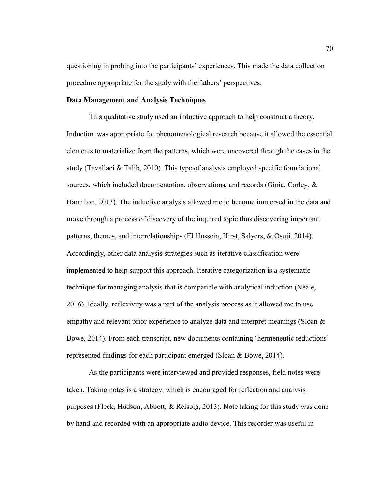questioning in probing into the participants' experiences. This made the data collection procedure appropriate for the study with the fathers' perspectives.

## **Data Management and Analysis Techniques**

This qualitative study used an inductive approach to help construct a theory. Induction was appropriate for phenomenological research because it allowed the essential elements to materialize from the patterns, which were uncovered through the cases in the study (Tavallaei  $\&$  Talib, 2010). This type of analysis employed specific foundational sources, which included documentation, observations, and records (Gioia, Corley, & Hamilton, 2013). The inductive analysis allowed me to become immersed in the data and move through a process of discovery of the inquired topic thus discovering important patterns, themes, and interrelationships (El Hussein, Hirst, Salyers, & Osuji, 2014). Accordingly, other data analysis strategies such as iterative classification were implemented to help support this approach. Iterative categorization is a systematic technique for managing analysis that is compatible with analytical induction (Neale, 2016). Ideally, reflexivity was a part of the analysis process as it allowed me to use empathy and relevant prior experience to analyze data and interpret meanings (Sloan & Bowe, 2014). From each transcript, new documents containing 'hermeneutic reductions' represented findings for each participant emerged (Sloan & Bowe, 2014).

As the participants were interviewed and provided responses, field notes were taken. Taking notes is a strategy, which is encouraged for reflection and analysis purposes (Fleck, Hudson, Abbott, & Reisbig, 2013). Note taking for this study was done by hand and recorded with an appropriate audio device. This recorder was useful in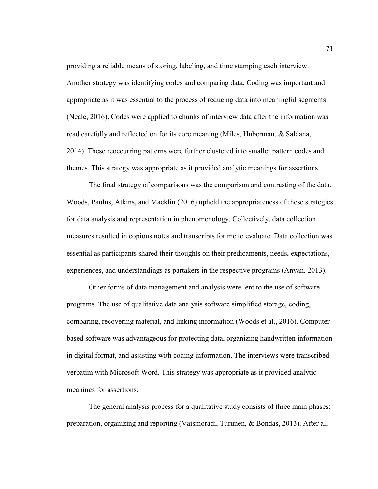providing a reliable means of storing, labeling, and time stamping each interview. Another strategy was identifying codes and comparing data. Coding was important and appropriate as it was essential to the process of reducing data into meaningful segments (Neale, 2016). Codes were applied to chunks of interview data after the information was read carefully and reflected on for its core meaning (Miles, Huberman, & Saldana, 2014). These reoccurring patterns were further clustered into smaller pattern codes and themes. This strategy was appropriate as it provided analytic meanings for assertions.

The final strategy of comparisons was the comparison and contrasting of the data. Woods, Paulus, Atkins, and Macklin (2016) upheld the appropriateness of these strategies for data analysis and representation in phenomenology. Collectively, data collection measures resulted in copious notes and transcripts for me to evaluate. Data collection was essential as participants shared their thoughts on their predicaments, needs, expectations, experiences, and understandings as partakers in the respective programs (Anyan, 2013).

Other forms of data management and analysis were lent to the use of software programs. The use of qualitative data analysis software simplified storage, coding, comparing, recovering material, and linking information (Woods et al., 2016). Computerbased software was advantageous for protecting data, organizing handwritten information in digital format, and assisting with coding information. The interviews were transcribed verbatim with Microsoft Word. This strategy was appropriate as it provided analytic meanings for assertions.

The general analysis process for a qualitative study consists of three main phases: preparation, organizing and reporting (Vaismoradi, Turunen, & Bondas, 2013). After all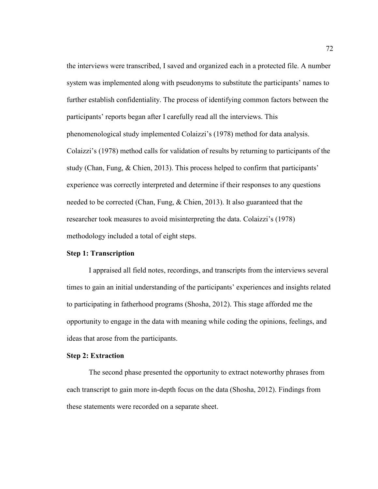the interviews were transcribed, I saved and organized each in a protected file. A number system was implemented along with pseudonyms to substitute the participants' names to further establish confidentiality. The process of identifying common factors between the participants' reports began after I carefully read all the interviews. This phenomenological study implemented Colaizzi's (1978) method for data analysis. Colaizzi's (1978) method calls for validation of results by returning to participants of the study (Chan, Fung, & Chien, 2013). This process helped to confirm that participants' experience was correctly interpreted and determine if their responses to any questions needed to be corrected (Chan, Fung, & Chien, 2013). It also guaranteed that the researcher took measures to avoid misinterpreting the data. Colaizzi's (1978) methodology included a total of eight steps.

## **Step 1: Transcription**

I appraised all field notes, recordings, and transcripts from the interviews several times to gain an initial understanding of the participants' experiences and insights related to participating in fatherhood programs (Shosha, 2012). This stage afforded me the opportunity to engage in the data with meaning while coding the opinions, feelings, and ideas that arose from the participants.

## **Step 2: Extraction**

The second phase presented the opportunity to extract noteworthy phrases from each transcript to gain more in-depth focus on the data (Shosha, 2012). Findings from these statements were recorded on a separate sheet.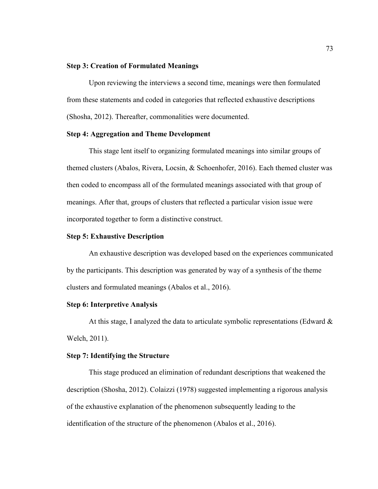## **Step 3: Creation of Formulated Meanings**

Upon reviewing the interviews a second time, meanings were then formulated from these statements and coded in categories that reflected exhaustive descriptions (Shosha, 2012). Thereafter, commonalities were documented.

## **Step 4: Aggregation and Theme Development**

This stage lent itself to organizing formulated meanings into similar groups of themed clusters (Abalos, Rivera, Locsin, & Schoenhofer, 2016). Each themed cluster was then coded to encompass all of the formulated meanings associated with that group of meanings. After that, groups of clusters that reflected a particular vision issue were incorporated together to form a distinctive construct.

## **Step 5: Exhaustive Description**

An exhaustive description was developed based on the experiences communicated by the participants. This description was generated by way of a synthesis of the theme clusters and formulated meanings (Abalos et al., 2016).

### **Step 6: Interpretive Analysis**

At this stage, I analyzed the data to articulate symbolic representations (Edward  $\&$ Welch, 2011).

### **Step 7: Identifying the Structure**

This stage produced an elimination of redundant descriptions that weakened the description (Shosha, 2012). Colaizzi (1978) suggested implementing a rigorous analysis of the exhaustive explanation of the phenomenon subsequently leading to the identification of the structure of the phenomenon (Abalos et al., 2016).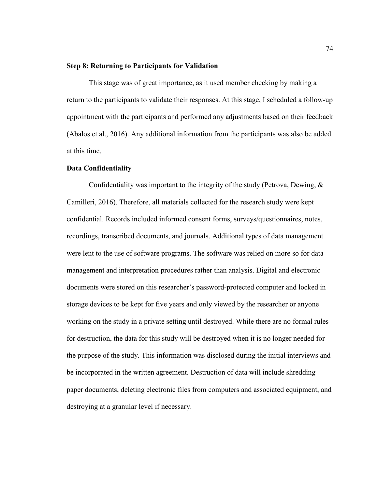#### **Step 8: Returning to Participants for Validation**

 This stage was of great importance, as it used member checking by making a return to the participants to validate their responses. At this stage, I scheduled a follow-up appointment with the participants and performed any adjustments based on their feedback (Abalos et al., 2016). Any additional information from the participants was also be added at this time.

## **Data Confidentiality**

Confidentiality was important to the integrity of the study (Petrova, Dewing, & Camilleri, 2016). Therefore, all materials collected for the research study were kept confidential. Records included informed consent forms, surveys/questionnaires, notes, recordings, transcribed documents, and journals. Additional types of data management were lent to the use of software programs. The software was relied on more so for data management and interpretation procedures rather than analysis. Digital and electronic documents were stored on this researcher's password-protected computer and locked in storage devices to be kept for five years and only viewed by the researcher or anyone working on the study in a private setting until destroyed. While there are no formal rules for destruction, the data for this study will be destroyed when it is no longer needed for the purpose of the study. This information was disclosed during the initial interviews and be incorporated in the written agreement. Destruction of data will include shredding paper documents, deleting electronic files from computers and associated equipment, and destroying at a granular level if necessary.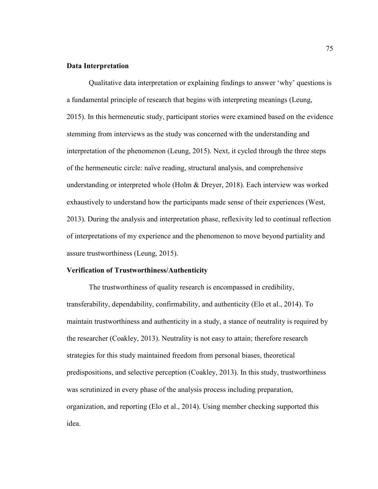## **Data Interpretation**

 Qualitative data interpretation or explaining findings to answer 'why' questions is a fundamental principle of research that begins with interpreting meanings (Leung, 2015). In this hermeneutic study, participant stories were examined based on the evidence stemming from interviews as the study was concerned with the understanding and interpretation of the phenomenon (Leung, 2015). Next, it cycled through the three steps of the hermeneutic circle: naïve reading, structural analysis, and comprehensive understanding or interpreted whole (Holm & Dreyer, 2018). Each interview was worked exhaustively to understand how the participants made sense of their experiences (West, 2013). During the analysis and interpretation phase, reflexivity led to continual reflection of interpretations of my experience and the phenomenon to move beyond partiality and assure trustworthiness (Leung, 2015).

## **Verification of Trustworthiness/Authenticity**

The trustworthiness of quality research is encompassed in credibility, transferability, dependability, confirmability, and authenticity (Elo et al., 2014). To maintain trustworthiness and authenticity in a study, a stance of neutrality is required by the researcher (Coakley, 2013). Neutrality is not easy to attain; therefore research strategies for this study maintained freedom from personal biases, theoretical predispositions, and selective perception (Coakley, 2013). In this study, trustworthiness was scrutinized in every phase of the analysis process including preparation, organization, and reporting (Elo et al., 2014). Using member checking supported this idea.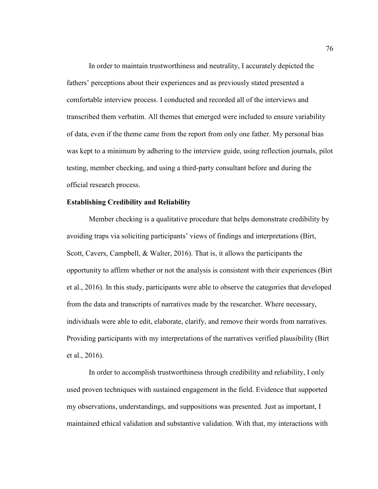In order to maintain trustworthiness and neutrality, I accurately depicted the fathers' perceptions about their experiences and as previously stated presented a comfortable interview process. I conducted and recorded all of the interviews and transcribed them verbatim. All themes that emerged were included to ensure variability of data, even if the theme came from the report from only one father. My personal bias was kept to a minimum by adhering to the interview guide, using reflection journals, pilot testing, member checking, and using a third-party consultant before and during the official research process.

## **Establishing Credibility and Reliability**

Member checking is a qualitative procedure that helps demonstrate credibility by avoiding traps via soliciting participants' views of findings and interpretations (Birt, Scott, Cavers, Campbell, & Walter, 2016). That is, it allows the participants the opportunity to affirm whether or not the analysis is consistent with their experiences (Birt et al., 2016). In this study, participants were able to observe the categories that developed from the data and transcripts of narratives made by the researcher. Where necessary, individuals were able to edit, elaborate, clarify, and remove their words from narratives. Providing participants with my interpretations of the narratives verified plausibility (Birt et al., 2016).

In order to accomplish trustworthiness through credibility and reliability, I only used proven techniques with sustained engagement in the field. Evidence that supported my observations, understandings, and suppositions was presented. Just as important, I maintained ethical validation and substantive validation. With that, my interactions with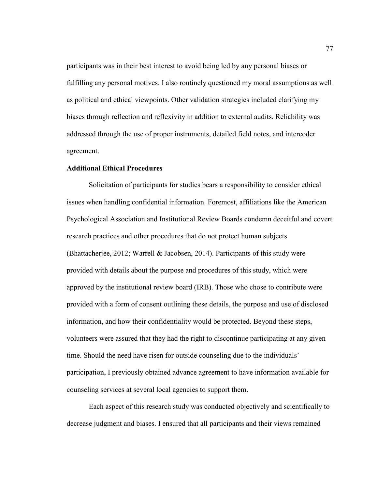participants was in their best interest to avoid being led by any personal biases or fulfilling any personal motives. I also routinely questioned my moral assumptions as well as political and ethical viewpoints. Other validation strategies included clarifying my biases through reflection and reflexivity in addition to external audits. Reliability was addressed through the use of proper instruments, detailed field notes, and intercoder agreement.

## **Additional Ethical Procedures**

Solicitation of participants for studies bears a responsibility to consider ethical issues when handling confidential information. Foremost, affiliations like the American Psychological Association and Institutional Review Boards condemn deceitful and covert research practices and other procedures that do not protect human subjects (Bhattacherjee, 2012; Warrell & Jacobsen, 2014). Participants of this study were provided with details about the purpose and procedures of this study, which were approved by the institutional review board (IRB). Those who chose to contribute were provided with a form of consent outlining these details, the purpose and use of disclosed information, and how their confidentiality would be protected. Beyond these steps, volunteers were assured that they had the right to discontinue participating at any given time. Should the need have risen for outside counseling due to the individuals' participation, I previously obtained advance agreement to have information available for counseling services at several local agencies to support them.

 Each aspect of this research study was conducted objectively and scientifically to decrease judgment and biases. I ensured that all participants and their views remained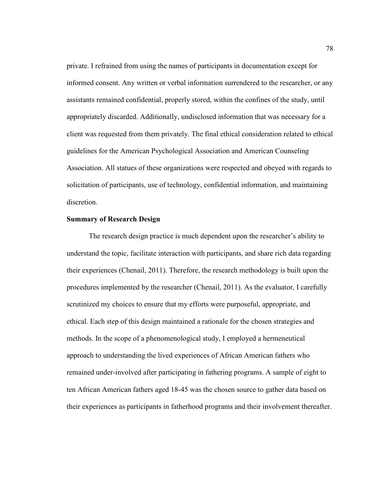private. I refrained from using the names of participants in documentation except for informed consent. Any written or verbal information surrendered to the researcher, or any assistants remained confidential, properly stored, within the confines of the study, until appropriately discarded. Additionally, undisclosed information that was necessary for a client was requested from them privately. The final ethical consideration related to ethical guidelines for the American Psychological Association and American Counseling Association. All statues of these organizations were respected and obeyed with regards to solicitation of participants, use of technology, confidential information, and maintaining discretion.

### **Summary of Research Design**

 The research design practice is much dependent upon the researcher's ability to understand the topic, facilitate interaction with participants, and share rich data regarding their experiences (Chenail, 2011). Therefore, the research methodology is built upon the procedures implemented by the researcher (Chenail, 2011). As the evaluator, I carefully scrutinized my choices to ensure that my efforts were purposeful, appropriate, and ethical. Each step of this design maintained a rationale for the chosen strategies and methods. In the scope of a phenomenological study, I employed a hermeneutical approach to understanding the lived experiences of African American fathers who remained under-involved after participating in fathering programs. A sample of eight to ten African American fathers aged 18-45 was the chosen source to gather data based on their experiences as participants in fatherhood programs and their involvement thereafter.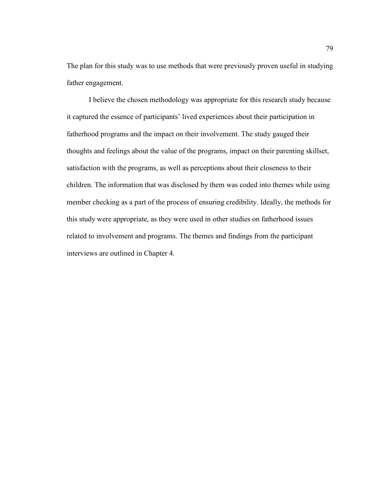The plan for this study was to use methods that were previously proven useful in studying father engagement.

I believe the chosen methodology was appropriate for this research study because it captured the essence of participants' lived experiences about their participation in fatherhood programs and the impact on their involvement. The study gauged their thoughts and feelings about the value of the programs, impact on their parenting skillset, satisfaction with the programs, as well as perceptions about their closeness to their children. The information that was disclosed by them was coded into themes while using member checking as a part of the process of ensuring credibility. Ideally, the methods for this study were appropriate, as they were used in other studies on fatherhood issues related to involvement and programs. The themes and findings from the participant interviews are outlined in Chapter 4.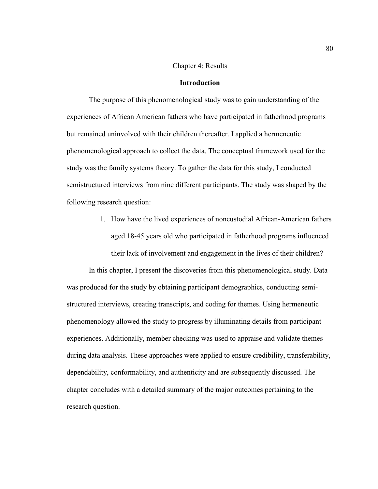### Chapter 4: Results

## **Introduction**

The purpose of this phenomenological study was to gain understanding of the experiences of African American fathers who have participated in fatherhood programs but remained uninvolved with their children thereafter. I applied a hermeneutic phenomenological approach to collect the data. The conceptual framework used for the study was the family systems theory. To gather the data for this study, I conducted semistructured interviews from nine different participants. The study was shaped by the following research question:

> 1. How have the lived experiences of noncustodial African-American fathers aged 18-45 years old who participated in fatherhood programs influenced their lack of involvement and engagement in the lives of their children?

In this chapter, I present the discoveries from this phenomenological study. Data was produced for the study by obtaining participant demographics, conducting semistructured interviews, creating transcripts, and coding for themes. Using hermeneutic phenomenology allowed the study to progress by illuminating details from participant experiences. Additionally, member checking was used to appraise and validate themes during data analysis. These approaches were applied to ensure credibility, transferability, dependability, conformability, and authenticity and are subsequently discussed. The chapter concludes with a detailed summary of the major outcomes pertaining to the research question.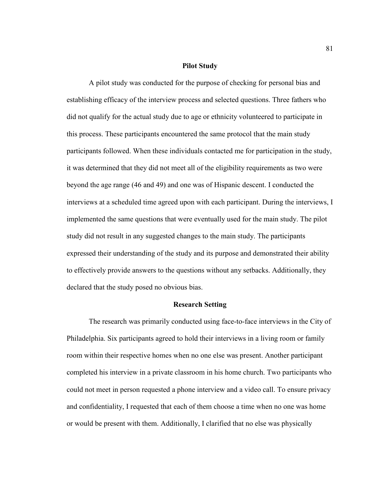#### **Pilot Study**

A pilot study was conducted for the purpose of checking for personal bias and establishing efficacy of the interview process and selected questions. Three fathers who did not qualify for the actual study due to age or ethnicity volunteered to participate in this process. These participants encountered the same protocol that the main study participants followed. When these individuals contacted me for participation in the study, it was determined that they did not meet all of the eligibility requirements as two were beyond the age range (46 and 49) and one was of Hispanic descent. I conducted the interviews at a scheduled time agreed upon with each participant. During the interviews, I implemented the same questions that were eventually used for the main study. The pilot study did not result in any suggested changes to the main study. The participants expressed their understanding of the study and its purpose and demonstrated their ability to effectively provide answers to the questions without any setbacks. Additionally, they declared that the study posed no obvious bias.

### **Research Setting**

The research was primarily conducted using face-to-face interviews in the City of Philadelphia. Six participants agreed to hold their interviews in a living room or family room within their respective homes when no one else was present. Another participant completed his interview in a private classroom in his home church. Two participants who could not meet in person requested a phone interview and a video call. To ensure privacy and confidentiality, I requested that each of them choose a time when no one was home or would be present with them. Additionally, I clarified that no else was physically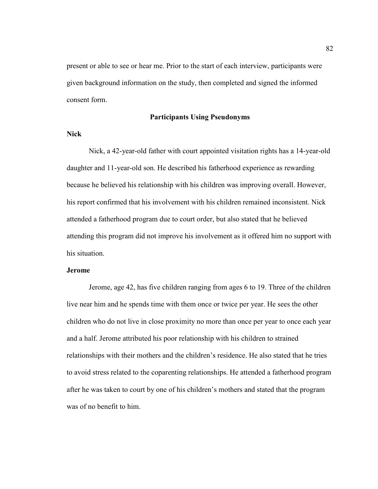present or able to see or hear me. Prior to the start of each interview, participants were given background information on the study, then completed and signed the informed consent form.

### **Participants Using Pseudonyms**

## **Nick**

 Nick, a 42-year-old father with court appointed visitation rights has a 14-year-old daughter and 11-year-old son. He described his fatherhood experience as rewarding because he believed his relationship with his children was improving overall. However, his report confirmed that his involvement with his children remained inconsistent. Nick attended a fatherhood program due to court order, but also stated that he believed attending this program did not improve his involvement as it offered him no support with his situation.

### **Jerome**

Jerome, age 42, has five children ranging from ages 6 to 19. Three of the children live near him and he spends time with them once or twice per year. He sees the other children who do not live in close proximity no more than once per year to once each year and a half. Jerome attributed his poor relationship with his children to strained relationships with their mothers and the children's residence. He also stated that he tries to avoid stress related to the coparenting relationships. He attended a fatherhood program after he was taken to court by one of his children's mothers and stated that the program was of no benefit to him.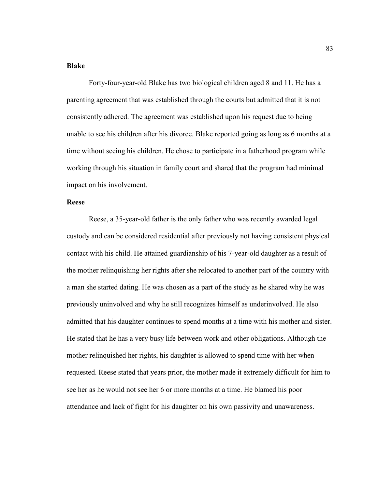### **Blake**

Forty-four-year-old Blake has two biological children aged 8 and 11. He has a parenting agreement that was established through the courts but admitted that it is not consistently adhered. The agreement was established upon his request due to being unable to see his children after his divorce. Blake reported going as long as 6 months at a time without seeing his children. He chose to participate in a fatherhood program while working through his situation in family court and shared that the program had minimal impact on his involvement.

## **Reese**

Reese, a 35-year-old father is the only father who was recently awarded legal custody and can be considered residential after previously not having consistent physical contact with his child. He attained guardianship of his 7-year-old daughter as a result of the mother relinquishing her rights after she relocated to another part of the country with a man she started dating. He was chosen as a part of the study as he shared why he was previously uninvolved and why he still recognizes himself as underinvolved. He also admitted that his daughter continues to spend months at a time with his mother and sister. He stated that he has a very busy life between work and other obligations. Although the mother relinquished her rights, his daughter is allowed to spend time with her when requested. Reese stated that years prior, the mother made it extremely difficult for him to see her as he would not see her 6 or more months at a time. He blamed his poor attendance and lack of fight for his daughter on his own passivity and unawareness.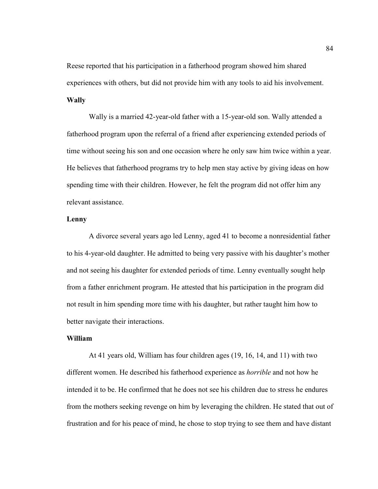Reese reported that his participation in a fatherhood program showed him shared experiences with others, but did not provide him with any tools to aid his involvement. **Wally** 

Wally is a married 42-year-old father with a 15-year-old son. Wally attended a fatherhood program upon the referral of a friend after experiencing extended periods of time without seeing his son and one occasion where he only saw him twice within a year. He believes that fatherhood programs try to help men stay active by giving ideas on how spending time with their children. However, he felt the program did not offer him any relevant assistance.

## **Lenny**

A divorce several years ago led Lenny, aged 41 to become a nonresidential father to his 4-year-old daughter. He admitted to being very passive with his daughter's mother and not seeing his daughter for extended periods of time. Lenny eventually sought help from a father enrichment program. He attested that his participation in the program did not result in him spending more time with his daughter, but rather taught him how to better navigate their interactions.

## **William**

At 41 years old, William has four children ages (19, 16, 14, and 11) with two different women. He described his fatherhood experience as *horrible* and not how he intended it to be. He confirmed that he does not see his children due to stress he endures from the mothers seeking revenge on him by leveraging the children. He stated that out of frustration and for his peace of mind, he chose to stop trying to see them and have distant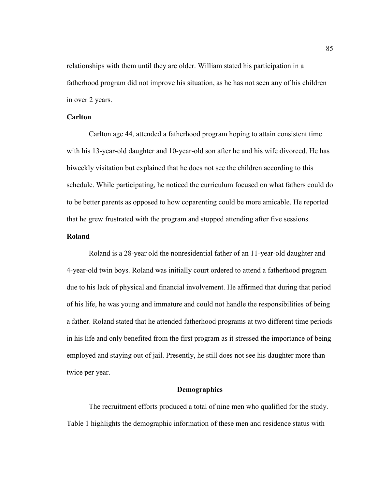relationships with them until they are older. William stated his participation in a fatherhood program did not improve his situation, as he has not seen any of his children in over 2 years.

# **Carlton**

Carlton age 44, attended a fatherhood program hoping to attain consistent time with his 13-year-old daughter and 10-year-old son after he and his wife divorced. He has biweekly visitation but explained that he does not see the children according to this schedule. While participating, he noticed the curriculum focused on what fathers could do to be better parents as opposed to how coparenting could be more amicable. He reported that he grew frustrated with the program and stopped attending after five sessions.

## **Roland**

Roland is a 28-year old the nonresidential father of an 11-year-old daughter and 4-year-old twin boys. Roland was initially court ordered to attend a fatherhood program due to his lack of physical and financial involvement. He affirmed that during that period of his life, he was young and immature and could not handle the responsibilities of being a father. Roland stated that he attended fatherhood programs at two different time periods in his life and only benefited from the first program as it stressed the importance of being employed and staying out of jail. Presently, he still does not see his daughter more than twice per year.

#### **Demographics**

The recruitment efforts produced a total of nine men who qualified for the study. Table 1 highlights the demographic information of these men and residence status with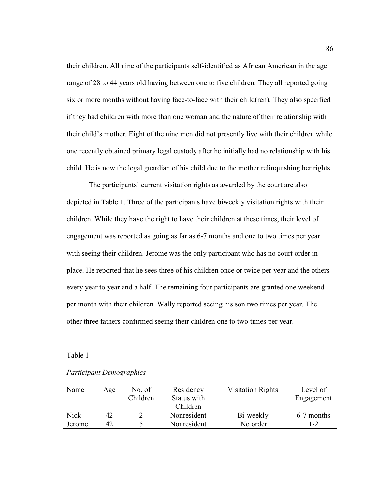their children. All nine of the participants self-identified as African American in the age range of 28 to 44 years old having between one to five children. They all reported going six or more months without having face-to-face with their child(ren). They also specified if they had children with more than one woman and the nature of their relationship with their child's mother. Eight of the nine men did not presently live with their children while one recently obtained primary legal custody after he initially had no relationship with his child. He is now the legal guardian of his child due to the mother relinquishing her rights.

The participants' current visitation rights as awarded by the court are also depicted in Table 1. Three of the participants have biweekly visitation rights with their children. While they have the right to have their children at these times, their level of engagement was reported as going as far as 6-7 months and one to two times per year with seeing their children. Jerome was the only participant who has no court order in place. He reported that he sees three of his children once or twice per year and the others every year to year and a half. The remaining four participants are granted one weekend per month with their children. Wally reported seeing his son two times per year. The other three fathers confirmed seeing their children one to two times per year.

Table 1

| Name   | Age | No. of<br>Children | Residency<br>Status with<br>Children | Visitation Rights | Level of<br>Engagement |
|--------|-----|--------------------|--------------------------------------|-------------------|------------------------|
| Nick   | 42  |                    | Nonresident                          | Bi-weekly         | 6-7 months             |
| Jerome | 42  |                    | Nonresident                          | No order          | 1-2                    |

#### *Participant Demographics*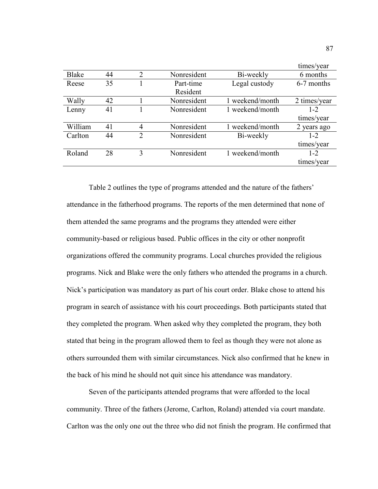|         |    |                |             |                 | times/year   |
|---------|----|----------------|-------------|-----------------|--------------|
| Blake   | 44 | $\overline{2}$ | Nonresident | Bi-weekly       | 6 months     |
| Reese   | 35 |                | Part-time   | Legal custody   | 6-7 months   |
|         |    |                | Resident    |                 |              |
| Wally   | 42 |                | Nonresident | 1 weekend/month | 2 times/year |
| Lenny   | 41 |                | Nonresident | 1 weekend/month | $1 - 2$      |
|         |    |                |             |                 | times/year   |
| William | 41 | $\overline{4}$ | Nonresident | 1 weekend/month | 2 years ago  |
| Carlton | 44 | 2              | Nonresident | Bi-weekly       | $1 - 2$      |
|         |    |                |             |                 | times/year   |
| Roland  | 28 | 3              | Nonresident | 1 weekend/month | $1 - 2$      |
|         |    |                |             |                 | times/year   |

Table 2 outlines the type of programs attended and the nature of the fathers' attendance in the fatherhood programs. The reports of the men determined that none of them attended the same programs and the programs they attended were either community-based or religious based. Public offices in the city or other nonprofit organizations offered the community programs. Local churches provided the religious programs. Nick and Blake were the only fathers who attended the programs in a church. Nick's participation was mandatory as part of his court order. Blake chose to attend his program in search of assistance with his court proceedings. Both participants stated that they completed the program. When asked why they completed the program, they both stated that being in the program allowed them to feel as though they were not alone as others surrounded them with similar circumstances. Nick also confirmed that he knew in the back of his mind he should not quit since his attendance was mandatory.

 Seven of the participants attended programs that were afforded to the local community. Three of the fathers (Jerome, Carlton, Roland) attended via court mandate. Carlton was the only one out the three who did not finish the program. He confirmed that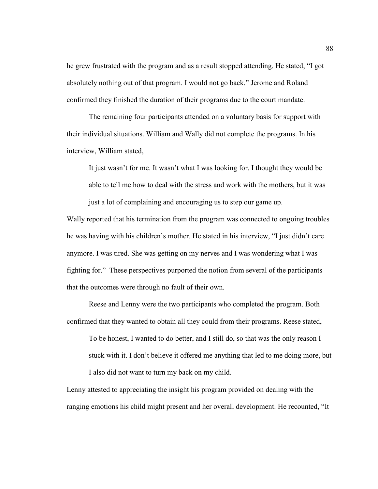he grew frustrated with the program and as a result stopped attending. He stated, "I got absolutely nothing out of that program. I would not go back." Jerome and Roland confirmed they finished the duration of their programs due to the court mandate.

The remaining four participants attended on a voluntary basis for support with their individual situations. William and Wally did not complete the programs. In his interview, William stated,

It just wasn't for me. It wasn't what I was looking for. I thought they would be able to tell me how to deal with the stress and work with the mothers, but it was just a lot of complaining and encouraging us to step our game up.

Wally reported that his termination from the program was connected to ongoing troubles he was having with his children's mother. He stated in his interview, "I just didn't care anymore. I was tired. She was getting on my nerves and I was wondering what I was fighting for." These perspectives purported the notion from several of the participants that the outcomes were through no fault of their own.

 Reese and Lenny were the two participants who completed the program. Both confirmed that they wanted to obtain all they could from their programs. Reese stated,

To be honest, I wanted to do better, and I still do, so that was the only reason I stuck with it. I don't believe it offered me anything that led to me doing more, but I also did not want to turn my back on my child.

Lenny attested to appreciating the insight his program provided on dealing with the ranging emotions his child might present and her overall development. He recounted, "It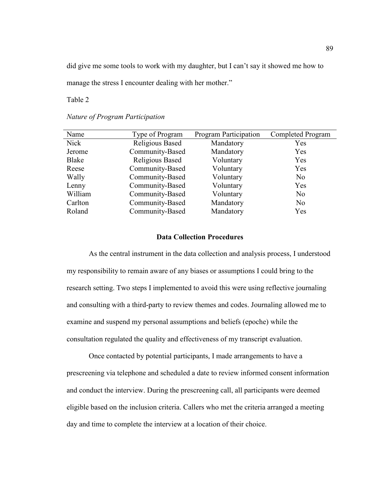did give me some tools to work with my daughter, but I can't say it showed me how to

manage the stress I encounter dealing with her mother."

Table 2

| Name    | Type of Program        | <b>Program Participation</b> | Completed Program |
|---------|------------------------|------------------------------|-------------------|
| Nick    | <b>Religious Based</b> | Mandatory                    | Yes               |
| Jerome  | Community-Based        | Mandatory                    | Yes               |
| Blake   | Religious Based        | Voluntary                    | Yes               |
| Reese   | Community-Based        | Voluntary                    | Yes               |
| Wally   | Community-Based        | Voluntary                    | No                |
| Lenny   | Community-Based        | Voluntary                    | Yes               |
| William | Community-Based        | Voluntary                    | No                |
| Carlton | Community-Based        | Mandatory                    | N <sub>0</sub>    |
| Roland  | Community-Based        | Mandatory                    | Yes               |

### **Data Collection Procedures**

 As the central instrument in the data collection and analysis process, I understood my responsibility to remain aware of any biases or assumptions I could bring to the research setting. Two steps I implemented to avoid this were using reflective journaling and consulting with a third-party to review themes and codes. Journaling allowed me to examine and suspend my personal assumptions and beliefs (epoche) while the consultation regulated the quality and effectiveness of my transcript evaluation.

 Once contacted by potential participants, I made arrangements to have a prescreening via telephone and scheduled a date to review informed consent information and conduct the interview. During the prescreening call, all participants were deemed eligible based on the inclusion criteria. Callers who met the criteria arranged a meeting day and time to complete the interview at a location of their choice.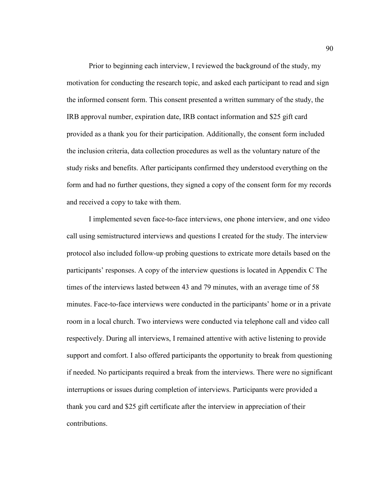Prior to beginning each interview, I reviewed the background of the study, my motivation for conducting the research topic, and asked each participant to read and sign the informed consent form. This consent presented a written summary of the study, the IRB approval number, expiration date, IRB contact information and \$25 gift card provided as a thank you for their participation. Additionally, the consent form included the inclusion criteria, data collection procedures as well as the voluntary nature of the study risks and benefits. After participants confirmed they understood everything on the form and had no further questions, they signed a copy of the consent form for my records and received a copy to take with them.

 I implemented seven face-to-face interviews, one phone interview, and one video call using semistructured interviews and questions I created for the study. The interview protocol also included follow-up probing questions to extricate more details based on the participants' responses. A copy of the interview questions is located in Appendix C The times of the interviews lasted between 43 and 79 minutes, with an average time of 58 minutes. Face-to-face interviews were conducted in the participants' home or in a private room in a local church. Two interviews were conducted via telephone call and video call respectively. During all interviews, I remained attentive with active listening to provide support and comfort. I also offered participants the opportunity to break from questioning if needed. No participants required a break from the interviews. There were no significant interruptions or issues during completion of interviews. Participants were provided a thank you card and \$25 gift certificate after the interview in appreciation of their contributions.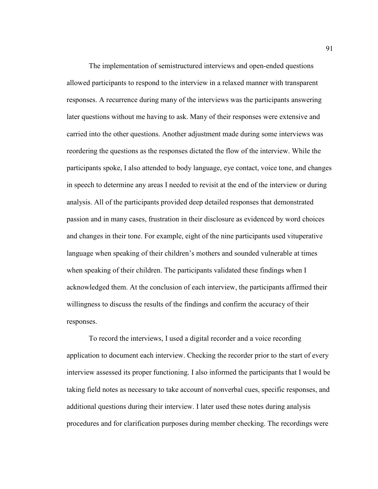The implementation of semistructured interviews and open-ended questions allowed participants to respond to the interview in a relaxed manner with transparent responses. A recurrence during many of the interviews was the participants answering later questions without me having to ask. Many of their responses were extensive and carried into the other questions. Another adjustment made during some interviews was reordering the questions as the responses dictated the flow of the interview. While the participants spoke, I also attended to body language, eye contact, voice tone, and changes in speech to determine any areas I needed to revisit at the end of the interview or during analysis. All of the participants provided deep detailed responses that demonstrated passion and in many cases, frustration in their disclosure as evidenced by word choices and changes in their tone. For example, eight of the nine participants used vituperative language when speaking of their children's mothers and sounded vulnerable at times when speaking of their children. The participants validated these findings when I acknowledged them. At the conclusion of each interview, the participants affirmed their willingness to discuss the results of the findings and confirm the accuracy of their responses.

 To record the interviews, I used a digital recorder and a voice recording application to document each interview. Checking the recorder prior to the start of every interview assessed its proper functioning. I also informed the participants that I would be taking field notes as necessary to take account of nonverbal cues, specific responses, and additional questions during their interview. I later used these notes during analysis procedures and for clarification purposes during member checking. The recordings were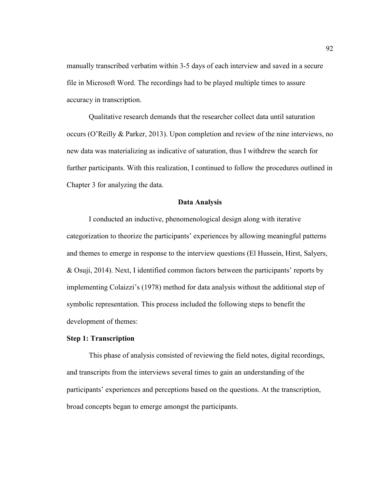manually transcribed verbatim within 3-5 days of each interview and saved in a secure file in Microsoft Word. The recordings had to be played multiple times to assure accuracy in transcription.

 Qualitative research demands that the researcher collect data until saturation occurs (O'Reilly & Parker, 2013). Upon completion and review of the nine interviews, no new data was materializing as indicative of saturation, thus I withdrew the search for further participants. With this realization, I continued to follow the procedures outlined in Chapter 3 for analyzing the data.

## **Data Analysis**

 I conducted an inductive, phenomenological design along with iterative categorization to theorize the participants' experiences by allowing meaningful patterns and themes to emerge in response to the interview questions (El Hussein, Hirst, Salyers, & Osuji, 2014). Next, I identified common factors between the participants' reports by implementing Colaizzi's (1978) method for data analysis without the additional step of symbolic representation. This process included the following steps to benefit the development of themes:

## **Step 1: Transcription**

 This phase of analysis consisted of reviewing the field notes, digital recordings, and transcripts from the interviews several times to gain an understanding of the participants' experiences and perceptions based on the questions. At the transcription, broad concepts began to emerge amongst the participants.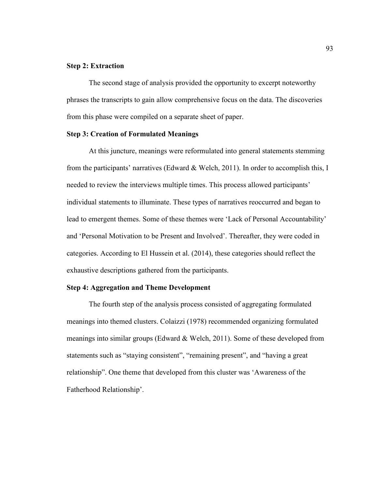## **Step 2: Extraction**

The second stage of analysis provided the opportunity to excerpt noteworthy phrases the transcripts to gain allow comprehensive focus on the data. The discoveries from this phase were compiled on a separate sheet of paper.

### **Step 3: Creation of Formulated Meanings**

 At this juncture, meanings were reformulated into general statements stemming from the participants' narratives (Edward  $&$  Welch, 2011). In order to accomplish this, I needed to review the interviews multiple times. This process allowed participants' individual statements to illuminate. These types of narratives reoccurred and began to lead to emergent themes. Some of these themes were 'Lack of Personal Accountability' and 'Personal Motivation to be Present and Involved'. Thereafter, they were coded in categories. According to El Hussein et al. (2014), these categories should reflect the exhaustive descriptions gathered from the participants.

### **Step 4: Aggregation and Theme Development**

The fourth step of the analysis process consisted of aggregating formulated meanings into themed clusters. Colaizzi (1978) recommended organizing formulated meanings into similar groups (Edward & Welch, 2011). Some of these developed from statements such as "staying consistent", "remaining present", and "having a great relationship". One theme that developed from this cluster was 'Awareness of the Fatherhood Relationship'.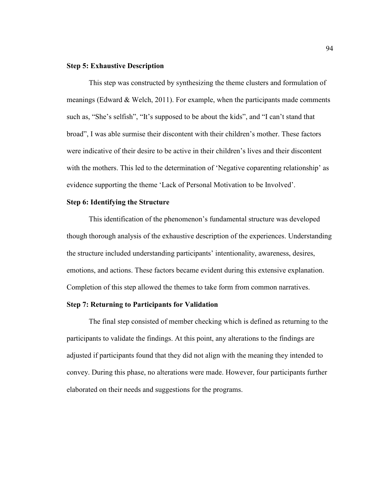## **Step 5: Exhaustive Description**

This step was constructed by synthesizing the theme clusters and formulation of meanings (Edward  $&$  Welch, 2011). For example, when the participants made comments such as, "She's selfish", "It's supposed to be about the kids", and "I can't stand that broad", I was able surmise their discontent with their children's mother. These factors were indicative of their desire to be active in their children's lives and their discontent with the mothers. This led to the determination of 'Negative coparenting relationship' as evidence supporting the theme 'Lack of Personal Motivation to be Involved'.

## **Step 6: Identifying the Structure**

This identification of the phenomenon's fundamental structure was developed though thorough analysis of the exhaustive description of the experiences. Understanding the structure included understanding participants' intentionality, awareness, desires, emotions, and actions. These factors became evident during this extensive explanation. Completion of this step allowed the themes to take form from common narratives.

## **Step 7: Returning to Participants for Validation**

 The final step consisted of member checking which is defined as returning to the participants to validate the findings. At this point, any alterations to the findings are adjusted if participants found that they did not align with the meaning they intended to convey. During this phase, no alterations were made. However, four participants further elaborated on their needs and suggestions for the programs.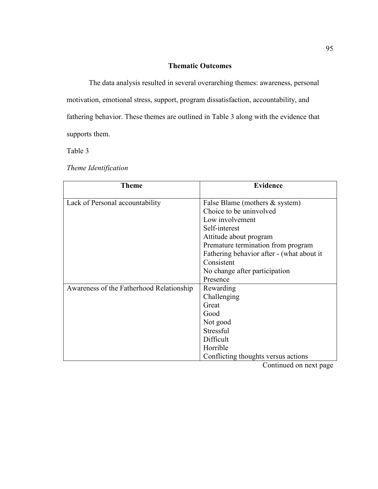# **Thematic Outcomes**

 The data analysis resulted in several overarching themes: awareness, personal motivation, emotional stress, support, program dissatisfaction, accountability, and fathering behavior. These themes are outlined in Table 3 along with the evidence that supports them.

Table 3

*Theme Identification* 

| <b>Theme</b>                             | <b>Evidence</b>                           |
|------------------------------------------|-------------------------------------------|
| Lack of Personal accountability          | False Blame (mothers & system)            |
|                                          | Choice to be uninvolved                   |
|                                          | Low involvement                           |
|                                          | Self-interest                             |
|                                          | Attitude about program                    |
|                                          | Premature termination from program        |
|                                          | Fathering behavior after - (what about it |
|                                          | Consistent                                |
|                                          | No change after participation             |
|                                          | Presence                                  |
| Awareness of the Fatherhood Relationship | Rewarding                                 |
|                                          | Challenging                               |
|                                          | Great                                     |
|                                          | Good                                      |
|                                          | Not good                                  |
|                                          | Stressful                                 |
|                                          | Difficult                                 |
|                                          | Horrible                                  |
|                                          | Conflicting thoughts versus actions       |

Continued on next page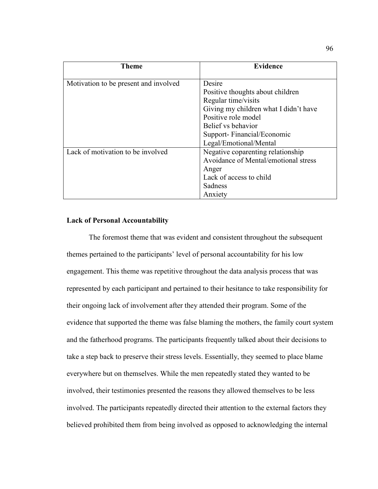| Theme                                 | Evidence                              |
|---------------------------------------|---------------------------------------|
| Motivation to be present and involved | Desire                                |
|                                       | Positive thoughts about children      |
|                                       | Regular time/visits                   |
|                                       | Giving my children what I didn't have |
|                                       | Positive role model                   |
|                                       | Belief vs behavior                    |
|                                       | Support-Financial/Economic            |
|                                       | Legal/Emotional/Mental                |
| Lack of motivation to be involved     | Negative coparenting relationship     |
|                                       | Avoidance of Mental/emotional stress  |
|                                       | Anger                                 |
|                                       | Lack of access to child               |
|                                       | Sadness                               |
|                                       | Anxiety                               |

# **Lack of Personal Accountability**

The foremost theme that was evident and consistent throughout the subsequent themes pertained to the participants' level of personal accountability for his low engagement. This theme was repetitive throughout the data analysis process that was represented by each participant and pertained to their hesitance to take responsibility for their ongoing lack of involvement after they attended their program. Some of the evidence that supported the theme was false blaming the mothers, the family court system and the fatherhood programs. The participants frequently talked about their decisions to take a step back to preserve their stress levels. Essentially, they seemed to place blame everywhere but on themselves. While the men repeatedly stated they wanted to be involved, their testimonies presented the reasons they allowed themselves to be less involved. The participants repeatedly directed their attention to the external factors they believed prohibited them from being involved as opposed to acknowledging the internal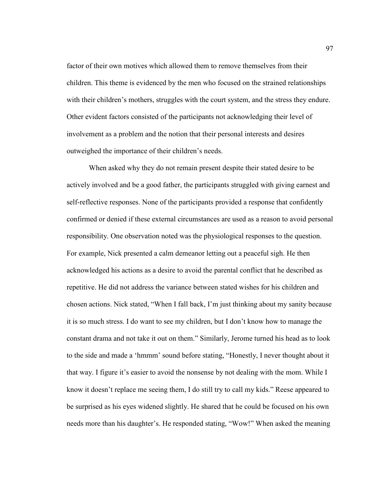factor of their own motives which allowed them to remove themselves from their children. This theme is evidenced by the men who focused on the strained relationships with their children's mothers, struggles with the court system, and the stress they endure. Other evident factors consisted of the participants not acknowledging their level of involvement as a problem and the notion that their personal interests and desires outweighed the importance of their children's needs.

When asked why they do not remain present despite their stated desire to be actively involved and be a good father, the participants struggled with giving earnest and self-reflective responses. None of the participants provided a response that confidently confirmed or denied if these external circumstances are used as a reason to avoid personal responsibility. One observation noted was the physiological responses to the question. For example, Nick presented a calm demeanor letting out a peaceful sigh. He then acknowledged his actions as a desire to avoid the parental conflict that he described as repetitive. He did not address the variance between stated wishes for his children and chosen actions. Nick stated, "When I fall back, I'm just thinking about my sanity because it is so much stress. I do want to see my children, but I don't know how to manage the constant drama and not take it out on them." Similarly, Jerome turned his head as to look to the side and made a 'hmmm' sound before stating, "Honestly, I never thought about it that way. I figure it's easier to avoid the nonsense by not dealing with the mom. While I know it doesn't replace me seeing them, I do still try to call my kids." Reese appeared to be surprised as his eyes widened slightly. He shared that he could be focused on his own needs more than his daughter's. He responded stating, "Wow!" When asked the meaning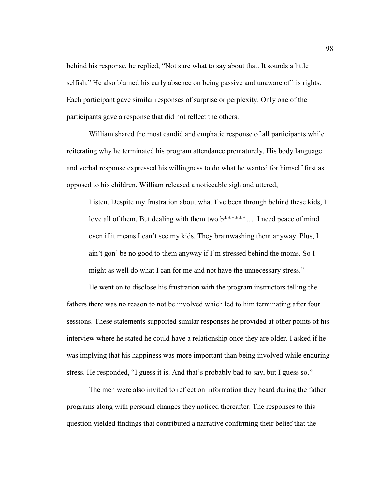behind his response, he replied, "Not sure what to say about that. It sounds a little selfish." He also blamed his early absence on being passive and unaware of his rights. Each participant gave similar responses of surprise or perplexity. Only one of the participants gave a response that did not reflect the others.

William shared the most candid and emphatic response of all participants while reiterating why he terminated his program attendance prematurely. His body language and verbal response expressed his willingness to do what he wanted for himself first as opposed to his children. William released a noticeable sigh and uttered,

Listen. Despite my frustration about what I've been through behind these kids, I love all of them. But dealing with them two  $b*****$ .....I need peace of mind even if it means I can't see my kids. They brainwashing them anyway. Plus, I ain't gon' be no good to them anyway if I'm stressed behind the moms. So I might as well do what I can for me and not have the unnecessary stress."

He went on to disclose his frustration with the program instructors telling the fathers there was no reason to not be involved which led to him terminating after four sessions. These statements supported similar responses he provided at other points of his interview where he stated he could have a relationship once they are older. I asked if he was implying that his happiness was more important than being involved while enduring stress. He responded, "I guess it is. And that's probably bad to say, but I guess so."

The men were also invited to reflect on information they heard during the father programs along with personal changes they noticed thereafter. The responses to this question yielded findings that contributed a narrative confirming their belief that the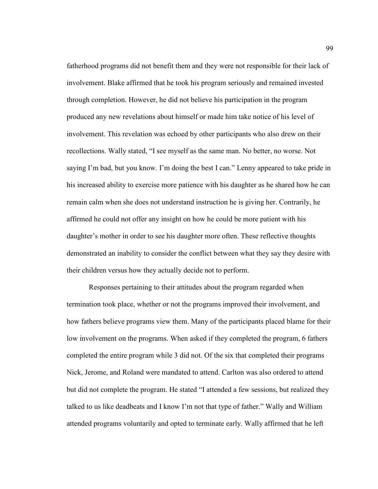fatherhood programs did not benefit them and they were not responsible for their lack of involvement. Blake affirmed that he took his program seriously and remained invested through completion. However, he did not believe his participation in the program produced any new revelations about himself or made him take notice of his level of involvement. This revelation was echoed by other participants who also drew on their recollections. Wally stated, "I see myself as the same man. No better, no worse. Not saying I'm bad, but you know. I'm doing the best I can." Lenny appeared to take pride in his increased ability to exercise more patience with his daughter as he shared how he can remain calm when she does not understand instruction he is giving her. Contrarily, he affirmed he could not offer any insight on how he could be more patient with his daughter's mother in order to see his daughter more often. These reflective thoughts demonstrated an inability to consider the conflict between what they say they desire with their children versus how they actually decide not to perform.

Responses pertaining to their attitudes about the program regarded when termination took place, whether or not the programs improved their involvement, and how fathers believe programs view them. Many of the participants placed blame for their low involvement on the programs. When asked if they completed the program, 6 fathers completed the entire program while 3 did not. Of the six that completed their programs Nick, Jerome, and Roland were mandated to attend. Carlton was also ordered to attend but did not complete the program. He stated "I attended a few sessions, but realized they talked to us like deadbeats and I know I'm not that type of father." Wally and William attended programs voluntarily and opted to terminate early. Wally affirmed that he left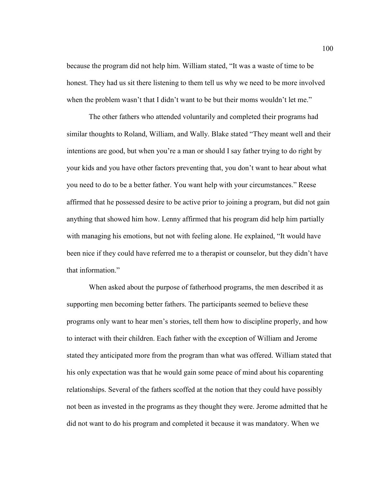because the program did not help him. William stated, "It was a waste of time to be honest. They had us sit there listening to them tell us why we need to be more involved when the problem wasn't that I didn't want to be but their moms wouldn't let me."

 The other fathers who attended voluntarily and completed their programs had similar thoughts to Roland, William, and Wally. Blake stated "They meant well and their intentions are good, but when you're a man or should I say father trying to do right by your kids and you have other factors preventing that, you don't want to hear about what you need to do to be a better father. You want help with your circumstances." Reese affirmed that he possessed desire to be active prior to joining a program, but did not gain anything that showed him how. Lenny affirmed that his program did help him partially with managing his emotions, but not with feeling alone. He explained, "It would have been nice if they could have referred me to a therapist or counselor, but they didn't have that information."

When asked about the purpose of fatherhood programs, the men described it as supporting men becoming better fathers. The participants seemed to believe these programs only want to hear men's stories, tell them how to discipline properly, and how to interact with their children. Each father with the exception of William and Jerome stated they anticipated more from the program than what was offered. William stated that his only expectation was that he would gain some peace of mind about his coparenting relationships. Several of the fathers scoffed at the notion that they could have possibly not been as invested in the programs as they thought they were. Jerome admitted that he did not want to do his program and completed it because it was mandatory. When we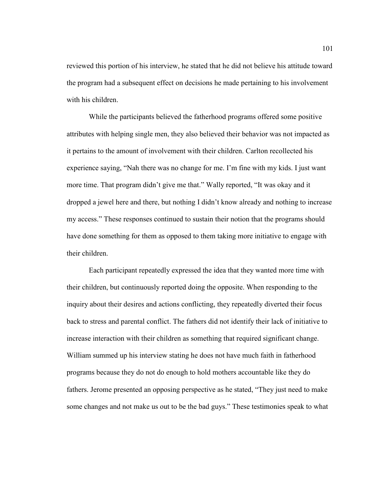reviewed this portion of his interview, he stated that he did not believe his attitude toward the program had a subsequent effect on decisions he made pertaining to his involvement with his children

While the participants believed the fatherhood programs offered some positive attributes with helping single men, they also believed their behavior was not impacted as it pertains to the amount of involvement with their children. Carlton recollected his experience saying, "Nah there was no change for me. I'm fine with my kids. I just want more time. That program didn't give me that." Wally reported, "It was okay and it dropped a jewel here and there, but nothing I didn't know already and nothing to increase my access." These responses continued to sustain their notion that the programs should have done something for them as opposed to them taking more initiative to engage with their children.

Each participant repeatedly expressed the idea that they wanted more time with their children, but continuously reported doing the opposite. When responding to the inquiry about their desires and actions conflicting, they repeatedly diverted their focus back to stress and parental conflict. The fathers did not identify their lack of initiative to increase interaction with their children as something that required significant change. William summed up his interview stating he does not have much faith in fatherhood programs because they do not do enough to hold mothers accountable like they do fathers. Jerome presented an opposing perspective as he stated, "They just need to make some changes and not make us out to be the bad guys." These testimonies speak to what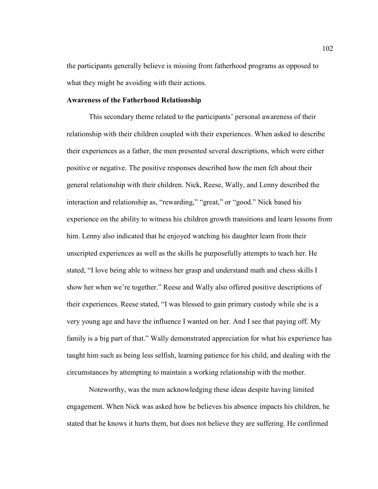the participants generally believe is missing from fatherhood programs as opposed to what they might be avoiding with their actions.

# **Awareness of the Fatherhood Relationship**

 This secondary theme related to the participants' personal awareness of their relationship with their children coupled with their experiences. When asked to describe their experiences as a father, the men presented several descriptions, which were either positive or negative. The positive responses described how the men felt about their general relationship with their children. Nick, Reese, Wally, and Lenny described the interaction and relationship as, "rewarding," "great," or "good." Nick based his experience on the ability to witness his children growth transitions and learn lessons from him. Lenny also indicated that he enjoyed watching his daughter learn from their unscripted experiences as well as the skills he purposefully attempts to teach her. He stated, "I love being able to witness her grasp and understand math and chess skills I show her when we're together." Reese and Wally also offered positive descriptions of their experiences. Reese stated, "I was blessed to gain primary custody while she is a very young age and have the influence I wanted on her. And I see that paying off. My family is a big part of that." Wally demonstrated appreciation for what his experience has taught him such as being less selfish, learning patience for his child, and dealing with the circumstances by attempting to maintain a working relationship with the mother.

 Noteworthy, was the men acknowledging these ideas despite having limited engagement. When Nick was asked how he believes his absence impacts his children, he stated that he knows it hurts them, but does not believe they are suffering. He confirmed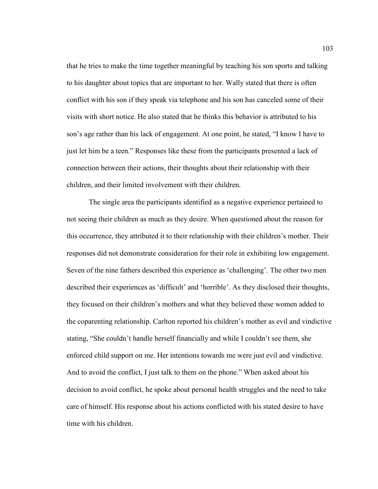that he tries to make the time together meaningful by teaching his son sports and talking to his daughter about topics that are important to her. Wally stated that there is often conflict with his son if they speak via telephone and his son has canceled some of their visits with short notice. He also stated that he thinks this behavior is attributed to his son's age rather than his lack of engagement. At one point, he stated, "I know I have to just let him be a teen." Responses like these from the participants presented a lack of connection between their actions, their thoughts about their relationship with their children, and their limited involvement with their children.

The single area the participants identified as a negative experience pertained to not seeing their children as much as they desire. When questioned about the reason for this occurrence, they attributed it to their relationship with their children's mother. Their responses did not demonstrate consideration for their role in exhibiting low engagement. Seven of the nine fathers described this experience as 'challenging'. The other two men described their experiences as 'difficult' and 'horrible'. As they disclosed their thoughts, they focused on their children's mothers and what they believed these women added to the coparenting relationship. Carlton reported his children's mother as evil and vindictive stating, "She couldn't handle herself financially and while I couldn't see them, she enforced child support on me. Her intentions towards me were just evil and vindictive. And to avoid the conflict, I just talk to them on the phone." When asked about his decision to avoid conflict, he spoke about personal health struggles and the need to take care of himself. His response about his actions conflicted with his stated desire to have time with his children.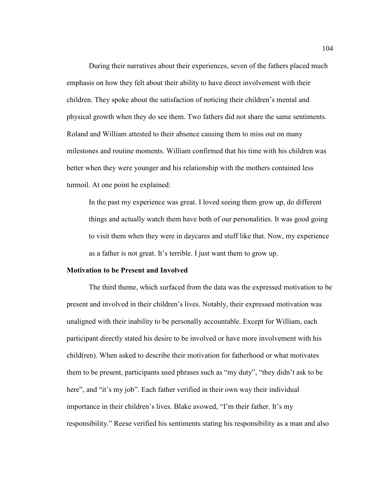During their narratives about their experiences, seven of the fathers placed much emphasis on how they felt about their ability to have direct involvement with their children. They spoke about the satisfaction of noticing their children's mental and physical growth when they do see them. Two fathers did not share the same sentiments. Roland and William attested to their absence causing them to miss out on many milestones and routine moments. William confirmed that his time with his children was better when they were younger and his relationship with the mothers contained less turmoil. At one point he explained:

In the past my experience was great. I loved seeing them grow up, do different things and actually watch them have both of our personalities. It was good going to visit them when they were in daycares and stuff like that. Now, my experience as a father is not great. It's terrible. I just want them to grow up.

### **Motivation to be Present and Involved**

 The third theme, which surfaced from the data was the expressed motivation to be present and involved in their children's lives. Notably, their expressed motivation was unaligned with their inability to be personally accountable. Except for William, each participant directly stated his desire to be involved or have more involvement with his child(ren). When asked to describe their motivation for fatherhood or what motivates them to be present, participants used phrases such as "my duty", "they didn't ask to be here", and "it's my job". Each father verified in their own way their individual importance in their children's lives. Blake avowed, "I'm their father. It's my responsibility." Reese verified his sentiments stating his responsibility as a man and also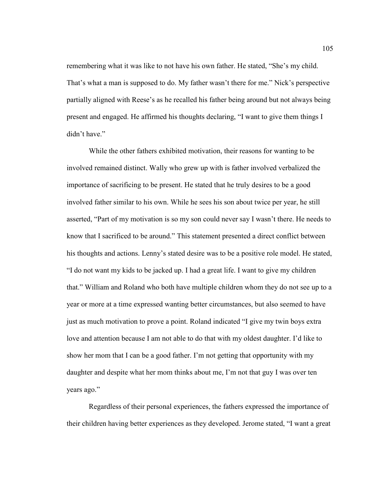remembering what it was like to not have his own father. He stated, "She's my child. That's what a man is supposed to do. My father wasn't there for me." Nick's perspective partially aligned with Reese's as he recalled his father being around but not always being present and engaged. He affirmed his thoughts declaring, "I want to give them things I didn't have."

 While the other fathers exhibited motivation, their reasons for wanting to be involved remained distinct. Wally who grew up with is father involved verbalized the importance of sacrificing to be present. He stated that he truly desires to be a good involved father similar to his own. While he sees his son about twice per year, he still asserted, "Part of my motivation is so my son could never say I wasn't there. He needs to know that I sacrificed to be around." This statement presented a direct conflict between his thoughts and actions. Lenny's stated desire was to be a positive role model. He stated, "I do not want my kids to be jacked up. I had a great life. I want to give my children that." William and Roland who both have multiple children whom they do not see up to a year or more at a time expressed wanting better circumstances, but also seemed to have just as much motivation to prove a point. Roland indicated "I give my twin boys extra love and attention because I am not able to do that with my oldest daughter. I'd like to show her mom that I can be a good father. I'm not getting that opportunity with my daughter and despite what her mom thinks about me, I'm not that guy I was over ten years ago."

 Regardless of their personal experiences, the fathers expressed the importance of their children having better experiences as they developed. Jerome stated, "I want a great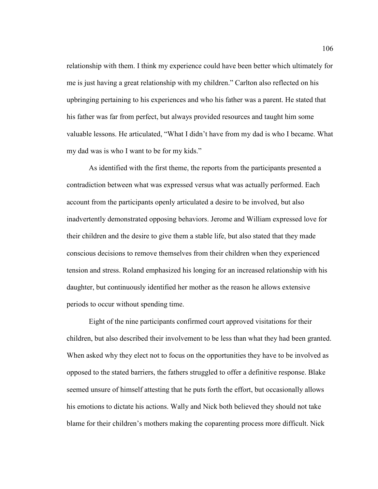relationship with them. I think my experience could have been better which ultimately for me is just having a great relationship with my children." Carlton also reflected on his upbringing pertaining to his experiences and who his father was a parent. He stated that his father was far from perfect, but always provided resources and taught him some valuable lessons. He articulated, "What I didn't have from my dad is who I became. What my dad was is who I want to be for my kids."

 As identified with the first theme, the reports from the participants presented a contradiction between what was expressed versus what was actually performed. Each account from the participants openly articulated a desire to be involved, but also inadvertently demonstrated opposing behaviors. Jerome and William expressed love for their children and the desire to give them a stable life, but also stated that they made conscious decisions to remove themselves from their children when they experienced tension and stress. Roland emphasized his longing for an increased relationship with his daughter, but continuously identified her mother as the reason he allows extensive periods to occur without spending time.

Eight of the nine participants confirmed court approved visitations for their children, but also described their involvement to be less than what they had been granted. When asked why they elect not to focus on the opportunities they have to be involved as opposed to the stated barriers, the fathers struggled to offer a definitive response. Blake seemed unsure of himself attesting that he puts forth the effort, but occasionally allows his emotions to dictate his actions. Wally and Nick both believed they should not take blame for their children's mothers making the coparenting process more difficult. Nick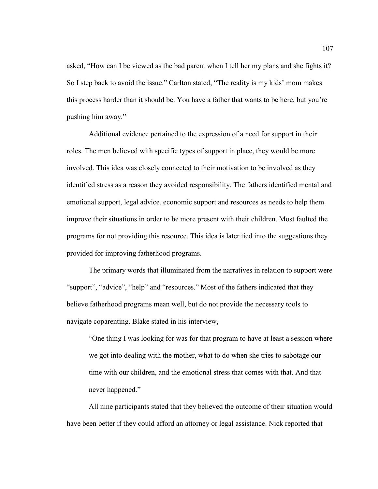asked, "How can I be viewed as the bad parent when I tell her my plans and she fights it? So I step back to avoid the issue." Carlton stated, "The reality is my kids' mom makes this process harder than it should be. You have a father that wants to be here, but you're pushing him away."

Additional evidence pertained to the expression of a need for support in their roles. The men believed with specific types of support in place, they would be more involved. This idea was closely connected to their motivation to be involved as they identified stress as a reason they avoided responsibility. The fathers identified mental and emotional support, legal advice, economic support and resources as needs to help them improve their situations in order to be more present with their children. Most faulted the programs for not providing this resource. This idea is later tied into the suggestions they provided for improving fatherhood programs.

The primary words that illuminated from the narratives in relation to support were "support", "advice", "help" and "resources." Most of the fathers indicated that they believe fatherhood programs mean well, but do not provide the necessary tools to navigate coparenting. Blake stated in his interview,

"One thing I was looking for was for that program to have at least a session where we got into dealing with the mother, what to do when she tries to sabotage our time with our children, and the emotional stress that comes with that. And that never happened."

All nine participants stated that they believed the outcome of their situation would have been better if they could afford an attorney or legal assistance. Nick reported that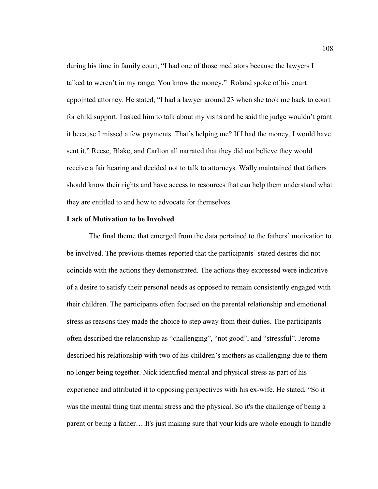during his time in family court, "I had one of those mediators because the lawyers I talked to weren't in my range. You know the money." Roland spoke of his court appointed attorney. He stated, "I had a lawyer around 23 when she took me back to court for child support. I asked him to talk about my visits and he said the judge wouldn't grant it because I missed a few payments. That's helping me? If I had the money, I would have sent it." Reese, Blake, and Carlton all narrated that they did not believe they would receive a fair hearing and decided not to talk to attorneys. Wally maintained that fathers should know their rights and have access to resources that can help them understand what they are entitled to and how to advocate for themselves.

#### **Lack of Motivation to be Involved**

The final theme that emerged from the data pertained to the fathers' motivation to be involved. The previous themes reported that the participants' stated desires did not coincide with the actions they demonstrated. The actions they expressed were indicative of a desire to satisfy their personal needs as opposed to remain consistently engaged with their children. The participants often focused on the parental relationship and emotional stress as reasons they made the choice to step away from their duties. The participants often described the relationship as "challenging", "not good", and "stressful". Jerome described his relationship with two of his children's mothers as challenging due to them no longer being together. Nick identified mental and physical stress as part of his experience and attributed it to opposing perspectives with his ex-wife. He stated, "So it was the mental thing that mental stress and the physical. So it's the challenge of being a parent or being a father….It's just making sure that your kids are whole enough to handle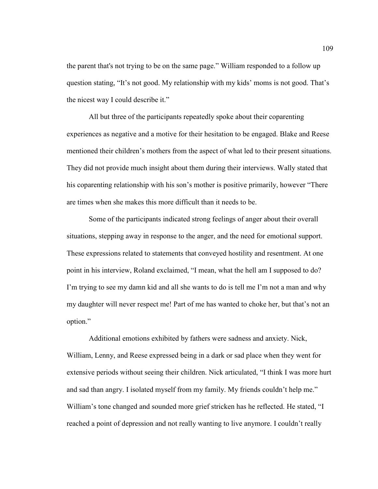the parent that's not trying to be on the same page." William responded to a follow up question stating, "It's not good. My relationship with my kids' moms is not good. That's the nicest way I could describe it."

All but three of the participants repeatedly spoke about their coparenting experiences as negative and a motive for their hesitation to be engaged. Blake and Reese mentioned their children's mothers from the aspect of what led to their present situations. They did not provide much insight about them during their interviews. Wally stated that his coparenting relationship with his son's mother is positive primarily, however "There are times when she makes this more difficult than it needs to be.

Some of the participants indicated strong feelings of anger about their overall situations, stepping away in response to the anger, and the need for emotional support. These expressions related to statements that conveyed hostility and resentment. At one point in his interview, Roland exclaimed, "I mean, what the hell am I supposed to do? I'm trying to see my damn kid and all she wants to do is tell me I'm not a man and why my daughter will never respect me! Part of me has wanted to choke her, but that's not an option."

Additional emotions exhibited by fathers were sadness and anxiety. Nick, William, Lenny, and Reese expressed being in a dark or sad place when they went for extensive periods without seeing their children. Nick articulated, "I think I was more hurt and sad than angry. I isolated myself from my family. My friends couldn't help me." William's tone changed and sounded more grief stricken has he reflected. He stated, "I reached a point of depression and not really wanting to live anymore. I couldn't really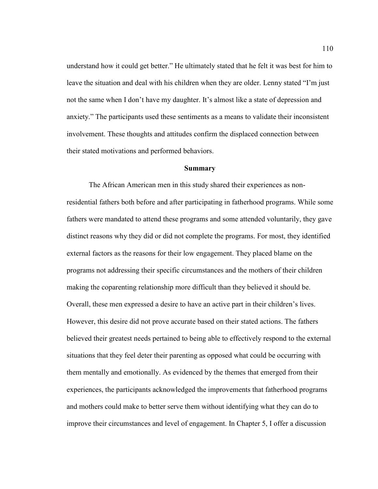understand how it could get better." He ultimately stated that he felt it was best for him to leave the situation and deal with his children when they are older. Lenny stated "I'm just not the same when I don't have my daughter. It's almost like a state of depression and anxiety." The participants used these sentiments as a means to validate their inconsistent involvement. These thoughts and attitudes confirm the displaced connection between their stated motivations and performed behaviors.

### **Summary**

The African American men in this study shared their experiences as nonresidential fathers both before and after participating in fatherhood programs. While some fathers were mandated to attend these programs and some attended voluntarily, they gave distinct reasons why they did or did not complete the programs. For most, they identified external factors as the reasons for their low engagement. They placed blame on the programs not addressing their specific circumstances and the mothers of their children making the coparenting relationship more difficult than they believed it should be. Overall, these men expressed a desire to have an active part in their children's lives. However, this desire did not prove accurate based on their stated actions. The fathers believed their greatest needs pertained to being able to effectively respond to the external situations that they feel deter their parenting as opposed what could be occurring with them mentally and emotionally. As evidenced by the themes that emerged from their experiences, the participants acknowledged the improvements that fatherhood programs and mothers could make to better serve them without identifying what they can do to improve their circumstances and level of engagement. In Chapter 5, I offer a discussion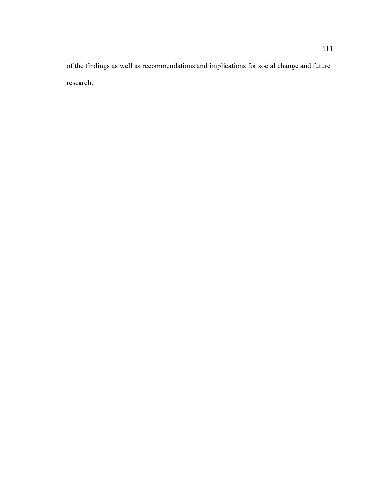of the findings as well as recommendations and implications for social change and future research.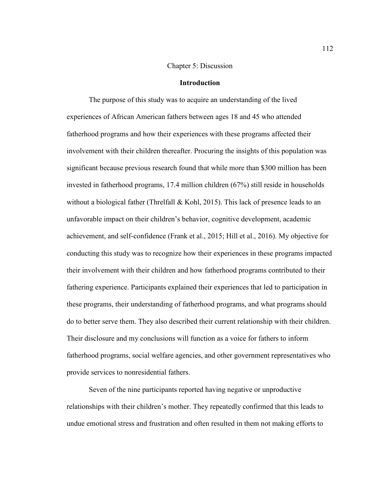### Chapter 5: Discussion

# **Introduction**

The purpose of this study was to acquire an understanding of the lived experiences of African American fathers between ages 18 and 45 who attended fatherhood programs and how their experiences with these programs affected their involvement with their children thereafter. Procuring the insights of this population was significant because previous research found that while more than \$300 million has been invested in fatherhood programs, 17.4 million children (67%) still reside in households without a biological father (Threlfall & Kohl, 2015). This lack of presence leads to an unfavorable impact on their children's behavior, cognitive development, academic achievement, and self-confidence (Frank et al., 2015; Hill et al., 2016). My objective for conducting this study was to recognize how their experiences in these programs impacted their involvement with their children and how fatherhood programs contributed to their fathering experience. Participants explained their experiences that led to participation in these programs, their understanding of fatherhood programs, and what programs should do to better serve them. They also described their current relationship with their children. Their disclosure and my conclusions will function as a voice for fathers to inform fatherhood programs, social welfare agencies, and other government representatives who provide services to nonresidential fathers.

Seven of the nine participants reported having negative or unproductive relationships with their children's mother. They repeatedly confirmed that this leads to undue emotional stress and frustration and often resulted in them not making efforts to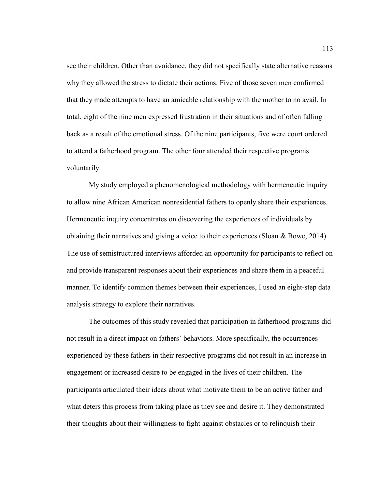see their children. Other than avoidance, they did not specifically state alternative reasons why they allowed the stress to dictate their actions. Five of those seven men confirmed that they made attempts to have an amicable relationship with the mother to no avail. In total, eight of the nine men expressed frustration in their situations and of often falling back as a result of the emotional stress. Of the nine participants, five were court ordered to attend a fatherhood program. The other four attended their respective programs voluntarily.

My study employed a phenomenological methodology with hermeneutic inquiry to allow nine African American nonresidential fathers to openly share their experiences. Hermeneutic inquiry concentrates on discovering the experiences of individuals by obtaining their narratives and giving a voice to their experiences (Sloan & Bowe, 2014). The use of semistructured interviews afforded an opportunity for participants to reflect on and provide transparent responses about their experiences and share them in a peaceful manner. To identify common themes between their experiences, I used an eight-step data analysis strategy to explore their narratives.

 The outcomes of this study revealed that participation in fatherhood programs did not result in a direct impact on fathers' behaviors. More specifically, the occurrences experienced by these fathers in their respective programs did not result in an increase in engagement or increased desire to be engaged in the lives of their children. The participants articulated their ideas about what motivate them to be an active father and what deters this process from taking place as they see and desire it. They demonstrated their thoughts about their willingness to fight against obstacles or to relinquish their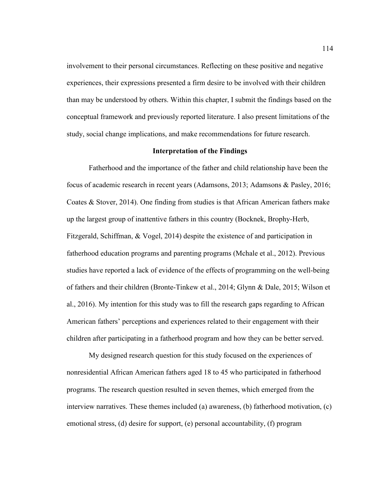involvement to their personal circumstances. Reflecting on these positive and negative experiences, their expressions presented a firm desire to be involved with their children than may be understood by others. Within this chapter, I submit the findings based on the conceptual framework and previously reported literature. I also present limitations of the study, social change implications, and make recommendations for future research.

# **Interpretation of the Findings**

Fatherhood and the importance of the father and child relationship have been the focus of academic research in recent years (Adamsons, 2013; Adamsons & Pasley, 2016; Coates & Stover, 2014). One finding from studies is that African American fathers make up the largest group of inattentive fathers in this country (Bocknek, Brophy-Herb, Fitzgerald, Schiffman, & Vogel, 2014) despite the existence of and participation in fatherhood education programs and parenting programs (Mchale et al., 2012). Previous studies have reported a lack of evidence of the effects of programming on the well-being of fathers and their children (Bronte-Tinkew et al., 2014; Glynn & Dale, 2015; Wilson et al., 2016). My intention for this study was to fill the research gaps regarding to African American fathers' perceptions and experiences related to their engagement with their children after participating in a fatherhood program and how they can be better served.

 My designed research question for this study focused on the experiences of nonresidential African American fathers aged 18 to 45 who participated in fatherhood programs. The research question resulted in seven themes, which emerged from the interview narratives. These themes included (a) awareness, (b) fatherhood motivation, (c) emotional stress, (d) desire for support, (e) personal accountability, (f) program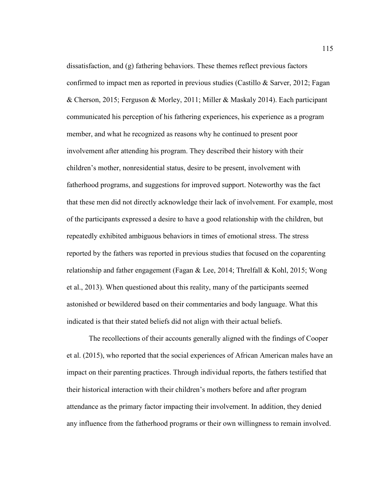dissatisfaction, and (g) fathering behaviors. These themes reflect previous factors confirmed to impact men as reported in previous studies (Castillo & Sarver, 2012; Fagan & Cherson, 2015; Ferguson & Morley, 2011; Miller & Maskaly 2014). Each participant communicated his perception of his fathering experiences, his experience as a program member, and what he recognized as reasons why he continued to present poor involvement after attending his program. They described their history with their children's mother, nonresidential status, desire to be present, involvement with fatherhood programs, and suggestions for improved support. Noteworthy was the fact that these men did not directly acknowledge their lack of involvement. For example, most of the participants expressed a desire to have a good relationship with the children, but repeatedly exhibited ambiguous behaviors in times of emotional stress. The stress reported by the fathers was reported in previous studies that focused on the coparenting relationship and father engagement (Fagan & Lee, 2014; Threlfall & Kohl, 2015; Wong et al., 2013). When questioned about this reality, many of the participants seemed astonished or bewildered based on their commentaries and body language. What this indicated is that their stated beliefs did not align with their actual beliefs.

 The recollections of their accounts generally aligned with the findings of Cooper et al. (2015), who reported that the social experiences of African American males have an impact on their parenting practices. Through individual reports, the fathers testified that their historical interaction with their children's mothers before and after program attendance as the primary factor impacting their involvement. In addition, they denied any influence from the fatherhood programs or their own willingness to remain involved.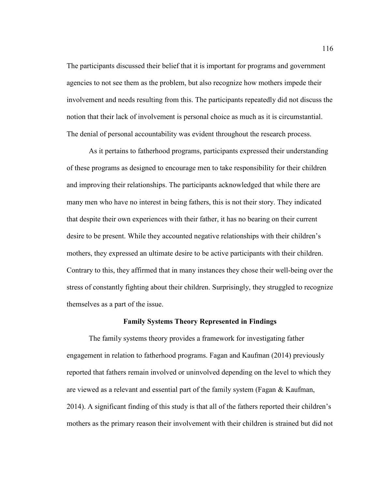The participants discussed their belief that it is important for programs and government agencies to not see them as the problem, but also recognize how mothers impede their involvement and needs resulting from this. The participants repeatedly did not discuss the notion that their lack of involvement is personal choice as much as it is circumstantial. The denial of personal accountability was evident throughout the research process.

 As it pertains to fatherhood programs, participants expressed their understanding of these programs as designed to encourage men to take responsibility for their children and improving their relationships. The participants acknowledged that while there are many men who have no interest in being fathers, this is not their story. They indicated that despite their own experiences with their father, it has no bearing on their current desire to be present. While they accounted negative relationships with their children's mothers, they expressed an ultimate desire to be active participants with their children. Contrary to this, they affirmed that in many instances they chose their well-being over the stress of constantly fighting about their children. Surprisingly, they struggled to recognize themselves as a part of the issue.

### **Family Systems Theory Represented in Findings**

 The family systems theory provides a framework for investigating father engagement in relation to fatherhood programs. Fagan and Kaufman (2014) previously reported that fathers remain involved or uninvolved depending on the level to which they are viewed as a relevant and essential part of the family system (Fagan & Kaufman, 2014). A significant finding of this study is that all of the fathers reported their children's mothers as the primary reason their involvement with their children is strained but did not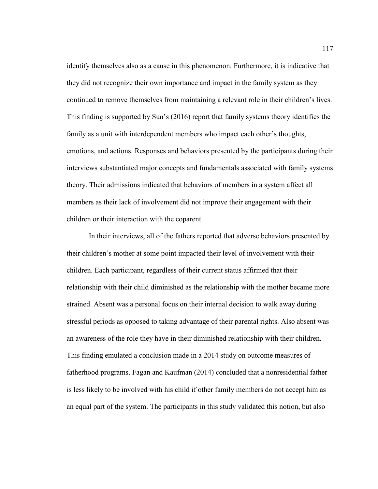identify themselves also as a cause in this phenomenon. Furthermore, it is indicative that they did not recognize their own importance and impact in the family system as they continued to remove themselves from maintaining a relevant role in their children's lives. This finding is supported by Sun's (2016) report that family systems theory identifies the family as a unit with interdependent members who impact each other's thoughts, emotions, and actions. Responses and behaviors presented by the participants during their interviews substantiated major concepts and fundamentals associated with family systems theory. Their admissions indicated that behaviors of members in a system affect all members as their lack of involvement did not improve their engagement with their children or their interaction with the coparent.

 In their interviews, all of the fathers reported that adverse behaviors presented by their children's mother at some point impacted their level of involvement with their children. Each participant, regardless of their current status affirmed that their relationship with their child diminished as the relationship with the mother became more strained. Absent was a personal focus on their internal decision to walk away during stressful periods as opposed to taking advantage of their parental rights. Also absent was an awareness of the role they have in their diminished relationship with their children. This finding emulated a conclusion made in a 2014 study on outcome measures of fatherhood programs. Fagan and Kaufman (2014) concluded that a nonresidential father is less likely to be involved with his child if other family members do not accept him as an equal part of the system. The participants in this study validated this notion, but also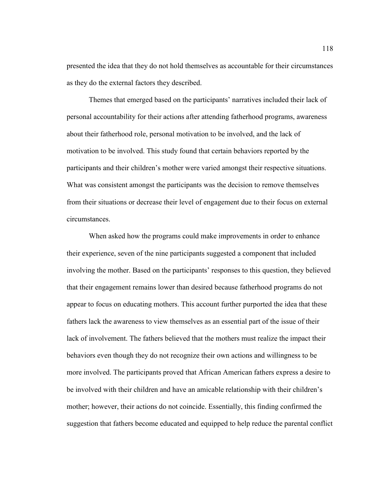presented the idea that they do not hold themselves as accountable for their circumstances as they do the external factors they described.

 Themes that emerged based on the participants' narratives included their lack of personal accountability for their actions after attending fatherhood programs, awareness about their fatherhood role, personal motivation to be involved, and the lack of motivation to be involved. This study found that certain behaviors reported by the participants and their children's mother were varied amongst their respective situations. What was consistent amongst the participants was the decision to remove themselves from their situations or decrease their level of engagement due to their focus on external circumstances.

 When asked how the programs could make improvements in order to enhance their experience, seven of the nine participants suggested a component that included involving the mother. Based on the participants' responses to this question, they believed that their engagement remains lower than desired because fatherhood programs do not appear to focus on educating mothers. This account further purported the idea that these fathers lack the awareness to view themselves as an essential part of the issue of their lack of involvement. The fathers believed that the mothers must realize the impact their behaviors even though they do not recognize their own actions and willingness to be more involved. The participants proved that African American fathers express a desire to be involved with their children and have an amicable relationship with their children's mother; however, their actions do not coincide. Essentially, this finding confirmed the suggestion that fathers become educated and equipped to help reduce the parental conflict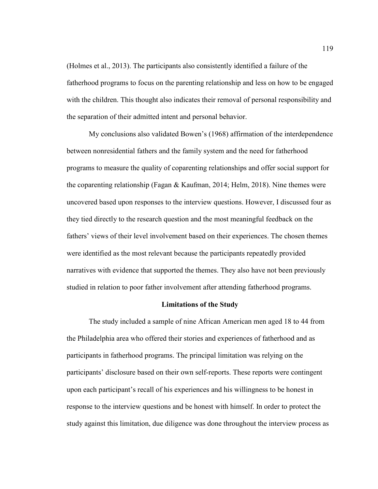(Holmes et al., 2013). The participants also consistently identified a failure of the fatherhood programs to focus on the parenting relationship and less on how to be engaged with the children. This thought also indicates their removal of personal responsibility and the separation of their admitted intent and personal behavior.

 My conclusions also validated Bowen's (1968) affirmation of the interdependence between nonresidential fathers and the family system and the need for fatherhood programs to measure the quality of coparenting relationships and offer social support for the coparenting relationship (Fagan & Kaufman, 2014; Helm, 2018). Nine themes were uncovered based upon responses to the interview questions. However, I discussed four as they tied directly to the research question and the most meaningful feedback on the fathers' views of their level involvement based on their experiences. The chosen themes were identified as the most relevant because the participants repeatedly provided narratives with evidence that supported the themes. They also have not been previously studied in relation to poor father involvement after attending fatherhood programs.

### **Limitations of the Study**

 The study included a sample of nine African American men aged 18 to 44 from the Philadelphia area who offered their stories and experiences of fatherhood and as participants in fatherhood programs. The principal limitation was relying on the participants' disclosure based on their own self-reports. These reports were contingent upon each participant's recall of his experiences and his willingness to be honest in response to the interview questions and be honest with himself. In order to protect the study against this limitation, due diligence was done throughout the interview process as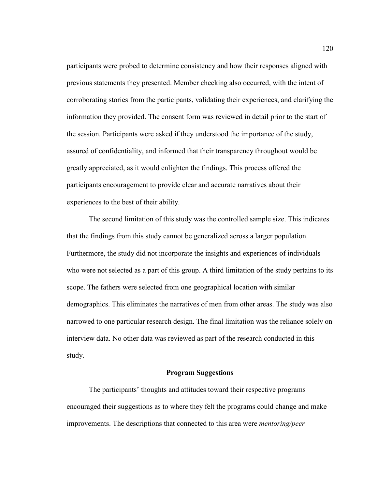participants were probed to determine consistency and how their responses aligned with previous statements they presented. Member checking also occurred, with the intent of corroborating stories from the participants, validating their experiences, and clarifying the information they provided. The consent form was reviewed in detail prior to the start of the session. Participants were asked if they understood the importance of the study, assured of confidentiality, and informed that their transparency throughout would be greatly appreciated, as it would enlighten the findings. This process offered the participants encouragement to provide clear and accurate narratives about their experiences to the best of their ability.

 The second limitation of this study was the controlled sample size. This indicates that the findings from this study cannot be generalized across a larger population. Furthermore, the study did not incorporate the insights and experiences of individuals who were not selected as a part of this group. A third limitation of the study pertains to its scope. The fathers were selected from one geographical location with similar demographics. This eliminates the narratives of men from other areas. The study was also narrowed to one particular research design. The final limitation was the reliance solely on interview data. No other data was reviewed as part of the research conducted in this study.

## **Program Suggestions**

The participants' thoughts and attitudes toward their respective programs encouraged their suggestions as to where they felt the programs could change and make improvements. The descriptions that connected to this area were *mentoring/peer*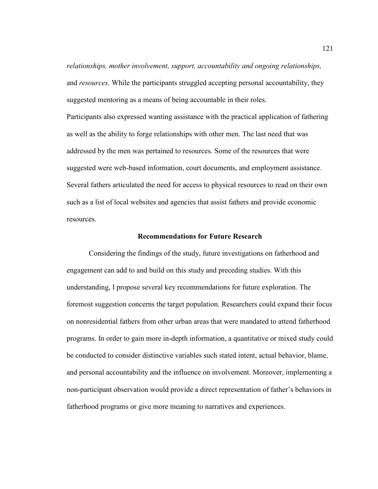*relationships, mother involvement, support, accountability and ongoing relationships,*  and *resources*. While the participants struggled accepting personal accountability, they suggested mentoring as a means of being accountable in their roles. Participants also expressed wanting assistance with the practical application of fathering as well as the ability to forge relationships with other men. The last need that was addressed by the men was pertained to resources. Some of the resources that were suggested were web-based information, court documents, and employment assistance. Several fathers articulated the need for access to physical resources to read on their own such as a list of local websites and agencies that assist fathers and provide economic resources.

### **Recommendations for Future Research**

 Considering the findings of the study, future investigations on fatherhood and engagement can add to and build on this study and preceding studies. With this understanding, I propose several key recommendations for future exploration. The foremost suggestion concerns the target population. Researchers could expand their focus on nonresidential fathers from other urban areas that were mandated to attend fatherhood programs. In order to gain more in-depth information, a quantitative or mixed study could be conducted to consider distinctive variables such stated intent, actual behavior, blame, and personal accountability and the influence on involvement. Moreover, implementing a non-participant observation would provide a direct representation of father's behaviors in fatherhood programs or give more meaning to narratives and experiences.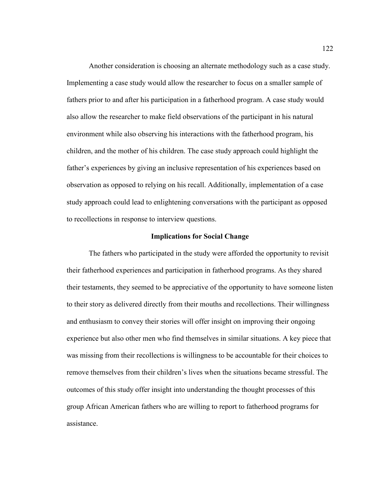Another consideration is choosing an alternate methodology such as a case study. Implementing a case study would allow the researcher to focus on a smaller sample of fathers prior to and after his participation in a fatherhood program. A case study would also allow the researcher to make field observations of the participant in his natural environment while also observing his interactions with the fatherhood program, his children, and the mother of his children. The case study approach could highlight the father's experiences by giving an inclusive representation of his experiences based on observation as opposed to relying on his recall. Additionally, implementation of a case study approach could lead to enlightening conversations with the participant as opposed to recollections in response to interview questions.

## **Implications for Social Change**

 The fathers who participated in the study were afforded the opportunity to revisit their fatherhood experiences and participation in fatherhood programs. As they shared their testaments, they seemed to be appreciative of the opportunity to have someone listen to their story as delivered directly from their mouths and recollections. Their willingness and enthusiasm to convey their stories will offer insight on improving their ongoing experience but also other men who find themselves in similar situations. A key piece that was missing from their recollections is willingness to be accountable for their choices to remove themselves from their children's lives when the situations became stressful. The outcomes of this study offer insight into understanding the thought processes of this group African American fathers who are willing to report to fatherhood programs for assistance.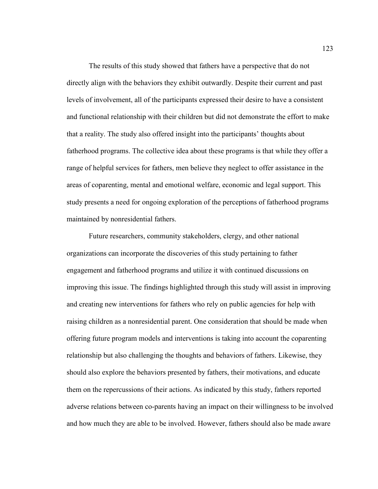The results of this study showed that fathers have a perspective that do not directly align with the behaviors they exhibit outwardly. Despite their current and past levels of involvement, all of the participants expressed their desire to have a consistent and functional relationship with their children but did not demonstrate the effort to make that a reality. The study also offered insight into the participants' thoughts about fatherhood programs. The collective idea about these programs is that while they offer a range of helpful services for fathers, men believe they neglect to offer assistance in the areas of coparenting, mental and emotional welfare, economic and legal support. This study presents a need for ongoing exploration of the perceptions of fatherhood programs maintained by nonresidential fathers.

 Future researchers, community stakeholders, clergy, and other national organizations can incorporate the discoveries of this study pertaining to father engagement and fatherhood programs and utilize it with continued discussions on improving this issue. The findings highlighted through this study will assist in improving and creating new interventions for fathers who rely on public agencies for help with raising children as a nonresidential parent. One consideration that should be made when offering future program models and interventions is taking into account the coparenting relationship but also challenging the thoughts and behaviors of fathers. Likewise, they should also explore the behaviors presented by fathers, their motivations, and educate them on the repercussions of their actions. As indicated by this study, fathers reported adverse relations between co-parents having an impact on their willingness to be involved and how much they are able to be involved. However, fathers should also be made aware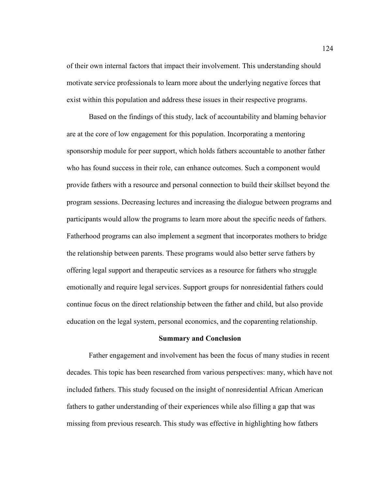of their own internal factors that impact their involvement. This understanding should motivate service professionals to learn more about the underlying negative forces that exist within this population and address these issues in their respective programs.

 Based on the findings of this study, lack of accountability and blaming behavior are at the core of low engagement for this population. Incorporating a mentoring sponsorship module for peer support, which holds fathers accountable to another father who has found success in their role, can enhance outcomes. Such a component would provide fathers with a resource and personal connection to build their skillset beyond the program sessions. Decreasing lectures and increasing the dialogue between programs and participants would allow the programs to learn more about the specific needs of fathers. Fatherhood programs can also implement a segment that incorporates mothers to bridge the relationship between parents. These programs would also better serve fathers by offering legal support and therapeutic services as a resource for fathers who struggle emotionally and require legal services. Support groups for nonresidential fathers could continue focus on the direct relationship between the father and child, but also provide education on the legal system, personal economics, and the coparenting relationship.

# **Summary and Conclusion**

 Father engagement and involvement has been the focus of many studies in recent decades. This topic has been researched from various perspectives: many, which have not included fathers. This study focused on the insight of nonresidential African American fathers to gather understanding of their experiences while also filling a gap that was missing from previous research. This study was effective in highlighting how fathers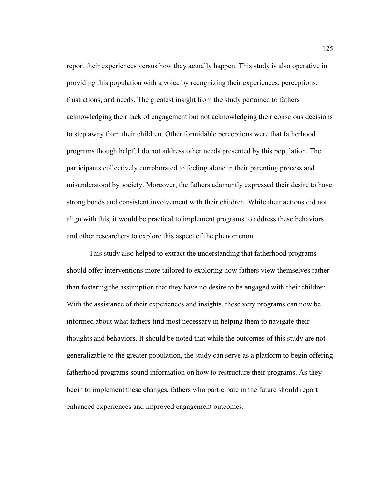report their experiences versus how they actually happen. This study is also operative in providing this population with a voice by recognizing their experiences, perceptions, frustrations, and needs. The greatest insight from the study pertained to fathers acknowledging their lack of engagement but not acknowledging their conscious decisions to step away from their children. Other formidable perceptions were that fatherhood programs though helpful do not address other needs presented by this population. The participants collectively corroborated to feeling alone in their parenting process and misunderstood by society. Moreover, the fathers adamantly expressed their desire to have strong bonds and consistent involvement with their children. While their actions did not align with this, it would be practical to implement programs to address these behaviors and other researchers to explore this aspect of the phenomenon.

 This study also helped to extract the understanding that fatherhood programs should offer interventions more tailored to exploring how fathers view themselves rather than fostering the assumption that they have no desire to be engaged with their children. With the assistance of their experiences and insights, these very programs can now be informed about what fathers find most necessary in helping them to navigate their thoughts and behaviors. It should be noted that while the outcomes of this study are not generalizable to the greater population, the study can serve as a platform to begin offering fatherhood programs sound information on how to restructure their programs. As they begin to implement these changes, fathers who participate in the future should report enhanced experiences and improved engagement outcomes.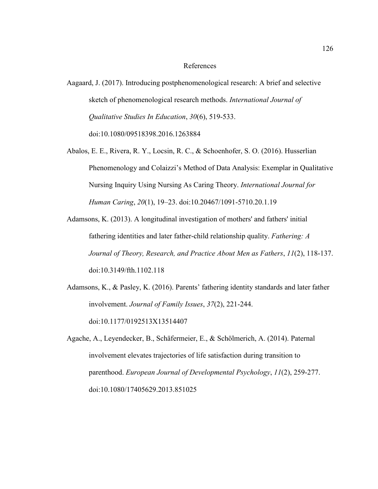### References

- Aagaard, J. (2017). Introducing postphenomenological research: A brief and selective sketch of phenomenological research methods. *International Journal of Qualitative Studies In Education*, *30*(6), 519-533. doi:10.1080/09518398.2016.1263884
- Abalos, E. E., Rivera, R. Y., Locsin, R. C., & Schoenhofer, S. O. (2016). Husserlian Phenomenology and Colaizzi's Method of Data Analysis: Exemplar in Qualitative Nursing Inquiry Using Nursing As Caring Theory. *International Journal for Human Caring*, *20*(1), 19–23. doi:10.20467/1091-5710.20.1.19
- Adamsons, K. (2013). A longitudinal investigation of mothers' and fathers' initial fathering identities and later father-child relationship quality. *Fathering: A Journal of Theory, Research, and Practice About Men as Fathers*, *11*(2), 118-137. doi:10.3149/fth.1102.118
- Adamsons, K., & Pasley, K. (2016). Parents' fathering identity standards and later father involvement. *Journal of Family Issues*, *37*(2), 221-244. doi:10.1177/0192513X13514407
- Agache, A., Leyendecker, B., Schäfermeier, E., & Schölmerich, A. (2014). Paternal involvement elevates trajectories of life satisfaction during transition to parenthood. *European Journal of Developmental Psychology*, *11*(2), 259-277. doi:10.1080/17405629.2013.851025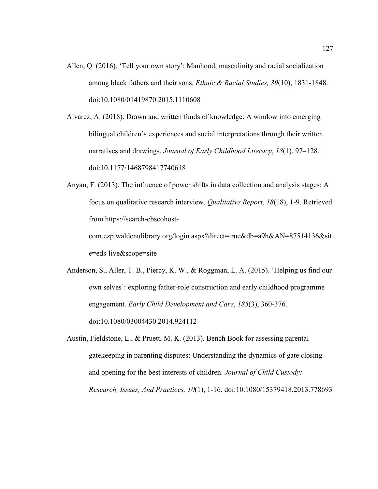Allen, Q. (2016). 'Tell your own story': Manhood, masculinity and racial socialization among black fathers and their sons. *Ethnic & Racial Studies, 39*(10), 1831-1848. doi:10.1080/01419870.2015.1110608

Alvarez, A. (2018). Drawn and written funds of knowledge: A window into emerging bilingual children's experiences and social interpretations through their written narratives and drawings. *Journal of Early Childhood Literacy*, *18*(1), 97–128. doi:10.1177/1468798417740618

Anyan, F. (2013). The influence of power shifts in data collection and analysis stages: A focus on qualitative research interview. *Qualitative Report, 18*(18), 1-9. Retrieved from https://search-ebscohost-

com.ezp.waldenulibrary.org/login.aspx?direct=true&db=a9h&AN=87514136&sit e=eds-live&scope=site

Anderson, S., Aller, T. B., Piercy, K. W., & Roggman, L. A. (2015). 'Helping us find our own selves': exploring father-role construction and early childhood programme engagement. *Early Child Development and Care*, *185*(3), 360-376. doi:10.1080/03004430.2014.924112

Austin, Fieldstone, L., & Pruett, M. K. (2013). Bench Book for assessing parental gatekeeping in parenting disputes: Understanding the dynamics of gate closing and opening for the best interests of children. *Journal of Child Custody: Research, Issues, And Practices, 10*(1), 1-16. doi:10.1080/15379418.2013.778693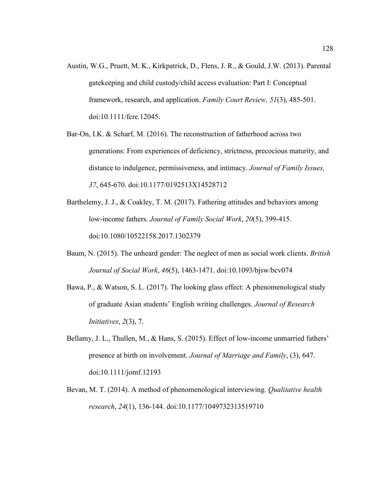- Austin, W.G., Pruett, M. K., Kirkpatrick, D., Flens, J. R., & Gould, J.W. (2013). Parental gatekeeping and child custody/child access evaluation: Part I: Conceptual framework, research, and application. *Family Court Review, 51*(3), 485-501. doi:10.1111/fcre.12045.
- Bar-On, I.K. & Scharf, M. (2016). The reconstruction of fatherhood across two generations: From experiences of deficiency, strictness, precocious maturity, and distance to indulgence, permissiveness, and intimacy. *Journal of Family Issues, 37*, 645-670. doi:10.1177/0192513X14528712
- Barthelemy, J. J., & Coakley, T. M. (2017). Fathering attitudes and behaviors among low-income fathers. *Journal of Family Social Work*, *20*(5), 399-415. doi:10.1080/10522158.2017.1302379
- Baum, N. (2015). The unheard gender: The neglect of men as social work clients. *British Journal of Social Work*, *46*(5), 1463-1471. doi:10.1093/bjsw/bcv074
- Bawa, P., & Watson, S. L. (2017). The looking glass effect: A phenomenological study of graduate Asian students' English writing challenges. *Journal of Research Initiatives*, *2*(3), 7.
- Bellamy, J. L., Thullen, M., & Hans, S. (2015). Effect of low-income unmarried fathers' presence at birth on involvement. *Journal of Marriage and Family*, (3), 647. doi:10.1111/jomf.12193
- Bevan, M. T. (2014). A method of phenomenological interviewing. *Qualitative health research*, *24*(1), 136-144. doi:10.1177/1049732313519710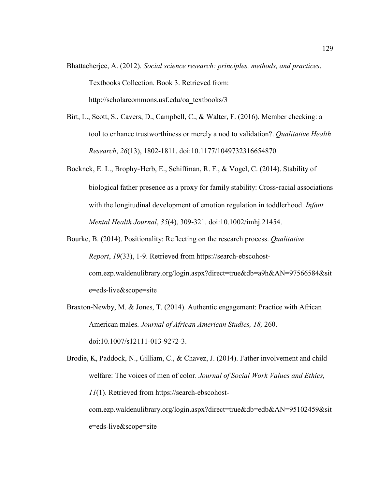- Bhattacherjee, A. (2012). *Social science research: principles, methods, and practices*. Textbooks Collection. Book 3. Retrieved from: http://scholarcommons.usf.edu/oa\_textbooks/3
- Birt, L., Scott, S., Cavers, D., Campbell, C., & Walter, F. (2016). Member checking: a tool to enhance trustworthiness or merely a nod to validation?. *Qualitative Health Research*, *26*(13), 1802-1811. doi:10.1177/1049732316654870
- Bocknek, E. L., Brophy‐Herb, E., Schiffman, R. F., & Vogel, C. (2014). Stability of biological father presence as a proxy for family stability: Cross-racial associations with the longitudinal development of emotion regulation in toddlerhood. *Infant Mental Health Journal*, *35*(4), 309-321. doi:10.1002/imhj.21454.
- Bourke, B. (2014). Positionality: Reflecting on the research process. *Qualitative Report*, *19*(33), 1-9. Retrieved from https://search-ebscohostcom.ezp.waldenulibrary.org/login.aspx?direct=true&db=a9h&AN=97566584&sit e=eds-live&scope=site
- Braxton-Newby, M. & Jones, T. (2014). Authentic engagement: Practice with African American males. *Journal of African American Studies, 18,* 260. doi:10.1007/s12111-013-9272-3.

Brodie, K, Paddock, N., Gilliam, C., & Chavez, J. (2014). Father involvement and child welfare: The voices of men of color. *Journal of Social Work Values and Ethics, 11*(1). Retrieved from https://search-ebscohostcom.ezp.waldenulibrary.org/login.aspx?direct=true&db=edb&AN=95102459&sit e=eds-live&scope=site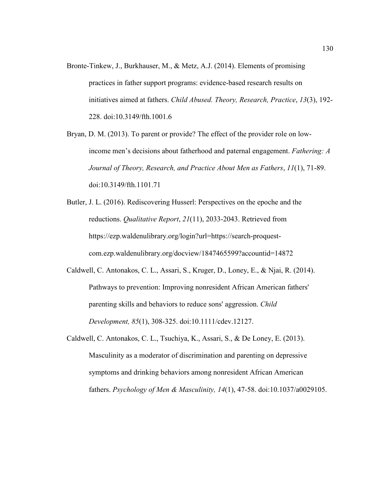- Bronte-Tinkew, J., Burkhauser, M., & Metz, A.J. (2014). Elements of promising practices in father support programs: evidence-based research results on initiatives aimed at fathers. *Child Abused. Theory, Research, Practice*, *13*(3), 192- 228. doi:10.3149/fth.1001.6
- Bryan, D. M. (2013). To parent or provide? The effect of the provider role on lowincome men's decisions about fatherhood and paternal engagement. *Fathering: A Journal of Theory, Research, and Practice About Men as Fathers*, *11*(1), 71-89. doi:10.3149/fth.1101.71
- Butler, J. L. (2016). Rediscovering Husserl: Perspectives on the epoche and the reductions. *Qualitative Report*, *21*(11), 2033-2043. Retrieved from https://ezp.waldenulibrary.org/login?url=https://search-proquestcom.ezp.waldenulibrary.org/docview/1847465599?accountid=14872
- Caldwell, C. Antonakos, C. L., Assari, S., Kruger, D., Loney, E., & Njai, R. (2014). Pathways to prevention: Improving nonresident African American fathers' parenting skills and behaviors to reduce sons' aggression. *Child Development, 85*(1), 308-325. doi:10.1111/cdev.12127.
- Caldwell, C. Antonakos, C. L., Tsuchiya, K., Assari, S., & De Loney, E. (2013). Masculinity as a moderator of discrimination and parenting on depressive symptoms and drinking behaviors among nonresident African American fathers. *Psychology of Men & Masculinity, 14*(1), 47-58. doi:10.1037/a0029105.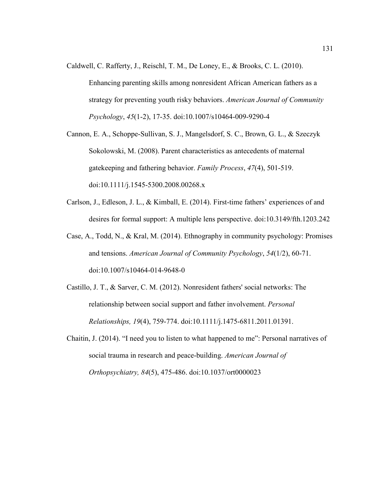Caldwell, C. Rafferty, J., Reischl, T. M., De Loney, E., & Brooks, C. L. (2010).

Enhancing parenting skills among nonresident African American fathers as a strategy for preventing youth risky behaviors. *American Journal of Community Psychology*, *45*(1-2), 17-35. doi:10.1007/s10464-009-9290-4

- Cannon, E. A., Schoppe-Sullivan, S. J., Mangelsdorf, S. C., Brown, G. L., & Szeczyk Sokolowski, M. (2008). Parent characteristics as antecedents of maternal gatekeeping and fathering behavior. *Family Process*, *47*(4), 501-519. doi:10.1111/j.1545-5300.2008.00268.x
- Carlson, J., Edleson, J. L., & Kimball, E. (2014). First-time fathers' experiences of and desires for formal support: A multiple lens perspective. doi:10.3149/fth.1203.242
- Case, A., Todd, N., & Kral, M. (2014). Ethnography in community psychology: Promises and tensions. *American Journal of Community Psychology*, *54*(1/2), 60-71. doi:10.1007/s10464-014-9648-0
- Castillo, J. T., & Sarver, C. M. (2012). Nonresident fathers' social networks: The relationship between social support and father involvement. *Personal Relationships, 19*(4), 759-774. doi:10.1111/j.1475-6811.2011.01391.
- Chaitin, J. (2014). "I need you to listen to what happened to me": Personal narratives of social trauma in research and peace-building. *American Journal of Orthopsychiatry, 84*(5), 475-486. doi:10.1037/ort0000023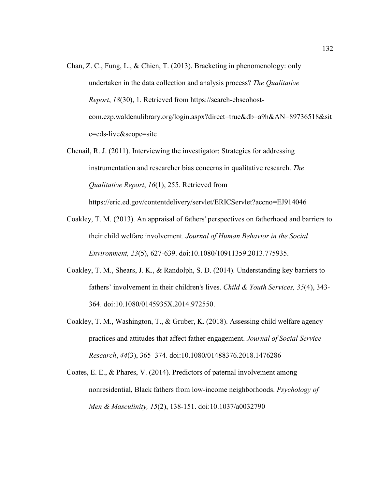- Chan, Z. C., Fung, L., & Chien, T. (2013). Bracketing in phenomenology: only undertaken in the data collection and analysis process? *The Qualitative Report*, *18*(30), 1. Retrieved from https://search-ebscohostcom.ezp.waldenulibrary.org/login.aspx?direct=true&db=a9h&AN=89736518&sit e=eds-live&scope=site
- Chenail, R. J. (2011). Interviewing the investigator: Strategies for addressing instrumentation and researcher bias concerns in qualitative research. *The Qualitative Report*, *16*(1), 255. Retrieved from https://eric.ed.gov/contentdelivery/servlet/ERICServlet?accno=EJ914046
- Coakley, T. M. (2013). An appraisal of fathers' perspectives on fatherhood and barriers to their child welfare involvement. *Journal of Human Behavior in the Social Environment, 23*(5), 627-639. doi:10.1080/10911359.2013.775935.
- Coakley, T. M., Shears, J. K., & Randolph, S. D. (2014). Understanding key barriers to fathers' involvement in their children's lives. *Child & Youth Services, 35*(4), 343- 364. doi:10.1080/0145935X.2014.972550.
- Coakley, T. M., Washington, T., & Gruber, K. (2018). Assessing child welfare agency practices and attitudes that affect father engagement. *Journal of Social Service Research*, *44*(3), 365–374. doi:10.1080/01488376.2018.1476286
- Coates, E. E., & Phares, V. (2014). Predictors of paternal involvement among nonresidential, Black fathers from low-income neighborhoods. *Psychology of Men & Masculinity, 15*(2), 138-151. doi:10.1037/a0032790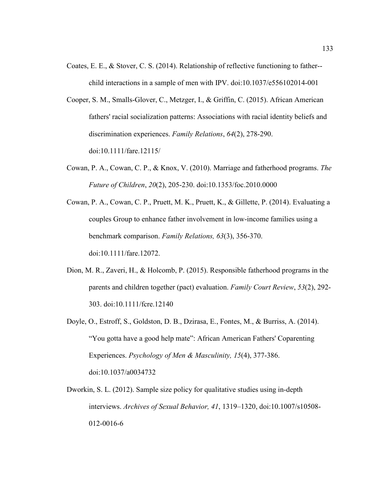- Coates, E. E., & Stover, C. S. (2014). Relationship of reflective functioning to father- child interactions in a sample of men with IPV. doi:10.1037/e556102014-001
- Cooper, S. M., Smalls-Glover, C., Metzger, I., & Griffin, C. (2015). African American fathers' racial socialization patterns: Associations with racial identity beliefs and discrimination experiences. *Family Relations*, *64*(2), 278-290. doi:10.1111/fare.12115/
- Cowan, P. A., Cowan, C. P., & Knox, V. (2010). Marriage and fatherhood programs. *The Future of Children*, *20*(2), 205-230. doi:10.1353/foc.2010.0000
- Cowan, P. A., Cowan, C. P., Pruett, M. K., Pruett, K., & Gillette, P. (2014). Evaluating a couples Group to enhance father involvement in low-income families using a benchmark comparison. *Family Relations, 63*(3), 356-370. doi:10.1111/fare.12072.
- Dion, M. R., Zaveri, H., & Holcomb, P. (2015). Responsible fatherhood programs in the parents and children together (pact) evaluation. *Family Court Review*, *53*(2), 292- 303. doi:10.1111/fcre.12140
- Doyle, O., Estroff, S., Goldston, D. B., Dzirasa, E., Fontes, M., & Burriss, A. (2014). "You gotta have a good help mate": African American Fathers' Coparenting Experiences. *Psychology of Men & Masculinity, 15*(4), 377-386. doi:10.1037/a0034732
- Dworkin, S. L. (2012). Sample size policy for qualitative studies using in-depth interviews. *Archives of Sexual Behavior, 41*, 1319–1320, doi:10.1007/s10508- 012-0016-6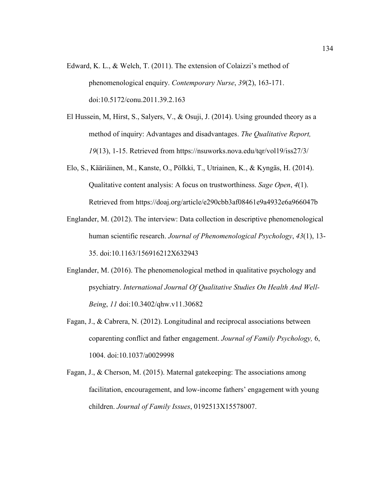- Edward, K. L., & Welch, T. (2011). The extension of Colaizzi's method of phenomenological enquiry. *Contemporary Nurse*, *39*(2), 163-171. doi:10.5172/conu.2011.39.2.163
- El Hussein, M, Hirst, S., Salyers, V., & Osuji, J. (2014). Using grounded theory as a method of inquiry: Advantages and disadvantages. *The Qualitative Report, 19*(13), 1-15. Retrieved from https://nsuworks.nova.edu/tqr/vol19/iss27/3/
- Elo, S., Kääriäinen, M., Kanste, O., Pölkki, T., Utriainen, K., & Kyngäs, H. (2014). Qualitative content analysis: A focus on trustworthiness. *Sage Open*, *4*(1). Retrieved from https://doaj.org/article/e290cbb3af08461e9a4932e6a966047b
- Englander, M. (2012). The interview: Data collection in descriptive phenomenological human scientific research. *Journal of Phenomenological Psychology*, *43*(1), 13- 35. doi:10.1163/156916212X632943
- Englander, M. (2016). The phenomenological method in qualitative psychology and psychiatry. *International Journal Of Qualitative Studies On Health And Well-Being*, *11* doi:10.3402/qhw.v11.30682
- Fagan, J., & Cabrera, N. (2012). Longitudinal and reciprocal associations between coparenting conflict and father engagement. *Journal of Family Psychology,* 6, 1004. doi:10.1037/a0029998
- Fagan, J., & Cherson, M. (2015). Maternal gatekeeping: The associations among facilitation, encouragement, and low-income fathers' engagement with young children. *Journal of Family Issues*, 0192513X15578007.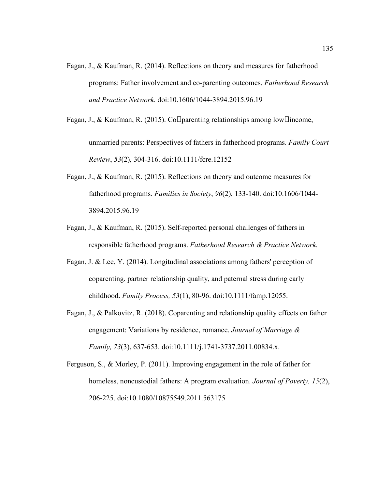Fagan, J., & Kaufman, R. (2014). Reflections on theory and measures for fatherhood programs: Father involvement and co-parenting outcomes. *Fatherhood Research and Practice Network.* doi:10.1606/1044-3894.2015.96.19

Fagan, J., & Kaufman, R. (2015). Co $\Box$ parenting relationships among low $\Box$ income, unmarried parents: Perspectives of fathers in fatherhood programs. *Family Court Review*, *53*(2), 304-316. doi:10.1111/fcre.12152

- Fagan, J., & Kaufman, R. (2015). Reflections on theory and outcome measures for fatherhood programs. *Families in Society*, *96*(2), 133-140. doi:10.1606/1044- 3894.2015.96.19
- Fagan, J., & Kaufman, R. (2015). Self-reported personal challenges of fathers in responsible fatherhood programs. *Fatherhood Research & Practice Network.*
- Fagan, J. & Lee, Y. (2014). Longitudinal associations among fathers' perception of coparenting, partner relationship quality, and paternal stress during early childhood. *Family Process, 53*(1), 80-96. doi:10.1111/famp.12055.
- Fagan, J., & Palkovitz, R. (2018). Coparenting and relationship quality effects on father engagement: Variations by residence, romance. *Journal of Marriage & Family, 73*(3), 637-653. doi:10.1111/j.1741-3737.2011.00834.x.
- Ferguson, S., & Morley, P. (2011). Improving engagement in the role of father for homeless, noncustodial fathers: A program evaluation. *Journal of Poverty, 15*(2), 206-225. doi:10.1080/10875549.2011.563175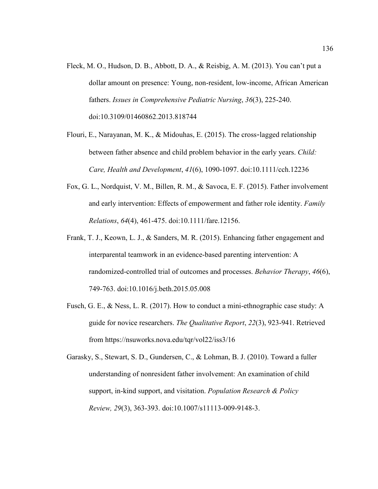- Fleck, M. O., Hudson, D. B., Abbott, D. A., & Reisbig, A. M. (2013). You can't put a dollar amount on presence: Young, non-resident, low-income, African American fathers. *Issues in Comprehensive Pediatric Nursing*, *36*(3), 225-240. doi:10.3109/01460862.2013.818744
- Flouri, E., Narayanan, M. K., & Midouhas, E. (2015). The cross‐lagged relationship between father absence and child problem behavior in the early years. *Child: Care, Health and Development*, *41*(6), 1090-1097. doi:10.1111/cch.12236
- Fox, G. L., Nordquist, V. M., Billen, R. M., & Savoca, E. F. (2015). Father involvement and early intervention: Effects of empowerment and father role identity. *Family Relations*, *64*(4), 461-475. doi:10.1111/fare.12156.
- Frank, T. J., Keown, L. J., & Sanders, M. R. (2015). Enhancing father engagement and interparental teamwork in an evidence-based parenting intervention: A randomized-controlled trial of outcomes and processes. *Behavior Therapy*, *46*(6), 749-763. doi:10.1016/j.beth.2015.05.008
- Fusch, G. E., & Ness, L. R. (2017). How to conduct a mini-ethnographic case study: A guide for novice researchers. *The Qualitative Report*, *22*(3), 923-941. Retrieved from https://nsuworks.nova.edu/tqr/vol22/iss3/16
- Garasky, S., Stewart, S. D., Gundersen, C., & Lohman, B. J. (2010). Toward a fuller understanding of nonresident father involvement: An examination of child support, in-kind support, and visitation. *Population Research & Policy Review, 29*(3), 363-393. doi:10.1007/s11113-009-9148-3.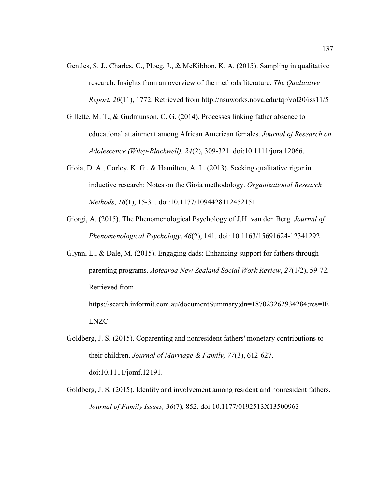- Gentles, S. J., Charles, C., Ploeg, J., & McKibbon, K. A. (2015). Sampling in qualitative research: Insights from an overview of the methods literature. *The Qualitative Report*, *20*(11), 1772. Retrieved from http://nsuworks.nova.edu/tqr/vol20/iss11/5
- Gillette, M. T., & Gudmunson, C. G. (2014). Processes linking father absence to educational attainment among African American females. *Journal of Research on Adolescence (Wiley-Blackwell), 24*(2), 309-321. doi:10.1111/jora.12066.
- Gioia, D. A., Corley, K. G., & Hamilton, A. L. (2013). Seeking qualitative rigor in inductive research: Notes on the Gioia methodology. *Organizational Research Methods*, *16*(1), 15-31. doi:10.1177/1094428112452151
- Giorgi, A. (2015). The Phenomenological Psychology of J.H. van den Berg. *Journal of Phenomenological Psychology*, *46*(2), 141. doi: 10.1163/15691624-12341292
- Glynn, L., & Dale, M. (2015). Engaging dads: Enhancing support for fathers through parenting programs. *Aotearoa New Zealand Social Work Review*, *27*(1/2), 59-72. Retrieved from https://search.informit.com.au/documentSummary;dn=187023262934284;res=IE LNZC
- Goldberg, J. S. (2015). Coparenting and nonresident fathers' monetary contributions to their children. *Journal of Marriage & Family, 77*(3), 612-627. doi:10.1111/jomf.12191.
- Goldberg, J. S. (2015). Identity and involvement among resident and nonresident fathers. *Journal of Family Issues, 36*(7), 852. doi:10.1177/0192513X13500963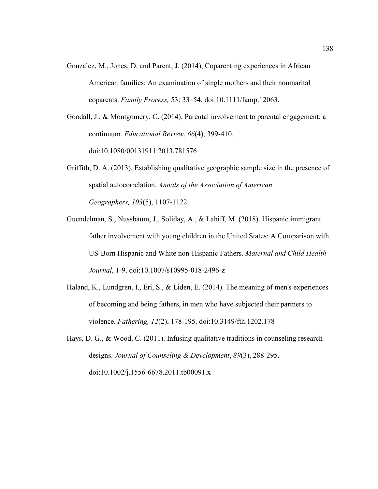- Gonzalez, M., Jones, D. and Parent, J. (2014), Coparenting experiences in African American families: An examination of single mothers and their nonmarital coparents. *Family Process,* 53: 33–54. doi:10.1111/famp.12063.
- Goodall, J., & Montgomery, C. (2014). Parental involvement to parental engagement: a continuum. *Educational Review*, *66*(4), 399-410. doi:10.1080/00131911.2013.781576
- Griffith, D. A. (2013). Establishing qualitative geographic sample size in the presence of spatial autocorrelation. *Annals of the Association of American Geographers, 103*(5), 1107-1122.
- Guendelman, S., Nussbaum, J., Soliday, A., & Lahiff, M. (2018). Hispanic immigrant father involvement with young children in the United States: A Comparison with US-Born Hispanic and White non-Hispanic Fathers. *Maternal and Child Health Journal*, 1-9. doi:10.1007/s10995-018-2496-z
- Haland, K., Lundgren, I., Eri, S., & Liden, E. (2014). The meaning of men's experiences of becoming and being fathers, in men who have subjected their partners to violence. *Fathering, 12*(2), 178-195. doi:10.3149/fth.1202.178
- Hays, D. G., & Wood, C. (2011). Infusing qualitative traditions in counseling research designs. *Journal of Counseling & Development*, *89*(3), 288-295. doi:10.1002/j.1556-6678.2011.tb00091.x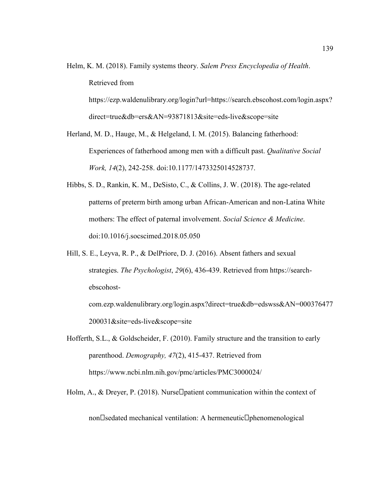Helm, K. M. (2018). Family systems theory. *Salem Press Encyclopedia of Health*. Retrieved from

https://ezp.waldenulibrary.org/login?url=https://search.ebscohost.com/login.aspx? direct=true&db=ers&AN=93871813&site=eds-live&scope=site

Herland, M. D., Hauge, M., & Helgeland, I. M. (2015). Balancing fatherhood: Experiences of fatherhood among men with a difficult past. *Qualitative Social Work, 14*(2), 242-258. doi:10.1177/1473325014528737.

- Hibbs, S. D., Rankin, K. M., DeSisto, C., & Collins, J. W. (2018). The age-related patterns of preterm birth among urban African-American and non-Latina White mothers: The effect of paternal involvement. *Social Science & Medicine*. doi:10.1016/j.socscimed.2018.05.050
- Hill, S. E., Leyva, R. P., & DelPriore, D. J. (2016). Absent fathers and sexual strategies. *The Psychologist*, *29*(6), 436-439. Retrieved from https://searchebscohostcom.ezp.waldenulibrary.org/login.aspx?direct=true&db=edswss&AN=000376477 200031&site=eds-live&scope=site
- Hofferth, S.L., & Goldscheider, F. (2010). Family structure and the transition to early parenthood. *Demography, 47*(2), 415-437. Retrieved from https://www.ncbi.nlm.nih.gov/pmc/articles/PMC3000024/
- Holm, A., & Dreyer, P. (2018). Nurse Datient communication within the context of

 $non\Box$ sedated mechanical ventilation: A hermeneutic $\Box$ phenomenological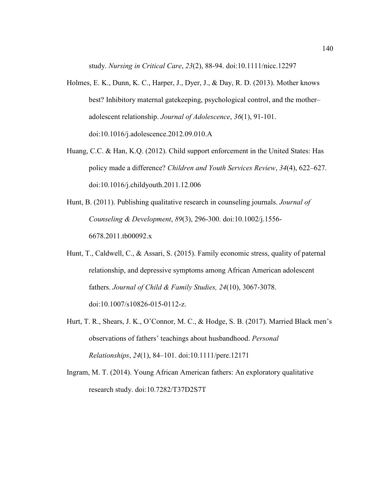study. *Nursing in Critical Care*, *23*(2), 88-94. doi:10.1111/nicc.12297

- Holmes, E. K., Dunn, K. C., Harper, J., Dyer, J., & Day, R. D. (2013). Mother knows best? Inhibitory maternal gatekeeping, psychological control, and the mother– adolescent relationship. *Journal of Adolescence*, *36*(1), 91-101. doi:10.1016/j.adolescence.2012.09.010.A
- Huang, C.C. & Han, K.Q. (2012). Child support enforcement in the United States: Has policy made a difference? *Children and Youth Services Review*, *34*(4), 622–627. doi:10.1016/j.childyouth.2011.12.006
- Hunt, B. (2011). Publishing qualitative research in counseling journals. *Journal of Counseling & Development*, *89*(3), 296-300. doi:10.1002/j.1556- 6678.2011.tb00092.x
- Hunt, T., Caldwell, C., & Assari, S. (2015). Family economic stress, quality of paternal relationship, and depressive symptoms among African American adolescent fathers. *Journal of Child & Family Studies, 24*(10), 3067-3078. doi:10.1007/s10826-015-0112-z.
- Hurt, T. R., Shears, J. K., O'Connor, M. C., & Hodge, S. B. (2017). Married Black men's observations of fathers' teachings about husbandhood. *Personal Relationships*, *24*(1), 84–101. doi:10.1111/pere.12171
- Ingram, M. T. (2014). Young African American fathers: An exploratory qualitative research study. doi:10.7282/T37D2S7T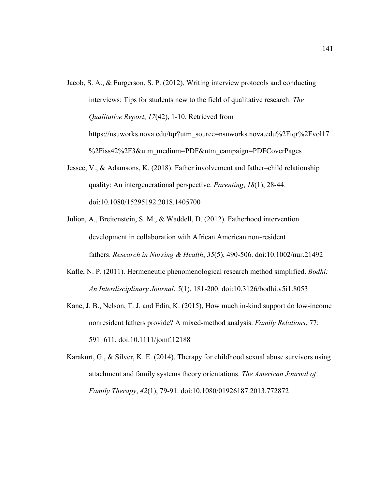- Jacob, S. A., & Furgerson, S. P. (2012). Writing interview protocols and conducting interviews: Tips for students new to the field of qualitative research. *The Qualitative Report*, *17*(42), 1-10. Retrieved from https://nsuworks.nova.edu/tqr?utm\_source=nsuworks.nova.edu%2Ftqr%2Fvol17 %2Fiss42%2F3&utm\_medium=PDF&utm\_campaign=PDFCoverPages
- Jessee, V., & Adamsons, K. (2018). Father involvement and father–child relationship quality: An intergenerational perspective. *Parenting*, *18*(1), 28-44. doi:10.1080/15295192.2018.1405700
- Julion, A., Breitenstein, S. M., & Waddell, D. (2012). Fatherhood intervention development in collaboration with African American non‐resident fathers. *Research in Nursing & Health*, *35*(5), 490-506. doi:10.1002/nur.21492
- Kafle, N. P. (2011). Hermeneutic phenomenological research method simplified. *Bodhi: An Interdisciplinary Journal*, *5*(1), 181-200. doi:10.3126/bodhi.v5i1.8053
- Kane, J. B., Nelson, T. J. and Edin, K. (2015), How much in-kind support do low-income nonresident fathers provide? A mixed-method analysis. *Family Relations*, 77: 591–611. doi:10.1111/jomf.12188
- Karakurt, G., & Silver, K. E. (2014). Therapy for childhood sexual abuse survivors using attachment and family systems theory orientations. *The American Journal of Family Therapy*, *42*(1), 79-91. doi:10.1080/01926187.2013.772872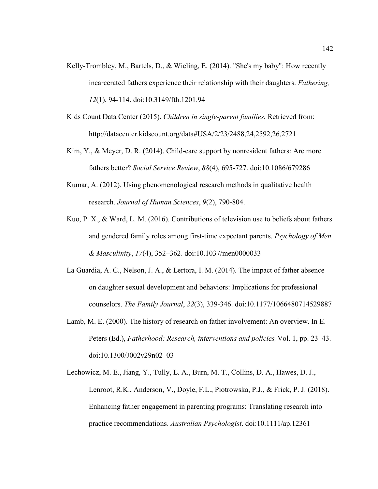- Kelly-Trombley, M., Bartels, D., & Wieling, E. (2014). "She's my baby": How recently incarcerated fathers experience their relationship with their daughters. *Fathering, 12*(1), 94-114. doi:10.3149/fth.1201.94
- Kids Count Data Center (2015). *Children in single-parent families.* Retrieved from: http://datacenter.kidscount.org/data#USA/2/23/2488,24,2592,26,2721
- Kim, Y., & Meyer, D. R. (2014). Child-care support by nonresident fathers: Are more fathers better? *Social Service Review*, *88*(4), 695-727. doi:10.1086/679286
- Kumar, A. (2012). Using phenomenological research methods in qualitative health research. *Journal of Human Sciences*, *9*(2), 790-804.
- Kuo, P. X., & Ward, L. M. (2016). Contributions of television use to beliefs about fathers and gendered family roles among first-time expectant parents. *Psychology of Men & Masculinity*, *17*(4), 352–362. doi:10.1037/men0000033
- La Guardia, A. C., Nelson, J. A., & Lertora, I. M. (2014). The impact of father absence on daughter sexual development and behaviors: Implications for professional counselors. *The Family Journal*, *22*(3), 339-346. doi:10.1177/1066480714529887
- Lamb, M. E. (2000). The history of research on father involvement: An overview. In E. Peters (Ed.), *Fatherhood: Research, interventions and policies,* Vol. 1, pp. 23–43. doi:10.1300/J002v29n02\_03
- Lechowicz, M. E., Jiang, Y., Tully, L. A., Burn, M. T., Collins, D. A., Hawes, D. J., Lenroot, R.K., Anderson, V., Doyle, F.L., Piotrowska, P.J., & Frick, P. J. (2018). Enhancing father engagement in parenting programs: Translating research into practice recommendations. *Australian Psychologist*. doi:10.1111/ap.12361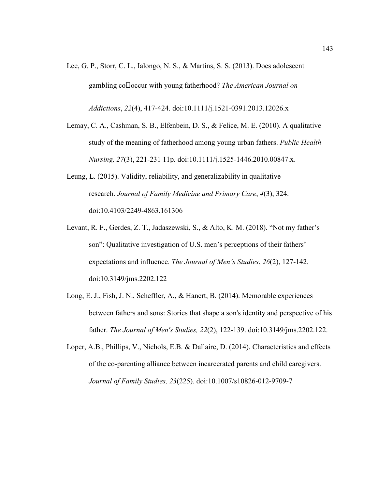Lee, G. P., Storr, C. L., Ialongo, N. S., & Martins, S. S. (2013). Does adolescent gambling co<sup>[</sup>occur with young fatherhood? *The American Journal on* 

*Addictions*, *22*(4), 417-424. doi:10.1111/j.1521-0391.2013.12026.x

- Lemay, C. A., Cashman, S. B., Elfenbein, D. S., & Felice, M. E. (2010). A qualitative study of the meaning of fatherhood among young urban fathers. *Public Health Nursing, 27*(3), 221-231 11p. doi:10.1111/j.1525-1446.2010.00847.x.
- Leung, L. (2015). Validity, reliability, and generalizability in qualitative research. *Journal of Family Medicine and Primary Care*, *4*(3), 324. doi:10.4103/2249-4863.161306
- Levant, R. F., Gerdes, Z. T., Jadaszewski, S., & Alto, K. M. (2018). "Not my father's son": Qualitative investigation of U.S. men's perceptions of their fathers' expectations and influence. *The Journal of Men's Studies*, *26*(2), 127-142. doi:10.3149/jms.2202.122
- Long, E. J., Fish, J. N., Scheffler, A., & Hanert, B. (2014). Memorable experiences between fathers and sons: Stories that shape a son's identity and perspective of his father. *The Journal of Men's Studies, 22*(2), 122-139. doi:10.3149/jms.2202.122.
- Loper, A.B., Phillips, V., Nichols, E.B. & Dallaire, D. (2014). Characteristics and effects of the co-parenting alliance between incarcerated parents and child caregivers. *Journal of Family Studies, 23*(225). doi:10.1007/s10826-012-9709-7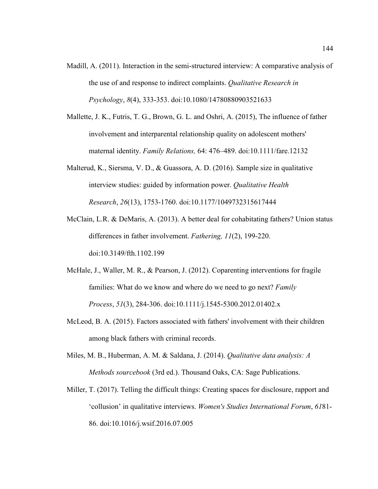- Madill, A. (2011). Interaction in the semi-structured interview: A comparative analysis of the use of and response to indirect complaints. *Qualitative Research in Psychology*, *8*(4), 333-353. doi:10.1080/14780880903521633
- Mallette, J. K., Futris, T. G., Brown, G. L. and Oshri, A. (2015), The influence of father involvement and interparental relationship quality on adolescent mothers' maternal identity. *Family Relations,* 64: 476–489. doi:10.1111/fare.12132
- Malterud, K., Siersma, V. D., & Guassora, A. D. (2016). Sample size in qualitative interview studies: guided by information power. *Qualitative Health Research*, *26*(13), 1753-1760. doi:10.1177/1049732315617444
- McClain, L.R. & DeMaris, A. (2013). A better deal for cohabitating fathers? Union status differences in father involvement. *Fathering, 11*(2), 199-220. doi:10.3149/fth.1102.199
- McHale, J., Waller, M. R., & Pearson, J. (2012). Coparenting interventions for fragile families: What do we know and where do we need to go next? *Family Process*, *51*(3), 284-306. doi:10.1111/j.1545-5300.2012.01402.x
- McLeod, B. A. (2015). Factors associated with fathers' involvement with their children among black fathers with criminal records.
- Miles, M. B., Huberman, A. M. & Saldana, J. (2014). *Qualitative data analysis: A Methods sourcebook* (3rd ed.). Thousand Oaks, CA: Sage Publications.
- Miller, T. (2017). Telling the difficult things: Creating spaces for disclosure, rapport and 'collusion' in qualitative interviews. *Women's Studies International Forum*, *61*81- 86. doi:10.1016/j.wsif.2016.07.005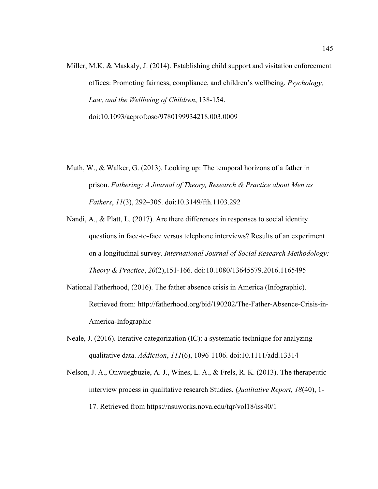Miller, M.K. & Maskaly, J. (2014). Establishing child support and visitation enforcement offices: Promoting fairness, compliance, and children's wellbeing. *Psychology, Law, and the Wellbeing of Children*, 138-154. doi:10.1093/acprof:oso/9780199934218.003.0009

- Muth, W., & Walker, G. (2013). Looking up: The temporal horizons of a father in prison. *Fathering: A Journal of Theory, Research & Practice about Men as Fathers*, *11*(3), 292–305. doi:10.3149/fth.1103.292
- Nandi, A., & Platt, L. (2017). Are there differences in responses to social identity questions in face-to-face versus telephone interviews? Results of an experiment on a longitudinal survey. *International Journal of Social Research Methodology: Theory & Practice*, *20*(2),151-166. doi:10.1080/13645579.2016.1165495
- National Fatherhood, (2016). The father absence crisis in America (Infographic). Retrieved from: http://fatherhood.org/bid/190202/The-Father-Absence-Crisis-in-America-Infographic
- Neale, J. (2016). Iterative categorization (IC): a systematic technique for analyzing qualitative data. *Addiction*, *111*(6), 1096-1106. doi:10.1111/add.13314
- Nelson, J. A., Onwuegbuzie, A. J., Wines, L. A., & Frels, R. K. (2013). The therapeutic interview process in qualitative research Studies. *Qualitative Report, 18*(40), 1- 17. Retrieved from https://nsuworks.nova.edu/tqr/vol18/iss40/1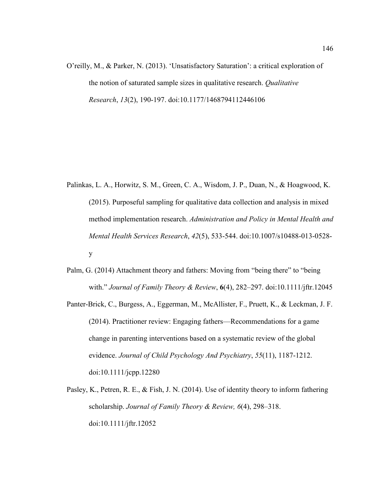O'reilly, M., & Parker, N. (2013). 'Unsatisfactory Saturation': a critical exploration of the notion of saturated sample sizes in qualitative research. *Qualitative Research*, *13*(2), 190-197. doi:10.1177/1468794112446106

- Palinkas, L. A., Horwitz, S. M., Green, C. A., Wisdom, J. P., Duan, N., & Hoagwood, K. (2015). Purposeful sampling for qualitative data collection and analysis in mixed method implementation research. *Administration and Policy in Mental Health and Mental Health Services Research*, *42*(5), 533-544. doi:10.1007/s10488-013-0528 y
- Palm, G. (2014) Attachment theory and fathers: Moving from "being there" to "being with." *Journal of Family Theory & Review*, **6**(4), 282–297. doi:10.1111/jftr.12045
- Panter-Brick, C., Burgess, A., Eggerman, M., McAllister, F., Pruett, K., & Leckman, J. F. (2014). Practitioner review: Engaging fathers—Recommendations for a game change in parenting interventions based on a systematic review of the global evidence. *Journal of Child Psychology And Psychiatry*, *55*(11), 1187-1212. doi:10.1111/jcpp.12280
- Pasley, K., Petren, R. E., & Fish, J. N. (2014). Use of identity theory to inform fathering scholarship. *Journal of Family Theory & Review, 6*(4), 298–318. doi:10.1111/jftr.12052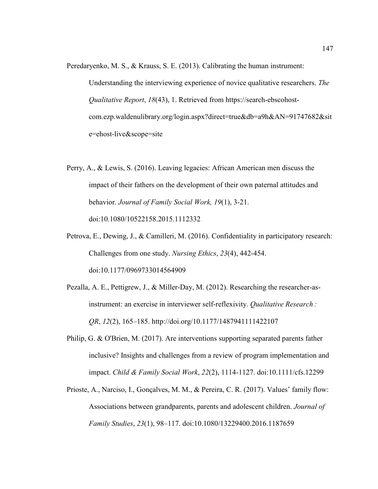Peredaryenko, M. S., & Krauss, S. E. (2013). Calibrating the human instrument:

Understanding the interviewing experience of novice qualitative researchers. *The Qualitative Report*, *18*(43), 1. Retrieved from https://search-ebscohostcom.ezp.waldenulibrary.org/login.aspx?direct=true&db=a9h&AN=91747682&sit e=ehost-live&scope=site

- Perry, A., & Lewis, S. (2016). Leaving legacies: African American men discuss the impact of their fathers on the development of their own paternal attitudes and behavior. *Journal of Family Social Work, 19*(1), 3-21. doi:10.1080/10522158.2015.1112332
- Petrova, E., Dewing, J., & Camilleri, M. (2016). Confidentiality in participatory research: Challenges from one study. *Nursing Ethics*, *23*(4), 442-454. doi:10.1177/0969733014564909
- Pezalla, A. E., Pettigrew, J., & Miller-Day, M. (2012). Researching the researcher-asinstrument: an exercise in interviewer self-reflexivity. *Qualitative Research : QR*, *12*(2), 165–185. http://doi.org/10.1177/1487941111422107
- Philip, G. & O'Brien, M. (2017). Are interventions supporting separated parents father inclusive? Insights and challenges from a review of program implementation and impact. *Child & Family Social Work*, *22*(2), 1114-1127. doi:10.1111/cfs.12299
- Prioste, A., Narciso, I., Gonçalves, M. M., & Pereira, C. R. (2017). Values' family flow: Associations between grandparents, parents and adolescent children. *Journal of Family Studies*, *23*(1), 98–117. doi:10.1080/13229400.2016.1187659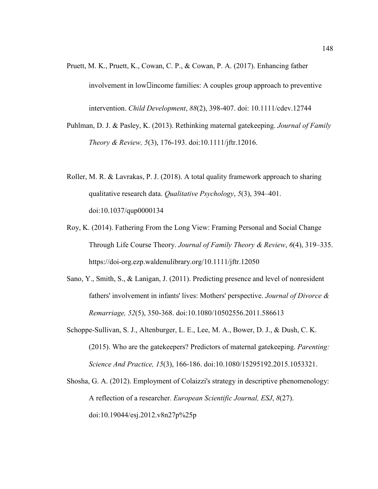- Pruett, M. K., Pruett, K., Cowan, C. P., & Cowan, P. A. (2017). Enhancing father  $involvement$  in  $low$   $\Box$  income families: A couples group approach to preventive intervention. *Child Development*, *88*(2), 398-407. doi: 10.1111/cdev.12744
- Puhlman, D. J. & Pasley, K. (2013). Rethinking maternal gatekeeping. *Journal of Family Theory & Review, 5*(3), 176-193. doi:10.1111/jftr.12016.
- Roller, M. R. & Lavrakas, P. J. (2018). A total quality framework approach to sharing qualitative research data. *Qualitative Psychology*, *5*(3), 394–401. doi:10.1037/qup0000134
- Roy, K. (2014). Fathering From the Long View: Framing Personal and Social Change Through Life Course Theory. *Journal of Family Theory & Review*, *6*(4), 319–335. https://doi-org.ezp.waldenulibrary.org/10.1111/jftr.12050
- Sano, Y., Smith, S., & Lanigan, J. (2011). Predicting presence and level of nonresident fathers' involvement in infants' lives: Mothers' perspective. *Journal of Divorce & Remarriage, 52*(5), 350-368. doi:10.1080/10502556.2011.586613
- Schoppe-Sullivan, S. J., Altenburger, L. E., Lee, M. A., Bower, D. J., & Dush, C. K. (2015). Who are the gatekeepers? Predictors of maternal gatekeeping. *Parenting: Science And Practice, 15*(3), 166-186. doi:10.1080/15295192.2015.1053321.
- Shosha, G. A. (2012). Employment of Colaizzi's strategy in descriptive phenomenology: A reflection of a researcher. *European Scientific Journal, ESJ*, *8*(27). doi:10.19044/esj.2012.v8n27p%25p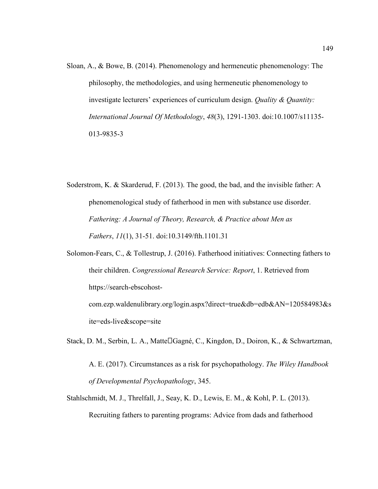- Sloan, A., & Bowe, B. (2014). Phenomenology and hermeneutic phenomenology: The philosophy, the methodologies, and using hermeneutic phenomenology to investigate lecturers' experiences of curriculum design. *Quality & Quantity: International Journal Of Methodology*, *48*(3), 1291-1303. doi:10.1007/s11135- 013-9835-3
- Soderstrom, K. & Skarderud, F. (2013). The good, the bad, and the invisible father: A phenomenological study of fatherhood in men with substance use disorder. *Fathering: A Journal of Theory, Research, & Practice about Men as Fathers*, *11*(1), 31-51. doi:10.3149/fth.1101.31
- Solomon-Fears, C., & Tollestrup, J. (2016). Fatherhood initiatives: Connecting fathers to their children. *Congressional Research Service: Report*, 1. Retrieved from https://search-ebscohost-

com.ezp.waldenulibrary.org/login.aspx?direct=true&db=edb&AN=120584983&s ite=eds-live&scope=site

Stack, D. M., Serbin, L. A., Matte□Gagné, C., Kingdon, D., Doiron, K., & Schwartzman,

- A. E. (2017). Circumstances as a risk for psychopathology. *The Wiley Handbook of Developmental Psychopathology*, 345.
- Stahlschmidt, M. J., Threlfall, J., Seay, K. D., Lewis, E. M., & Kohl, P. L. (2013). Recruiting fathers to parenting programs: Advice from dads and fatherhood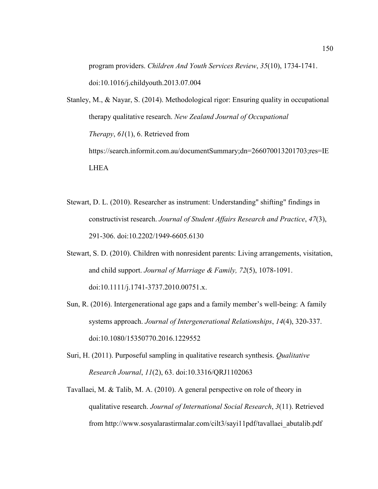program providers. *Children And Youth Services Review*, *35*(10), 1734-1741. doi:10.1016/j.childyouth.2013.07.004

Stanley, M., & Nayar, S. (2014). Methodological rigor: Ensuring quality in occupational therapy qualitative research. *New Zealand Journal of Occupational Therapy*, *61*(1), 6. Retrieved from https://search.informit.com.au/documentSummary;dn=266070013201703;res=IE LHEA

- Stewart, D. L. (2010). Researcher as instrument: Understanding" shifting" findings in constructivist research. *Journal of Student Affairs Research and Practice*, *47*(3), 291-306. doi:10.2202/1949-6605.6130
- Stewart, S. D. (2010). Children with nonresident parents: Living arrangements, visitation, and child support. *Journal of Marriage & Family, 72*(5), 1078-1091. doi:10.1111/j.1741-3737.2010.00751.x.
- Sun, R. (2016). Intergenerational age gaps and a family member's well-being: A family systems approach. *Journal of Intergenerational Relationships*, *14*(4), 320-337. doi:10.1080/15350770.2016.1229552
- Suri, H. (2011). Purposeful sampling in qualitative research synthesis. *Qualitative Research Journal*, *11*(2), 63. doi:10.3316/QRJ1102063
- Tavallaei, M. & Talib, M. A. (2010). A general perspective on role of theory in qualitative research. *Journal of International Social Research*, *3*(11). Retrieved from http://www.sosyalarastirmalar.com/cilt3/sayi11pdf/tavallaei\_abutalib.pdf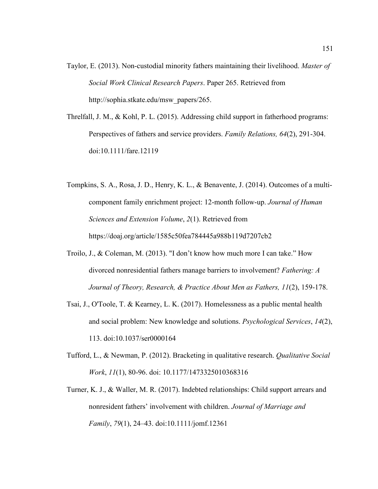- Taylor, E. (2013). Non-custodial minority fathers maintaining their livelihood. *Master of Social Work Clinical Research Papers*. Paper 265. Retrieved from http://sophia.stkate.edu/msw\_papers/265.
- Threlfall, J. M., & Kohl, P. L. (2015). Addressing child support in fatherhood programs: Perspectives of fathers and service providers. *Family Relations, 64*(2), 291-304. doi:10.1111/fare.12119
- Tompkins, S. A., Rosa, J. D., Henry, K. L., & Benavente, J. (2014). Outcomes of a multicomponent family enrichment project: 12-month follow-up. *Journal of Human Sciences and Extension Volume*, *2*(1). Retrieved from https://doaj.org/article/1585c50fea784445a988b119d7207cb2
- Troilo, J., & Coleman, M. (2013). "I don't know how much more I can take." How divorced nonresidential fathers manage barriers to involvement? *Fathering: A Journal of Theory, Research, & Practice About Men as Fathers, 11*(2), 159-178.
- Tsai, J., O'Toole, T. & Kearney, L. K. (2017). Homelessness as a public mental health and social problem: New knowledge and solutions. *Psychological Services*, *14*(2), 113. doi:10.1037/ser0000164
- Tufford, L., & Newman, P. (2012). Bracketing in qualitative research. *Qualitative Social Work*, *11*(1), 80-96. doi: 10.1177/1473325010368316
- Turner, K. J., & Waller, M. R. (2017). Indebted relationships: Child support arrears and nonresident fathers' involvement with children. *Journal of Marriage and Family*, *79*(1), 24–43. doi:10.1111/jomf.12361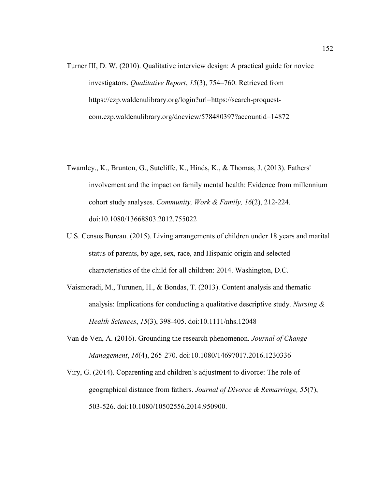- Turner III, D. W. (2010). Qualitative interview design: A practical guide for novice investigators. *Qualitative Report*, *15*(3), 754–760. Retrieved from https://ezp.waldenulibrary.org/login?url=https://search-proquestcom.ezp.waldenulibrary.org/docview/578480397?accountid=14872
- Twamley., K., Brunton, G., Sutcliffe, K., Hinds, K., & Thomas, J. (2013). Fathers' involvement and the impact on family mental health: Evidence from millennium cohort study analyses. *Community, Work & Family, 16*(2), 212-224. doi:10.1080/13668803.2012.755022
- U.S. Census Bureau. (2015). Living arrangements of children under 18 years and marital status of parents, by age, sex, race, and Hispanic origin and selected characteristics of the child for all children: 2014. Washington, D.C.
- Vaismoradi, M., Turunen, H., & Bondas, T. (2013). Content analysis and thematic analysis: Implications for conducting a qualitative descriptive study. *Nursing & Health Sciences*, *15*(3), 398-405. doi:10.1111/nhs.12048
- Van de Ven, A. (2016). Grounding the research phenomenon. *Journal of Change Management*, *16*(4), 265-270. doi:10.1080/14697017.2016.1230336
- Viry, G. (2014). Coparenting and children's adjustment to divorce: The role of geographical distance from fathers. *Journal of Divorce & Remarriage, 55*(7), 503-526. doi:10.1080/10502556.2014.950900.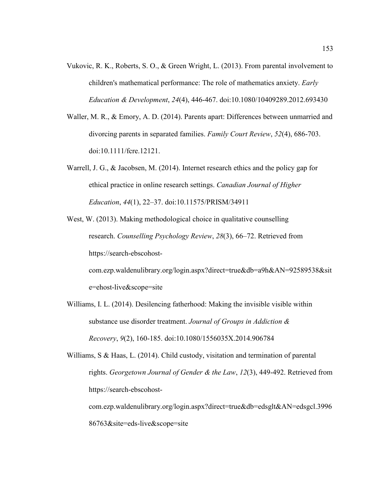- Vukovic, R. K., Roberts, S. O., & Green Wright, L. (2013). From parental involvement to children's mathematical performance: The role of mathematics anxiety. *Early Education & Development*, *24*(4), 446-467. doi:10.1080/10409289.2012.693430
- Waller, M. R., & Emory, A. D. (2014). Parents apart: Differences between unmarried and divorcing parents in separated families. *Family Court Review*, *52*(4), 686-703. doi:10.1111/fcre.12121.
- Warrell, J. G., & Jacobsen, M. (2014). Internet research ethics and the policy gap for ethical practice in online research settings. *Canadian Journal of Higher Education*, *44*(1), 22–37. doi:10.11575/PRISM/34911
- West, W. (2013). Making methodological choice in qualitative counselling research. *Counselling Psychology Review*, *28*(3), 66–72. Retrieved from https://search-ebscohostcom.ezp.waldenulibrary.org/login.aspx?direct=true&db=a9h&AN=92589538&sit e=ehost-live&scope=site
- Williams, I. L. (2014). Desilencing fatherhood: Making the invisible visible within substance use disorder treatment. *Journal of Groups in Addiction & Recovery*, *9*(2), 160-185. doi:10.1080/1556035X.2014.906784

Williams, S & Haas, L. (2014). Child custody, visitation and termination of parental rights. *Georgetown Journal of Gender & the Law*, *12*(3), 449-492. Retrieved from https://search-ebscohost-

com.ezp.waldenulibrary.org/login.aspx?direct=true&db=edsglt&AN=edsgcl.3996 86763&site=eds-live&scope=site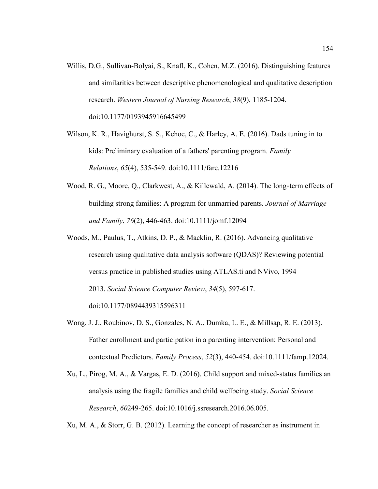Willis, D.G., Sullivan-Bolyai, S., Knafl, K., Cohen, M.Z. (2016). Distinguishing features and similarities between descriptive phenomenological and qualitative description research. *Western Journal of Nursing Research*, *38*(9), 1185-1204. doi:10.1177/0193945916645499

Wilson, K. R., Havighurst, S. S., Kehoe, C., & Harley, A. E. (2016). Dads tuning in to kids: Preliminary evaluation of a fathers' parenting program. *Family Relations*, *65*(4), 535-549. doi:10.1111/fare.12216

- Wood, R. G., Moore, Q., Clarkwest, A., & Killewald, A. (2014). The long-term effects of building strong families: A program for unmarried parents. *Journal of Marriage and Family*, *76*(2), 446-463. doi:10.1111/jomf.12094
- Woods, M., Paulus, T., Atkins, D. P., & Macklin, R. (2016). Advancing qualitative research using qualitative data analysis software (QDAS)? Reviewing potential versus practice in published studies using ATLAS.ti and NVivo, 1994– 2013. *Social Science Computer Review*, *34*(5), 597-617. doi:10.1177/0894439315596311
- Wong, J. J., Roubinov, D. S., Gonzales, N. A., Dumka, L. E., & Millsap, R. E. (2013). Father enrollment and participation in a parenting intervention: Personal and contextual Predictors. *Family Process*, *52*(3), 440-454. doi:10.1111/famp.12024.
- Xu, L., Pirog, M. A., & Vargas, E. D. (2016). Child support and mixed-status families an analysis using the fragile families and child wellbeing study. *Social Science Research*, *60*249-265. doi:10.1016/j.ssresearch.2016.06.005.

Xu, M. A., & Storr, G. B. (2012). Learning the concept of researcher as instrument in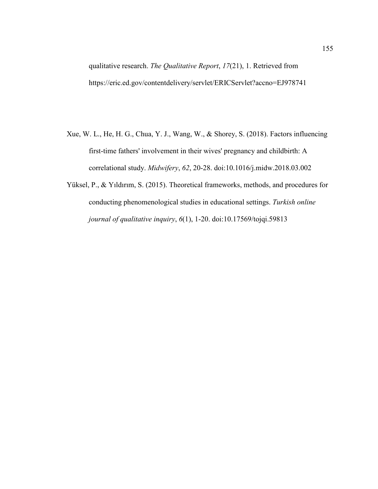qualitative research. *The Qualitative Report*, *17*(21), 1. Retrieved from https://eric.ed.gov/contentdelivery/servlet/ERICServlet?accno=EJ978741

- Xue, W. L., He, H. G., Chua, Y. J., Wang, W., & Shorey, S. (2018). Factors influencing first-time fathers' involvement in their wives' pregnancy and childbirth: A correlational study. *Midwifery*, *62*, 20-28. doi:10.1016/j.midw.2018.03.002
- Yüksel, P., & Yıldırım, S. (2015). Theoretical frameworks, methods, and procedures for conducting phenomenological studies in educational settings. *Turkish online journal of qualitative inquiry*, *6*(1), 1-20. doi:10.17569/tojqi.59813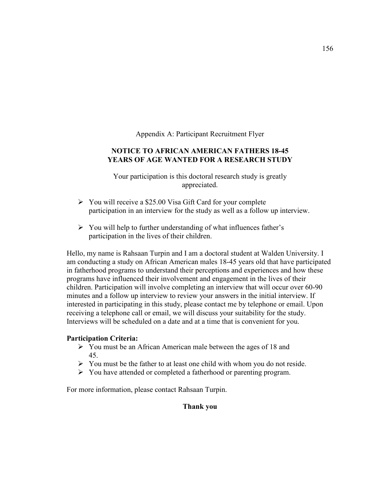Appendix A: Participant Recruitment Flyer

# **NOTICE TO AFRICAN AMERICAN FATHERS 18-45 YEARS OF AGE WANTED FOR A RESEARCH STUDY**

Your participation is this doctoral research study is greatly appreciated.

- $\triangleright$  You will receive a \$25.00 Visa Gift Card for your complete participation in an interview for the study as well as a follow up interview.
- $\triangleright$  You will help to further understanding of what influences father's participation in the lives of their children.

Hello, my name is Rahsaan Turpin and I am a doctoral student at Walden University. I am conducting a study on African American males 18-45 years old that have participated in fatherhood programs to understand their perceptions and experiences and how these programs have influenced their involvement and engagement in the lives of their children. Participation will involve completing an interview that will occur over 60-90 minutes and a follow up interview to review your answers in the initial interview. If interested in participating in this study, please contact me by telephone or email. Upon receiving a telephone call or email, we will discuss your suitability for the study. Interviews will be scheduled on a date and at a time that is convenient for you.

# **Participation Criteria:**

- $\triangleright$  You must be an African American male between the ages of 18 and 45.
- $\triangleright$  You must be the father to at least one child with whom you do not reside.
- You have attended or completed a fatherhood or parenting program.

For more information, please contact Rahsaan Turpin.

### **Thank you**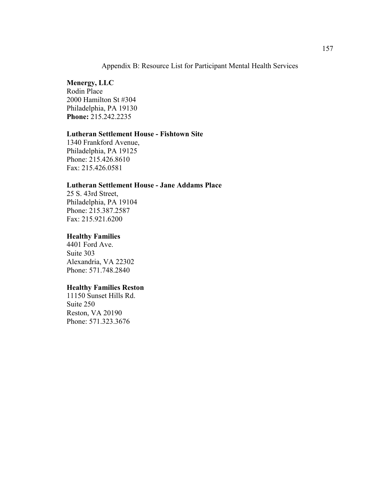# Appendix B: Resource List for Participant Mental Health Services

## **Menergy, LLC**

Rodin Place 2000 Hamilton St #304 Philadelphia, PA 19130 **Phone:** 215.242.2235

# **Lutheran Settlement House - Fishtown Site**

1340 Frankford Avenue, Philadelphia, PA 19125 Phone: 215.426.8610 Fax: 215.426.0581

### **Lutheran Settlement House - Jane Addams Place**

25 S. 43rd Street, Philadelphia, PA 19104 Phone: 215.387.2587 Fax: 215.921.6200

#### **Healthy Families**

4401 Ford Ave. Suite 303 Alexandria, VA 22302 Phone: 571.748.2840

### **Healthy Families Reston**

11150 Sunset Hills Rd. Suite 250 Reston, VA 20190 Phone: 571.323.3676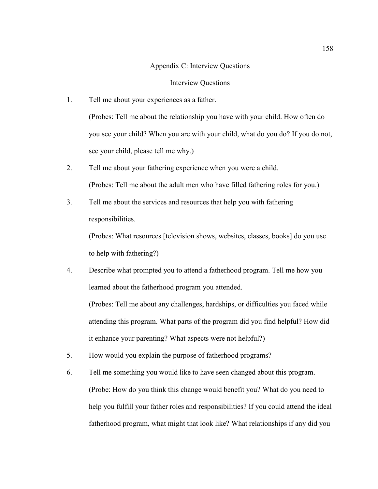#### Appendix C: Interview Questions

#### Interview Questions

- 1. Tell me about your experiences as a father. (Probes: Tell me about the relationship you have with your child. How often do you see your child? When you are with your child, what do you do? If you do not, see your child, please tell me why.)
- 2. Tell me about your fathering experience when you were a child. (Probes: Tell me about the adult men who have filled fathering roles for you.)
- 3. Tell me about the services and resources that help you with fathering responsibilities.

(Probes: What resources [television shows, websites, classes, books] do you use to help with fathering?)

- 4. Describe what prompted you to attend a fatherhood program. Tell me how you learned about the fatherhood program you attended. (Probes: Tell me about any challenges, hardships, or difficulties you faced while attending this program. What parts of the program did you find helpful? How did it enhance your parenting? What aspects were not helpful?)
- 5. How would you explain the purpose of fatherhood programs?
- 6. Tell me something you would like to have seen changed about this program. (Probe: How do you think this change would benefit you? What do you need to help you fulfill your father roles and responsibilities? If you could attend the ideal fatherhood program, what might that look like? What relationships if any did you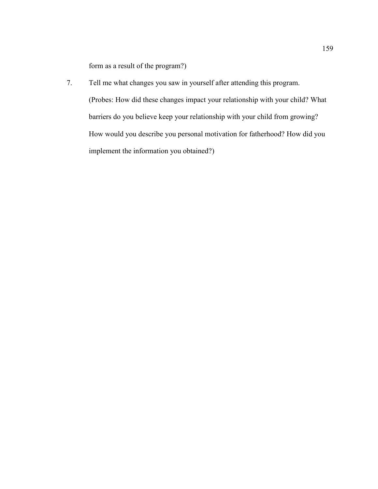form as a result of the program?)

7. Tell me what changes you saw in yourself after attending this program. (Probes: How did these changes impact your relationship with your child? What barriers do you believe keep your relationship with your child from growing? How would you describe you personal motivation for fatherhood? How did you implement the information you obtained?)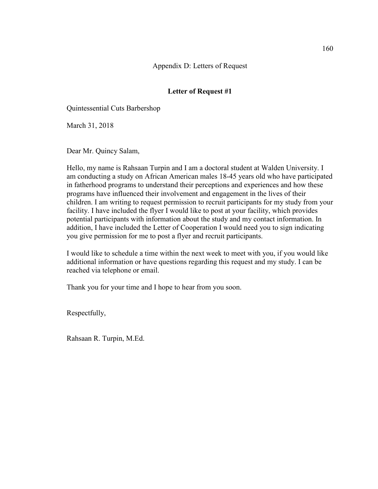Appendix D: Letters of Request

# **Letter of Request #1**

Quintessential Cuts Barbershop

March 31, 2018

Dear Mr. Quincy Salam,

Hello, my name is Rahsaan Turpin and I am a doctoral student at Walden University. I am conducting a study on African American males 18-45 years old who have participated in fatherhood programs to understand their perceptions and experiences and how these programs have influenced their involvement and engagement in the lives of their children. I am writing to request permission to recruit participants for my study from your facility. I have included the flyer I would like to post at your facility, which provides potential participants with information about the study and my contact information. In addition, I have included the Letter of Cooperation I would need you to sign indicating you give permission for me to post a flyer and recruit participants.

I would like to schedule a time within the next week to meet with you, if you would like additional information or have questions regarding this request and my study. I can be reached via telephone or email.

Thank you for your time and I hope to hear from you soon.

Respectfully,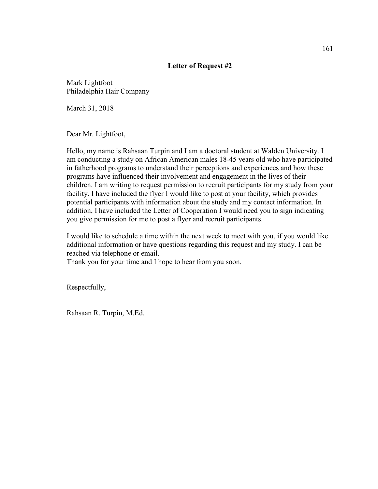Mark Lightfoot Philadelphia Hair Company

March 31, 2018

Dear Mr. Lightfoot,

Hello, my name is Rahsaan Turpin and I am a doctoral student at Walden University. I am conducting a study on African American males 18-45 years old who have participated in fatherhood programs to understand their perceptions and experiences and how these programs have influenced their involvement and engagement in the lives of their children. I am writing to request permission to recruit participants for my study from your facility. I have included the flyer I would like to post at your facility, which provides potential participants with information about the study and my contact information. In addition, I have included the Letter of Cooperation I would need you to sign indicating you give permission for me to post a flyer and recruit participants.

I would like to schedule a time within the next week to meet with you, if you would like additional information or have questions regarding this request and my study. I can be reached via telephone or email.

Thank you for your time and I hope to hear from you soon.

Respectfully,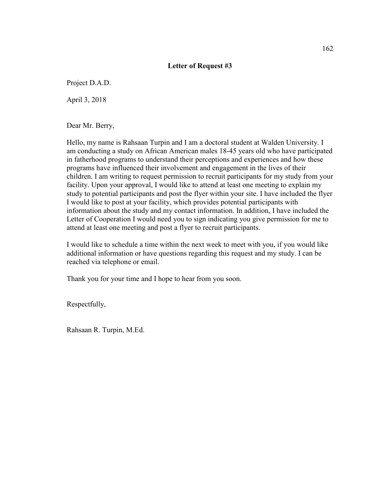Project D.A.D.

April 3, 2018

Dear Mr. Berry,

Hello, my name is Rahsaan Turpin and I am a doctoral student at Walden University. I am conducting a study on African American males 18-45 years old who have participated in fatherhood programs to understand their perceptions and experiences and how these programs have influenced their involvement and engagement in the lives of their children. I am writing to request permission to recruit participants for my study from your facility. Upon your approval, I would like to attend at least one meeting to explain my study to potential participants and post the flyer within your site. I have included the flyer I would like to post at your facility, which provides potential participants with information about the study and my contact information. In addition, I have included the Letter of Cooperation I would need you to sign indicating you give permission for me to attend at least one meeting and post a flyer to recruit participants.

I would like to schedule a time within the next week to meet with you, if you would like additional information or have questions regarding this request and my study. I can be reached via telephone or email.

Thank you for your time and I hope to hear from you soon.

Respectfully,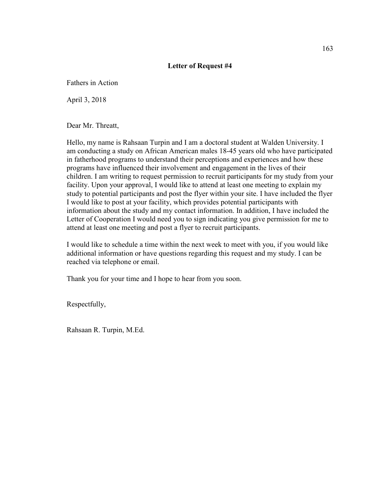Fathers in Action

April 3, 2018

Dear Mr. Threatt,

Hello, my name is Rahsaan Turpin and I am a doctoral student at Walden University. I am conducting a study on African American males 18-45 years old who have participated in fatherhood programs to understand their perceptions and experiences and how these programs have influenced their involvement and engagement in the lives of their children. I am writing to request permission to recruit participants for my study from your facility. Upon your approval, I would like to attend at least one meeting to explain my study to potential participants and post the flyer within your site. I have included the flyer I would like to post at your facility, which provides potential participants with information about the study and my contact information. In addition, I have included the Letter of Cooperation I would need you to sign indicating you give permission for me to attend at least one meeting and post a flyer to recruit participants.

I would like to schedule a time within the next week to meet with you, if you would like additional information or have questions regarding this request and my study. I can be reached via telephone or email.

Thank you for your time and I hope to hear from you soon.

Respectfully,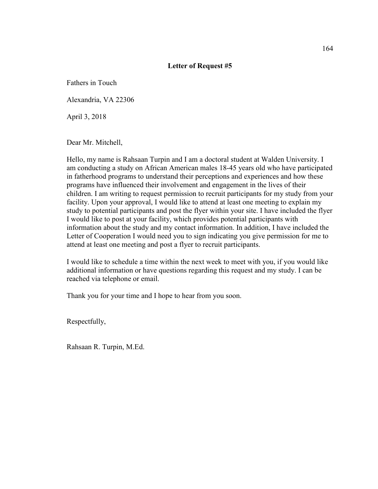Fathers in Touch

Alexandria, VA 22306

April 3, 2018

Dear Mr. Mitchell,

Hello, my name is Rahsaan Turpin and I am a doctoral student at Walden University. I am conducting a study on African American males 18-45 years old who have participated in fatherhood programs to understand their perceptions and experiences and how these programs have influenced their involvement and engagement in the lives of their children. I am writing to request permission to recruit participants for my study from your facility. Upon your approval, I would like to attend at least one meeting to explain my study to potential participants and post the flyer within your site. I have included the flyer I would like to post at your facility, which provides potential participants with information about the study and my contact information. In addition, I have included the Letter of Cooperation I would need you to sign indicating you give permission for me to attend at least one meeting and post a flyer to recruit participants.

I would like to schedule a time within the next week to meet with you, if you would like additional information or have questions regarding this request and my study. I can be reached via telephone or email.

Thank you for your time and I hope to hear from you soon.

Respectfully,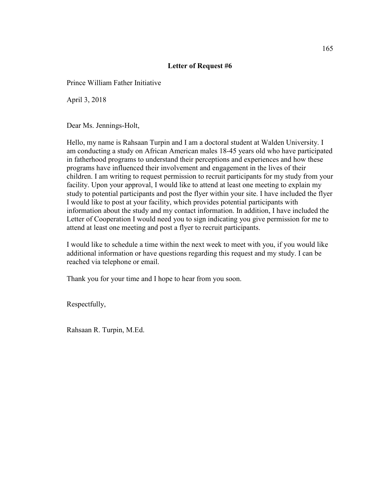Prince William Father Initiative

April 3, 2018

Dear Ms. Jennings-Holt,

Hello, my name is Rahsaan Turpin and I am a doctoral student at Walden University. I am conducting a study on African American males 18-45 years old who have participated in fatherhood programs to understand their perceptions and experiences and how these programs have influenced their involvement and engagement in the lives of their children. I am writing to request permission to recruit participants for my study from your facility. Upon your approval, I would like to attend at least one meeting to explain my study to potential participants and post the flyer within your site. I have included the flyer I would like to post at your facility, which provides potential participants with information about the study and my contact information. In addition, I have included the Letter of Cooperation I would need you to sign indicating you give permission for me to attend at least one meeting and post a flyer to recruit participants.

I would like to schedule a time within the next week to meet with you, if you would like additional information or have questions regarding this request and my study. I can be reached via telephone or email.

Thank you for your time and I hope to hear from you soon.

Respectfully,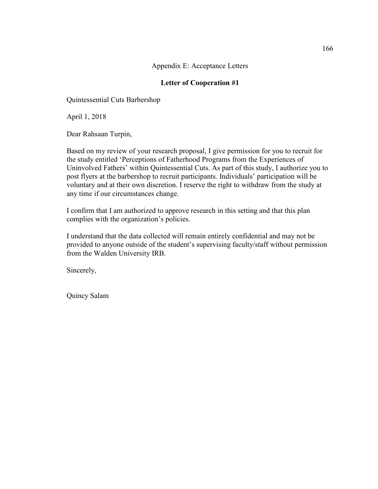Appendix E: Acceptance Letters

# **Letter of Cooperation #1**

Quintessential Cuts Barbershop

April 1, 2018

Dear Rahsaan Turpin,

Based on my review of your research proposal, I give permission for you to recruit for the study entitled 'Perceptions of Fatherhood Programs from the Experiences of Uninvolved Fathers' within Quintessential Cuts. As part of this study, I authorize you to post flyers at the barbershop to recruit participants. Individuals' participation will be voluntary and at their own discretion. I reserve the right to withdraw from the study at any time if our circumstances change.

I confirm that I am authorized to approve research in this setting and that this plan complies with the organization's policies.

I understand that the data collected will remain entirely confidential and may not be provided to anyone outside of the student's supervising faculty/staff without permission from the Walden University IRB.

Sincerely,

Quincy Salam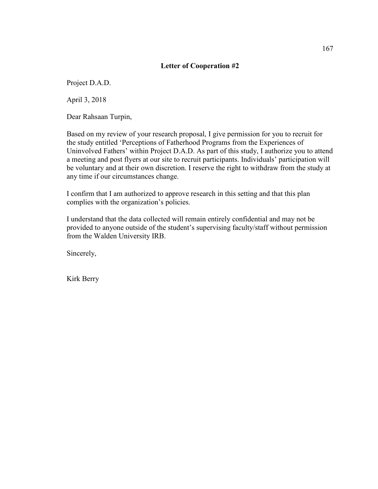# **Letter of Cooperation #2**

Project D.A.D.

April 3, 2018

Dear Rahsaan Turpin,

Based on my review of your research proposal, I give permission for you to recruit for the study entitled 'Perceptions of Fatherhood Programs from the Experiences of Uninvolved Fathers' within Project D.A.D. As part of this study, I authorize you to attend a meeting and post flyers at our site to recruit participants. Individuals' participation will be voluntary and at their own discretion. I reserve the right to withdraw from the study at any time if our circumstances change.

I confirm that I am authorized to approve research in this setting and that this plan complies with the organization's policies.

I understand that the data collected will remain entirely confidential and may not be provided to anyone outside of the student's supervising faculty/staff without permission from the Walden University IRB.

Sincerely,

Kirk Berry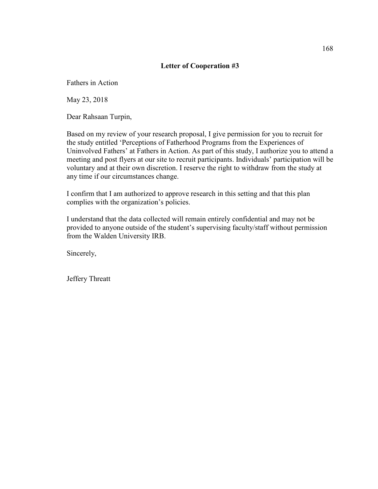## **Letter of Cooperation #3**

Fathers in Action

May 23, 2018

Dear Rahsaan Turpin,

Based on my review of your research proposal, I give permission for you to recruit for the study entitled 'Perceptions of Fatherhood Programs from the Experiences of Uninvolved Fathers' at Fathers in Action. As part of this study, I authorize you to attend a meeting and post flyers at our site to recruit participants. Individuals' participation will be voluntary and at their own discretion. I reserve the right to withdraw from the study at any time if our circumstances change.

I confirm that I am authorized to approve research in this setting and that this plan complies with the organization's policies.

I understand that the data collected will remain entirely confidential and may not be provided to anyone outside of the student's supervising faculty/staff without permission from the Walden University IRB.

Sincerely,

Jeffery Threatt